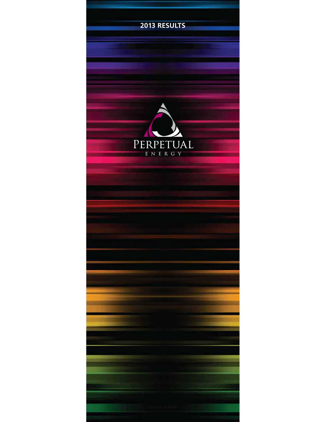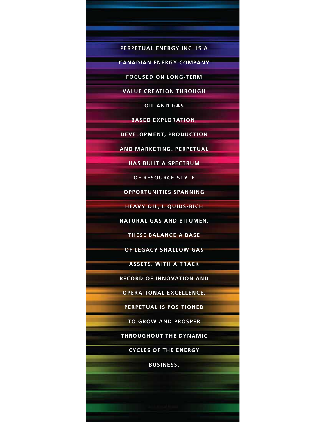**PERPETUAL ENERGY INC. IS A** 

**CANADIAN ENERGY COMPANY** 

**FOCUSED ON LONG-TERM** 

**VALUE CREATION THROUGH** 

**OIL AND GAS**

**BASED EXPLOR ATION,** 

**DEVELOPMENT, PRODUCTION** 

**AND MARKETING. PERPETUAL** 

**HAS BUILT A SPECTRUM** 

**OF RESOURCE-ST YLE** 

**OPPORTUNITIES SPANNING** 

**HEAVY OIL, LIQUIDS-RICH** 

**NATUR AL GAS AND BITUMEN.** 

**THESE BAL ANCE A BASE** 

**OF LEGACY SHALLOW GAS** 

**ASSETS. WITH A TRACK** 

**RECORD OF INNOVATION AND** 

**OPER ATIONAL EXCELLENCE,** 

**PERPETUAL IS POSITIONED** 

**TO GROW AND PROSPER** 

**THROUGHOUT THE DYNAMIC** 

**CYCLES OF THE ENERGY** 

**BUSINESS.**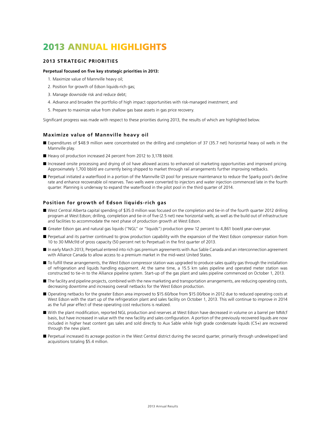# 2013 ANNUAL HIGHLIGHTS

# **2013 STRATEGIC PRIORITIES**

## **Perpetual focused on five key strategic priorities in 2013:**

- 1. Maximize value of Mannville heavy oil;
- 2. Position for growth of Edson liquids-rich gas;
- 3. Manage downside risk and reduce debt;
- 4. Advance and broaden the portfolio of high impact opportunities with risk-managed investment; and
- 5. Prepare to maximize value from shallow gas base assets in gas price recovery.

Significant progress was made with respect to these priorities during 2013, the results of which are highlighted below.

# **Maximize value of Mannville heavy oil**

- Expenditures of \$48.9 million were concentrated on the drilling and completion of 37 (35.7 net) horizontal heavy oil wells in the Mannville play.
- Heavy oil production increased 24 percent from 2012 to 3,178 bbl/d.
- Increased onsite processing and drying of oil have allowed access to enhanced oil marketing opportunities and improved pricing. Approximately 1,700 bbl/d are currently being shipped to market through rail arrangements further improving netbacks.
- Perpetual initiated a waterflood in a portion of the Mannville I2I pool for pressure maintenance to reduce the Sparky pool's decline rate and enhance recoverable oil reserves. Two wells were converted to injectors and water injection commenced late in the fourth quarter. Planning is underway to expand the waterflood in the pilot pool in the third quarter of 2014.

# **Position for growth of Edson liquids-rich gas**

- West Central Alberta capital spending of \$35.0 million was focused on the completion and tie-in of the fourth quarter 2012 drilling program at West Edson; drilling, completion and tie-in of five (2.5 net) new horizontal wells; as well as the build out of infrastructure and facilities to accommodate the next phase of production growth at West Edson.
- Greater Edson gas and natural gas liquids ("NGL" or "liquids") production grew 12 percent to 4,861 boe/d year-over-year.
- Perpetual and its partner continued to grow production capability with the expansion of the West Edson compressor station from 10 to 30 MMcf/d of gross capacity (50 percent net to Perpetual) in the first quarter of 2013.
- In early March 2013, Perpetual entered into rich gas premium agreements with Aux Sable Canada and an interconnection agreement with Alliance Canada to allow access to a premium market in the mid-west United States.
- To fulfill these arrangements, the West Edson compressor station was upgraded to produce sales quality gas through the installation of refrigeration and liquids handling equipment. At the same time, a 15.5 km sales pipeline and operated meter station was constructed to tie-in to the Alliance pipeline system. Start-up of the gas plant and sales pipeline commenced on October 1, 2013.
- The facility and pipeline projects, combined with the new marketing and transportation arrangements, are reducing operating costs, decreasing downtime and increasing overall netbacks for the West Edson production.
- Operating netbacks for the greater Edson area improved to \$15.60/boe from \$15.00/boe in 2012 due to reduced operating costs at West Edson with the start up of the refrigeration plant and sales facility on October 1, 2013. This will continue to improve in 2014 as the full year effect of these operating cost reductions is realized.
- With the plant modification, reported NGL production and reserves at West Edson have decreased in volume on a barrel per MMcf basis, but have increased in value with the new facility and sales configuration. A portion of the previously recovered liquids are now included in higher heat content gas sales and sold directly to Aux Sable while high grade condensate liquids (C5+) are recovered through the new plant.
- Perpetual increased its acreage position in the West Central district during the second quarter, primarily through undeveloped land acquisitions totaling \$5.4 million.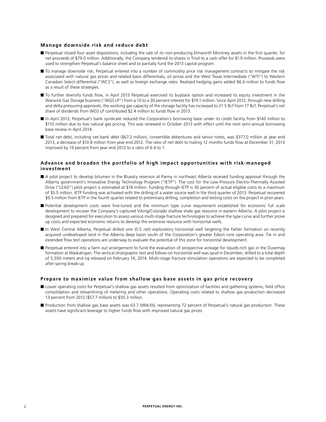## **Manage downside risk and reduce debt**

- Perpetual closed four asset dispositions, including the sale of its non-producing Elmworth Montney assets in the first quarter, for net proceeds of \$79.0 million. Additionally, the Company tendered its shares in Trioil to a cash offer for \$1.9 million. Proceeds were used to strengthen Perpetual's balance sheet and to partially fund the 2013 capital program.
- To manage downside risk, Perpetual entered into a number of commodity price risk management contracts to mitigate the risk associated with natural gas prices and related basis differentials, oil prices and the West Texas Intermediate ("WTI") to Western Canadian Select differential ("WCS"), as well as foreign exchange rates. Realized hedging gains added \$6.6 million to funds flow as a result of these strategies.
- To further diversify funds flow, in April 2013 Perpetual exercised its buyback option and increased its equity investment in the Warwick Gas Storage business ("WGS LP") from a 10 to a 30 percent interest for \$19.1 million. Since April 2012, through new drilling and delta pressuring approvals, the working gas capacity of the storage facility has increased to 21.5 Bcf from 17 Bcf. Perpetual's net share of dividends from WGS LP contributed \$2.4 million to funds flow in 2013.
- In April 2013, Perpetual's bank syndicate reduced the Corporation's borrowing base under its credit facility from \$140 million to \$110 million due to low natural gas pricing. This was renewed in October 2013 with effect until the next semi-annual borrowing base review in April 2014.
- Total net debt, including net bank debt (\$67.2 million), convertible debentures and senior notes, was \$377.0 million at year end 2013, a decrease of \$10.8 million from year end 2012. The ratio of net debt to trailing 12 months funds flow at December 31, 2013 improved by 19 percent from year end 2012 to a ratio of 6.4 to 1.

# **Advance and broaden the portfolio of high impact opportunities with risk-managed investment**

- A pilot project to develop bitumen in the Bluesky reservoir at Panny in northeast Alberta received funding approval through the Alberta government's Innovative Energy Technology Program ("IETP"). The cost for the Low-Pressure Electro-Thermally Assisted Drive ("LEAD") pilot project is estimated at \$18 million. Funding through IETP is 30 percent of actual eligible costs to a maximum of \$5.5 million. IETP funding was activated with the drilling of a water source well in the third quarter of 2013. Perpetual recovered \$0.5 million from IETP in the fourth quarter related to preliminary drilling, completion and testing costs on the project in prior years.
- Potential development costs were fine-tuned and the minimum type curve requirement established for economic full scale development to recover the Company's captured Viking/Colorado shallow shale gas resource in eastern Alberta. A pilot project is designed and prepared for execution to assess various multi-stage fracture technologies to achieve the type curve and further prove up costs and expected economic returns to develop the extensive resource with horizontal wells.
- In West Central Alberta, Perpetual drilled one (0.5 net) exploratory horizontal well targeting the Fahler formation on recently acquired undeveloped land in the Alberta deep basin south of the Corporation's greater Edson core operating area. Tie in and extended flow test operations are underway to evaluate the potential of this zone for horizontal development.
- Perpetual entered into a farm out arrangement to fund the evaluation of prospective acreage for liquids-rich gas in the Duvernay formation at Waskahigan. The vertical stratigraphic test and follow-on horizontal well was spud in December, drilled to a total depth of 5,300 meters and rig released on February 14, 2014. Multi-stage fracture stimulation operations are expected to be completed after spring break-up.

# **Prepare to maximize value from shallow gas base assets in gas price recovery**

- Lower operating costs for Perpetual's shallow gas assets resulted from optimization of facilities and gathering systems, field office consolidation and streamlining of metering and other operations. Operating costs related to shallow gas production decreased 13 percent from 2012 (\$57.7 million) to \$50.3 million.
- Production from shallow gas base assets was 63.7 MMcf/d, representing 72 percent of Perpetual's natural gas production. These assets have significant leverage to higher funds flow with improved natural gas prices.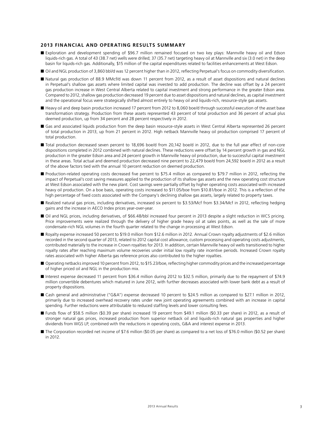## **2013 FINANCIAL AND OPERATING RESULTS SUMMARY**

- Exploration and development spending of \$96.7 million remained focused on two key plays: Mannville heavy oil and Edson liquids-rich gas. A total of 43 (38.7 net) wells were drilled; 37 (35.7 net) targeting heavy oil at Mannville and six (3.0 net) in the deep basin for liquids-rich gas. Additionally, \$15 million of the capital expenditures related to facilities enhancements at West Edson.
- Oil and NGL production of 3,860 bbl/d was 12 percent higher than in 2012, reflecting Perpetual's focus on commodity diversification.
- Natural gas production of 88.9 MMcf/d was down 11 percent from 2012, as a result of asset dispositions and natural declines in Perpetual's shallow gas assets where limited capital was invested to add production. The decline was offset by a 24 percent gas production increase in West Central Alberta related to capital investment and strong performance in the greater Edson area. Compared to 2012, shallow gas production decreased 19 percent due to asset dispositions and natural declines, as capital investment and the operational focus were strategically shifted almost entirely to heavy oil and liquids-rich, resource-style gas assets.
- Heavy oil and deep basin production increased 17 percent from 2012 to 8,060 boe/d through successful execution of the asset base transformation strategy. Production from these assets represented 43 percent of total production and 36 percent of actual plus deemed production, up from 34 percent and 28 percent respectively in 2012.
- Gas and associated liquids production from the deep basin resource-style assets in West Central Alberta represented 26 percent of total production in 2013, up from 21 percent in 2012. High netback Mannville heavy oil production comprised 17 percent of total production.
- Total production decreased seven percent to 18,696 boe/d from 20,142 boe/d in 2012, due to the full year effect of non-core dispositions completed in 2012 combined with natural declines. These reductions were offset by 14 percent growth in gas and NGL production in the greater Edson area and 24 percent growth in Mannville heavy oil production, due to successful capital investment in these areas. Total actual and deemed production decreased nine percent to 22,479 boe/d from 24,592 boe/d in 2012 as a result of the above factors tied with the annual 10 percent reduction on deemed production.
- Production-related operating costs decreased five percent to \$75.4 million as compared to \$79.7 million in 2012, reflecting the impact of Perpetual's cost saving measures applied to the production of its shallow gas assets and the new operating cost structure at West Edson associated with the new plant. Cost savings were partially offset by higher operating costs associated with increased heavy oil production. On a boe basis, operating costs increased to \$11.05/boe from \$10.81/boe in 2012. This is a reflection of the high percentage of fixed costs associated with the Company's declining shallow gas assets, largely related to property taxes.
- Realized natural gas prices, including derivatives, increased six percent to \$3.53/Mcf from \$3.34/Mcf in 2012, reflecting hedging gains and the increase in AECO Index prices year-over-year.
- Oil and NGL prices, including derivatives, of \$66.48/bbl increased four percent in 2013 despite a slight reduction in WCS pricing. Price improvements were realized through the delivery of higher grade heavy oil at sales points, as well as the sale of more condensate-rich NGL volumes in the fourth quarter related to the change in processing at West Edson.
- Royalty expense increased 50 percent to \$19.0 million from \$12.6 million in 2012. Annual Crown royalty adjustments of \$2.6 million recorded in the second quarter of 2013, related to 2012 capital cost allowance, custom processing and operating costs adjustments, contributed materially to the increase in Crown royalties for 2013. In addition, certain Mannville heavy oil wells transitioned to higher royalty rates after reaching maximum volume recoveries under initial low royalty rate incentive periods. Increased Crown royalty rates associated with higher Alberta gas reference prices also contributed to the higher royalties.
- Operating netbacks improved 10 percent from 2012, to \$15.23/boe, reflecting higher commodity prices and the increased percentage of higher priced oil and NGL in the production mix.
- Interest expense decreased 11 percent from \$36.4 million during 2012 to \$32.5 million, primarily due to the repayment of \$74.9 million convertible debentures which matured in June 2012, with further decreases associated with lower bank debt as a result of property dispositions.
- Cash general and administrative ("G&A") expense decreased 10 percent to \$24.5 million as compared to \$27.1 million in 2012, primarily due to increased overhead recovery rates under new joint operating agreements combined with an increase in capital spending. Further reductions were attributable to reduced staffing levels and lower consulting fees.
- Funds flow of \$58.5 million (\$0.39 per share) increased 19 percent from \$49.1 million (\$0.33 per share) in 2012, as a result of stronger natural gas prices, increased production from superior netback oil and liquids-rich natural gas properties and higher dividends from WGS LP, combined with the reductions in operating costs, G&A and interest expense in 2013.
- The Corporation recorded net income of \$7.6 million (\$0.05 per share) as compared to a net loss of \$76.0 million (\$0.52 per share) in 2012.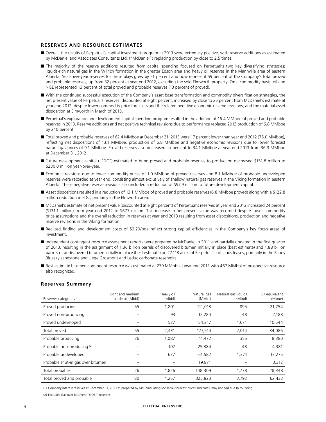## **RESERVES AND RESOURCE ESTIMATES**

- Overall, the results of Perpetual's capital investment program in 2013 were extremely positive, with reserve additions as estimated by McDaniel and Associates Consultants Ltd. ("McDaniel") replacing production by close to 2.5 times.
- The majority of the reserve additions resulted from capital spending focused on Perpetual's two key diversifying strategies; liquids-rich natural gas in the Wilrich formation in the greater Edson area and heavy oil reserves in the Mannville area of eastern Alberta. Year-over-year reserves for these plays grew by 51 percent and now represent 59 percent of the Company's total proved and probable reserves, up from 32 percent at year end 2012, excluding the sold Elmworth property. On a commodity basis, oil and NGL represented 13 percent of total proved and probable reserves (13 percent of proved).
- With the continued successful execution of the Company's asset base transformation and commodity diversification strategies, the net present value of Perpetual's reserves, discounted at eight percent, increased by close to 25 percent from McDaniel's estimate at year end 2012, despite lower commodity price forecasts and the related negative economic reserve revisions, and the material asset disposition at Elmworth in March of 2013.
- Perpetual's exploration and development capital spending program resulted in the addition of 16.4 MMboe of proved and probable reserves in 2013. Reserve additions and net positive technical revisions due to performance replaced 2013 production of 6.8 MMboe by 240 percent.
- Total proved and probable reserves of 62.4 MMboe at December 31, 2013 were 17 percent lower than year end 2012 (75.0 MMboe), reflecting net dispositions of 13.1 MMboe, production of 6.8 MMboe and negative economic revisions due to lower forecast natural gas prices of 9.1 MMboe. Proved reserves also decreased six percent to 34.1 MMboe at year end 2013 from 36.3 MMboe at December 31, 2012.
- Future development capital ("FDC") estimated to bring proved and probable reserves to production decreased \$151.8 million to \$230.0 million year-over-year.
- Economic revisions due to lower commodity prices of 1.0 MMboe of proved reserves and 8.1 MMboe of probable undeveloped reserves were recorded at year end, consisting almost exclusively of shallow natural gas reserves in the Viking formation in eastern Alberta. These negative reserve revisions also included a reduction of \$97.9 million to future development capital.
- Asset dispositions resulted in a reduction of 13.1 MMboe of proved and probable reserves (6.8 MMboe proved) along with a \$122.8 million reduction in FDC, primarily in the Elmworth area.
- McDaniel's estimate of net present value (discounted at eight percent) of Perpetual's reserves at year end 2013 increased 24 percent (\$131.1 million) from year end 2012 to \$677 million. This increase in net present value was recorded despite lower commodity price assumptions and the overall reduction in reserves at year end 2013 resulting from asset dispositions, production and negative reserve revisions in the Viking formation.
- Realized finding and development costs of \$9.29/boe reflect strong capital efficiencies in the Company's key focus areas of investment.
- Independent contingent resource assessment reports were prepared by McDaniel in 2011 and partially updated in the first quarter of 2013, resulting in the assignment of 1.36 billion barrels of discovered bitumen initially in place (best estimate) and 1.88 billion barrels of undiscovered bitumen initially in place (best estimate) on 27,113 acres of Perpetual's oil sands leases, primarily in the Panny Bluesky sandstone and Liege Grosmont and Leduc carbonate reservoirs.
- Best estimate bitumen contingent resource was estimated at 279 MMbbl at year end 2013 with 467 MMbbl of prospective resource also recognized.

# **Reserves Summary**

| Reserves categories <sup>(1)</sup>    | Light and medium<br>crude oil (Mbbl) | Heavy oil<br>(Mbbl) | Natural gas<br>(MMcf) | Natural gas liquids<br>(Mbbl) | Oil equivalent<br>(Mboe) |
|---------------------------------------|--------------------------------------|---------------------|-----------------------|-------------------------------|--------------------------|
| Proved producing                      | 55                                   | 1,801               | 111,013               | 895                           | 21,254                   |
| Proved non-producing                  |                                      | 93                  | 12,284                | 48                            | 2,188                    |
| Proved undeveloped                    |                                      | 537                 | 54,217                | 1,071                         | 10,644                   |
| Total proved                          | 55                                   | 2,431               | 177,514               | 2,014                         | 34,086                   |
| Probable producing                    | 26                                   | 1.087               | 41,472                | 355                           | 8,380                    |
| Probable non-producing <sup>(2)</sup> |                                      | 102                 | 25,384                | 48                            | 4,381                    |
| Probable undeveloped                  |                                      | 637                 | 61,582                | 1,374                         | 12,275                   |
| Probable shut-in gas over bitumen     |                                      |                     | 19,871                |                               | 3,312                    |
| Total probable                        | 26                                   | 1,826               | 148,309               | 1,778                         | 28,348                   |
| Total proved and probable             | 80                                   | 4,257               | 325,823               | 3,792                         | 62,433                   |

(1) Company interest reserves at December 31, 2013 as prepared by McDaniel using McDaniel forecast prices and costs; may not add due to rounding.

(2) Excludes Gas over Bitumen ("GOB") reserves.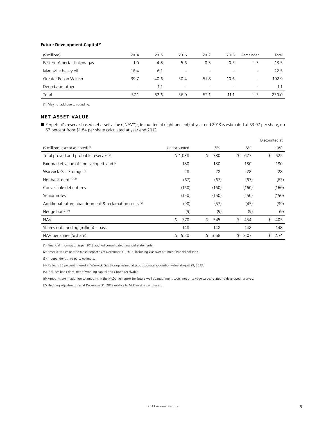# **Future Development Capital (1)**

| (\$ millions)               | 2014                     | 2015 | 2016                     | 2017                     | 2018   | Remainder                | Total |
|-----------------------------|--------------------------|------|--------------------------|--------------------------|--------|--------------------------|-------|
| Eastern Alberta shallow gas | 1.0                      | 4.8  | 5.6                      | 0.3                      | 0.5    | 1.3                      | 13.5  |
| Mannville heavy oil         | 16.4                     | 6.1  | $\blacksquare$           | $\blacksquare$           | $\sim$ | $\sim$                   | 22.5  |
| Greater Edson Wilrich       | 39.7                     | 40.6 | 50.4                     | 51.8                     | 10.6   | $\overline{\phantom{a}}$ | 192.9 |
| Deep basin other            | $\overline{\phantom{a}}$ | 1.1  | $\overline{\phantom{0}}$ | $\overline{\phantom{a}}$ | $\sim$ | $\overline{\phantom{a}}$ | 1.1   |
| Total                       | 57.1                     | 52.6 | 56.0                     | 52.1                     | 11.1   | 1.3                      | 230.0 |

(1) May not add due to rounding.

# **NET ASSET VALUE**

■ Perpetual's reserve-based net asset value ("NAV") (discounted at eight percent) at year end 2013 is estimated at \$3.07 per share, up 67 percent from \$1.84 per share calculated at year end 2012.

|                                                       |              |             |            | Discounted at |
|-------------------------------------------------------|--------------|-------------|------------|---------------|
| (\$ millions, except as noted) (1)                    | Undiscounted | 5%          | 8%         | 10%           |
| Total proved and probable reserves <sup>(2)</sup>     | \$1,038      | \$<br>780   | \$<br>677  | \$<br>622     |
| Fair market value of undeveloped land (3)             | 180          | 180         | 180        | 180           |
| Warwick Gas Storage (4)                               | 28           | 28          | 28         | 28            |
| Net bank debt $(1)(5)$                                | (67)         | (67)        | (67)       | (67)          |
| Convertible debentures                                | (160)        | (160)       | (160)      | (160)         |
| Senior notes                                          | (150)        | (150)       | (150)      | (150)         |
| Additional future abandonment & reclamation costs (6) | (90)         | (57)        | (45)       | (39)          |
| Hedge book (7)                                        | (9)          | (9)         | (9)        | (9)           |
| <b>NAV</b>                                            | \$<br>770    | \$<br>545   | \$<br>454  | \$<br>405     |
| Shares outstanding (million) – basic                  | 148          | 148         | 148        | 148           |
| NAV per share (\$/share)                              | 5.20<br>\$   | \$.<br>3.68 | \$<br>3.07 | 2.74          |

(1) Financial information is per 2013 audited consolidated financial statements.

(2) Reserve values per McDaniel Report as at December 31, 2013, including Gas over Bitumen financial solution.

(3) Independent third party estimate.

(4) Reflects 30 percent interest in Warwick Gas Storage valued at proportionate acquisition value at April 29, 2013.

(5) Includes bank debt, net of working capital and Crown receivable.

(6) Amounts are in addition to amounts in the McDaniel report for future well abandonment costs, net of salvage value, related to developed reserves.

(7) Hedging adjustments as at December 31, 2013 relative to McDaniel price forecast.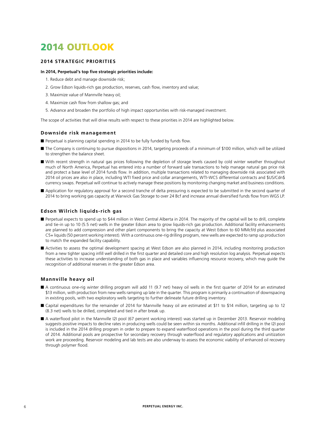# 2014 OUTLOOK

# **2014 STRATEGIC PRIORITIES**

### **In 2014, Perpetual's top five strategic priorities include:**

- 1. Reduce debt and manage downside risk;
- 2. Grow Edson liquids-rich gas production, reserves, cash flow, inventory and value;
- 3. Maximize value of Mannville heavy oil;
- 4. Maximize cash flow from shallow gas; and
- 5. Advance and broaden the portfolio of high impact opportunities with risk-managed investment.

The scope of activities that will drive results with respect to these priorities in 2014 are highlighted below.

## **Downside risk management**

- Perpetual is planning capital spending in 2014 to be fully funded by funds flow.
- The Company is continuing to pursue dispositions in 2014, targeting proceeds of a minimum of \$100 million, which will be utilized to strengthen the balance sheet.
- With recent strength in natural gas prices following the depletion of storage levels caused by cold winter weather throughout much of North America, Perpetual has entered into a number of forward sale transactions to help manage natural gas price risk and protect a base level of 2014 funds flow. In addition, multiple transactions related to managing downside risk associated with 2014 oil prices are also in place, including WTI fixed price and collar arrangements, WTI-WCS differential contracts and \$US/Cdn\$ currency swaps. Perpetual will continue to actively manage these positions by monitoring changing market and business conditions.
- Application for regulatory approval for a second tranche of delta pressuring is expected to be submitted in the second quarter of 2014 to bring working gas capacity at Warwick Gas Storage to over 24 Bcf and increase annual diversified funds flow from WGS LP.

## **Edson Wilrich liquids-rich gas**

- Perpetual expects to spend up to \$44 million in West Central Alberta in 2014. The majority of the capital will be to drill, complete and tie-in up to 10 (5.5 net) wells in the greater Edson area to grow liquids-rich gas production. Additional facility enhancements are planned to add compression and other plant components to bring the capacity at West Edson to 60 MMcf/d plus associated C5+ liquids (50 percent working interest). With a continuous one-rig drilling program, new wells are expected to ramp up production to match the expanded facility capability.
- Activities to assess the optimal development spacing at West Edson are also planned in 2014, including monitoring production from a new tighter spacing infill well drilled in the first quarter and detailed core and high resolution log analysis. Perpetual expects these activities to increase understanding of both gas in place and variables influencing resource recovery, which may guide the recognition of additional reserves in the greater Edson area.

# **Mannville heavy oil**

- A continuous one-rig winter drilling program will add 11 (9.7 net) heavy oil wells in the first quarter of 2014 for an estimated \$13 million, with production from new wells ramping up late in the quarter. This program is primarily a continuation of downspacing in existing pools, with two exploratory wells targeting to further delineate future drilling inventory.
- Capital expenditures for the remainder of 2014 for Mannville heavy oil are estimated at \$11 to \$14 million, targeting up to 12 (8.3 net) wells to be drilled, completed and tied in after break up.
- A waterflood pilot in the Mannville I2I pool (67 percent working interest) was started up in December 2013. Reservoir modeling suggests positive impacts to decline rates in producing wells could be seen within six months. Additional infill drilling in the I2I pool is included in the 2014 drilling program in order to prepare to expand waterflood operations in the pool during the third quarter of 2014. Additional pools are prospective for secondary recovery through waterflood and regulatory applications and unitization work are proceeding. Reservoir modeling and lab tests are also underway to assess the economic viability of enhanced oil recovery through polymer flood.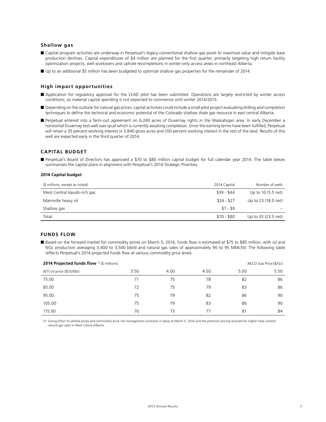## **Shallow gas**

- Capital program activities are underway in Perpetual's legacy conventional shallow gas pools to maximize value and mitigate base production declines. Capital expenditures of \$4 million are planned for the first quarter, primarily targeting high return facility optimization projects, well workovers and uphole recompletions in winter-only access areas in northeast Alberta.
- Up to an additional \$5 million has been budgeted to optimize shallow gas properties for the remainder of 2014.

# **High impact opportunities**

- Application for regulatory approval for the LEAD pilot has been submitted. Operations are largely restricted by winter access conditions, so material capital spending is not expected to commence until winter 2014/2015.
- Depending on the outlook for natural gas prices, capital activities could include a small pilot project evaluating drilling and completion techniques to define the technical and economic potential of the Colorado shallow shale gas resource in east central Alberta.
- Perpetual entered into a farm-out agreement on 6,240 acres of Duvernay rights in the Waskahigan area. In early December a horizontal Duvernay test well was spud which is currently awaiting completion. Once the earning terms have been fulfilled, Perpetual will retain a 35 percent working interest in 3,840 gross acres and 100 percent working interest in the rest of the land. Results of this well are expected early in the third quarter of 2014.

# **CAPITAL BUDGET**

■ Perpetual's Board of Directors has approved a \$70 to \$80 million capital budget for full calendar year 2014. The table below summarizes the capital plans in alignment with Perpetual's 2014 Strategic Priorities.

### **2014 Capital budget**

| (\$ millions, except as noted) | 2014 Capital | Number of wells     |
|--------------------------------|--------------|---------------------|
| West Central liquids-rich gas  | $$39 - $44$  | Up to 10 (5.5 net)  |
| Mannville heavy oil            | $$24 - $27$  | Up to 23 (18.0 net) |
| Shallow gas                    | $$7 - $9$    |                     |
| Total                          | \$70 - \$80  | Up to 33 (23.5 net) |

# **FUNDS FLOW**

■ Based on the forward market for commodity prices on March 5, 2014, funds flow is estimated at \$75 to \$85 million, with oil and NGL production averaging 3,400 to 3,500 bbl/d and natural gas sales of approximately 90 to 95 MMcf/d. The following table reflects Perpetual's 2014 projected funds flow at various commodity price levels.

| <b>2014 Projected funds flow</b> $(1)$ (\$ millions) | AECO Gas Price (\$/GJ) |      |      |      |      |
|------------------------------------------------------|------------------------|------|------|------|------|
| WTI oil price (\$US/bbl)                             | 3.50                   | 4.00 | 4.50 | 5.00 | 5.50 |
| 75.00                                                | 71                     | 75   | 78   | 82   | 86   |
| 85.00                                                | 72                     | 75   | 79   | 83   | 86   |
| 95.00                                                | 75                     | 79   | 82   | 86   | 90   |
| 105.00                                               | 75                     | 79   | 83   | 86   | 90   |
| 115.00                                               | 70                     | 73   | 77   | 81   | 84   |

(1) Giving effect to settled prices and commodity price risk management contracts in place at March 5, 2014 and the premium pricing received for higher heat content natural gas sales in West Centra Alberta.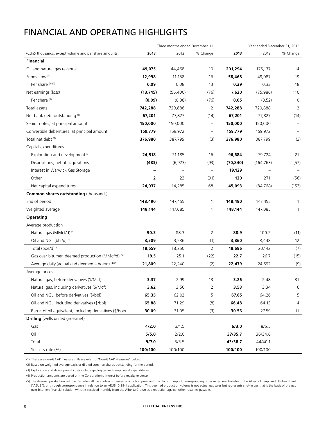# FINANCIAL AND OPERATING HIGHLIGHTS

|                                                            |           | Three months ended December 31 |                          |           | Year ended December 31, 2013 |                |
|------------------------------------------------------------|-----------|--------------------------------|--------------------------|-----------|------------------------------|----------------|
| (Cdn\$ thousands, except volume and per share amounts)     | 2013      | 2012                           | % Change                 | 2013      | 2012                         | % Change       |
| <b>Financial</b>                                           |           |                                |                          |           |                              |                |
| Oil and natural gas revenue                                | 49,075    | 44,468                         | 10                       | 201,294   | 176,137                      | 14             |
| Funds flow (1)                                             | 12,998    | 11,158                         | 16                       | 58,468    | 49,087                       | 19             |
| Per share (1) (2)                                          | 0.09      | 0.08                           | 13                       | 0.39      | 0.33                         | 18             |
| Net earnings (loss)                                        | (13, 745) | (56, 400)                      | (76)                     | 7,620     | (75, 986)                    | 110            |
| Per share <sup>(2)</sup>                                   | (0.09)    | (0.38)                         | (76)                     | 0.05      | (0.52)                       | 110            |
| Total assets                                               | 742,288   | 729,888                        | 2                        | 742,288   | 729,888                      | $\overline{2}$ |
| Net bank debt outstanding (1)                              | 67,201    | 77,827                         | (14)                     | 67,201    | 77,827                       | (14)           |
| Senior notes, at principal amount                          | 150,000   | 150,000                        | -                        | 150,000   | 150,000                      |                |
| Convertible debentures, at principal amount                | 159,779   | 159,972                        | $\equiv$                 | 159,779   | 159,972                      |                |
| Total net debt (1)                                         | 376,980   | 387,799                        | (3)                      | 376,980   | 387,799                      | (3)            |
| Capital expenditures                                       |           |                                |                          |           |                              |                |
| Exploration and development <sup>(3)</sup>                 | 24,518    | 21,185                         | 16                       | 96,684    | 79,724                       | 21             |
| Dispositions, net of acquisitions                          | (483)     | (6, 923)                       | (93)                     | (70, 840) | (164, 763)                   | (57)           |
| Interest in Warwick Gas Storage                            |           |                                | $\overline{\phantom{0}}$ | 19,129    |                              |                |
| Other                                                      | 2         | 23                             | (91)                     | 120       | 271                          | (56)           |
| Net capital expenditures                                   | 24,037    | 14,285                         | 68                       | 45,093    | (84, 768)                    | (153)          |
| Common shares outstanding (thousands)                      |           |                                |                          |           |                              |                |
| End of period                                              | 148,490   | 147,455                        | 1                        | 148,490   | 147,455                      | 1              |
| Weighted average                                           | 148,144   | 147,085                        | 1                        | 148,144   | 147,085                      | 1              |
| Operating                                                  |           |                                |                          |           |                              |                |
| Average production                                         |           |                                |                          |           |                              |                |
| Natural gas (MMcf/d) (4)                                   | 90.3      | 88.3                           | 2                        | 88.9      | 100.2                        | (11)           |
| Oil and NGL (bbl/d) (4)                                    | 3,509     | 3,536                          | (1)                      | 3,860     | 3,448                        | 12             |
| Total (boe/d) <sup>(5)</sup>                               | 18,559    | 18,250                         | 2                        | 18,696    | 20,142                       | (7)            |
| Gas over bitumen deemed production (MMcf/d) <sup>(5)</sup> | 19.5      | 25.1                           | (22)                     | 22.7      | 26.7                         | (15)           |
| Average daily (actual and deemed - boe/d) (4) (5)          | 21,809    | 22,240                         | (2)                      | 22,479    | 24,592                       | (9)            |
| Average prices                                             |           |                                |                          |           |                              |                |
| Natural gas, before derivatives (\$/Mcf)                   | 3.37      | 2.99                           | 13                       | 3.26      | 2.48                         | 31             |
| Natural gas, including derivatives (\$/Mcf)                | 3.62      | 3.56                           | 2                        | 3.53      | 3.34                         | 6              |
| Oil and NGL, before derivatives (\$/bbl)                   | 65.35     | 62.02                          | 5                        | 67.65     | 64.26                        | 5              |
| Oil and NGL, including derivatives (\$/bbl)                | 65.88     | 71.29                          | (8)                      | 66.48     | 64.13                        | 4              |
| Barrel of oil equivalent, including derivatives (\$/boe)   | 30.09     | 31.05                          | (3)                      | 30.56     | 27.59                        | 11             |
| <b>Drilling</b> (wells drilled gross/net)                  |           |                                |                          |           |                              |                |
| Gas                                                        | 4/2.0     | 3/1.5                          |                          | 6/3.0     | 8/5.5                        |                |
| Oil                                                        | 5/5.0     | 2/2.0                          |                          | 37/35.7   | 36/34.6                      |                |
| Total                                                      | 9/7.0     | 5/3.5                          |                          | 43/38.7   | 44/40.1                      |                |
| Success rate (%)                                           | 100/100   | 100/100                        |                          | 100/100   | 100/100                      |                |

(1) These are non-GAAP measures. Please refer to "Non-GAAP Measures" below.

(2) Based on weighted average basic or diluted common shares outstanding for the period.

(3) Exploration and development costs include geological and geophysical expenditures.

(4) Production amounts are based on the Corporation's interest before royalty expense.

(5) The deemed production volume describes all gas shut-in or denied production pursuant to a decision report, corresponding order or general bulletin of the Alberta Energy and Utilities Board ("AEUB"), or through correspondence in relation to an AEUB ID 99-1 application. This deemed production volume is not actual gas sales but represents shut-in gas that is the basis of the gas over bitumen financial solution which is received monthly from the Alberta Crown as a reduction against other royalties payable.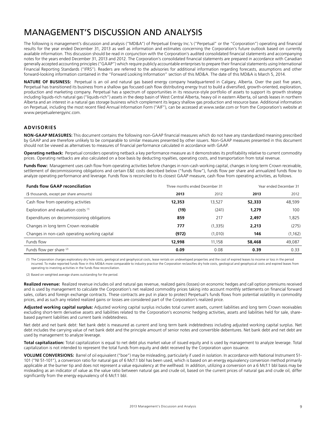# MANAGEMENT'S DISCUSSION AND ANALYSIS

The following is management's discussion and analysis ("MD&A") of Perpetual Energy Inc.'s ("Perpetual" or the "Corporation") operating and financial results for the year ended December 31, 2013 as well as information and estimates concerning the Corporation's future outlook based on currently available information. This discussion should be read in conjunction with the Corporation's audited consolidated financial statements and accompanying notes for the years ended December 31, 2013 and 2012. The Corporation's consolidated financial statements are prepared in accordance with Canadian generally accepted accounting principles ("GAAP") which require publicly accountable enterprises to prepare their financial statements using International Financial Reporting Standards ("IFRS"). Readers are referred to the advisories for additional information regarding forecasts, assumptions and other forward-looking information contained in the "Forward Looking Information" section of this MD&A. The date of this MD&A is March 5, 2014.

**NATURE OF BUSINESS:** Perpetual is an oil and natural gas based energy company headquartered in Calgary, Alberta. Over the past five years, Perpetual has transitioned its business from a shallow gas focused cash flow distributing energy trust to build a diversified, growth-oriented, exploration, production and marketing company. Perpetual has a spectrum of opportunities in its resource-style portfolio of assets to support its growth strategy including liquids-rich natural gas ("liquids-rich") assets in the deep basin of West Central Alberta, heavy oil in eastern Alberta, oil sands leases in northern Alberta and an interest in a natural gas storage business which complement its legacy shallow gas production and resource base. Additional information on Perpetual, including the most recent filed Annual Information Form ("AIF"), can be accessed at www.sedar.com or from the Corporation's website at www.perpetualenergyinc.com.

# **ADVISORIES**

**NON-GAAP MEASURES:** This document contains the following non-GAAP financial measures which do not have any standardized meaning prescribed by GAAP and are therefore unlikely to be comparable to similar measures presented by other issuers. Non-GAAP measures presented in this document should not be viewed as alternatives to measures of financial performance calculated in accordance with GAAP.

**Operating netback:** Perpetual considers operating netback a key performance measure as it demonstrates its profitability relative to current commodity prices. Operating netbacks are also calculated on a boe basis by deducting royalties, operating costs, and transportation from total revenue.

**Funds flow:** Management uses cash flow from operating activities before changes in non-cash working capital, changes in long term Crown receivable, settlement of decommissioning obligations and certain E&E costs described below ("funds flow"), funds flow per share and annualized funds flow to analyze operating performance and leverage. Funds flow is reconciled to its closest GAAP measure, cash flow from operating activities, as follows.

| <b>Funds flow GAAP reconciliation</b>         | Three months ended December 31 |          |        | Year ended December 31 |
|-----------------------------------------------|--------------------------------|----------|--------|------------------------|
| (\$ thousands, except per share amounts)      | 2013                           | 2012     | 2013   | 2012                   |
| Cash flow from operating activities           | 12,353                         | 13,527   | 52,333 | 48,599                 |
| Exploration and evaluation costs (1)          | (19)                           | (241)    | 1,279  | 100                    |
| Expenditures on decommissioning obligations   | 859                            | 217      | 2.497  | 1,825                  |
| Changes in long term Crown receivable         | 777                            | (1, 335) | 2.213  | (275)                  |
| Changes in non-cash operating working capital | (972)                          | (1,010)  | 146    | (1, 162)               |
| Funds flow                                    | 12,998                         | 11,158   | 58,468 | 49,087                 |
| Funds flow per share (2)                      | 0.09                           | 0.08     | 0.39   | 0.33                   |

(1) The Corporation charges exploratory dry hole costs, geological and geophysical costs, lease rentals on undeveloped properties and the cost of expired leases to income or loss in the period incurred. To make reported funds flow in this MD&A more comparable to industry practice the Corporation reclassifies dry hole costs, geological and geophysical costs and expired leases from operating to investing activities in the funds flow reconciliation.

(2) Based on weighted average shares outstanding for the period.

**Realized revenue:** Realized revenue includes oil and natural gas revenue, realized gains (losses) on economic hedges and call option premiums received and is used by management to calculate the Corporation's net realized commodity prices taking into account monthly settlements on financial forward sales, collars and foreign exchange contracts. These contracts are put in place to protect Perpetual's funds flows from potential volatility in commodity prices, and as such any related realized gains or losses are considered part of the Corporation's realized price.

**Adjusted working capital surplus:** Adjusted working capital surplus includes total current assets, current liabilities and long term Crown receivables excluding short-term derivative assets and liabilities related to the Corporation's economic hedging activities, assets and liabilities held for sale, sharebased payment liabilities and current bank indebtedness.

Net debt and net bank debt: Net bank debt is measured as current and long term bank indebtedness including adjusted working capital surplus. Net debt includes the carrying value of net bank debt and the principle amount of senior notes and convertible debentures. Net bank debt and net debt are used by management to analyze leverage.

**Total capitalization:** Total capitalization is equal to net debt plus market value of issued equity and is used by management to analyze leverage. Total capitalization is not intended to represent the total funds from equity and debt received by the Corporation upon issuance.

**VOLUME CONVERSIONS:** Barrel of oil equivalent ("boe") may be misleading, particularly if used in isolation. In accordance with National Instrument 51- 101 ("NI 51-101"), a conversion ratio for natural gas of 6 Mcf:1 bbl has been used, which is based on an energy equivalency conversion method primarily applicable at the burner tip and does not represent a value equivalency at the wellhead. In addition, utilizing a conversion on a 6 Mcf:1 bbl basis may be misleading as an indicator of value as the value ratio between natural gas and crude oil, based on the current prices of natural gas and crude oil, differ significantly from the energy equivalency of 6 Mcf:1 bbl.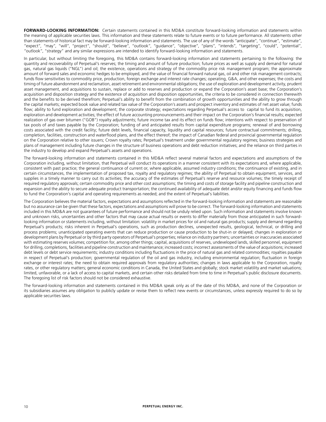**FORWARD-LOOKING INFORMATION:** Certain statements contained in this MD&A constitute forward-looking information and statements within the meaning of applicable securities laws. This information and these statements relate to future events or to future performance. All statements other than statements of historical fact may be forward-looking information and statements. The use of any of the words "anticipate", "continue", "estimate", "expect", "may", "will", "project", "should", "believe", "outlook", "guidance", "objective", "plans", "intends", "targeting", "could", "potential", "outlook", "strategy" and any similar expressions are intended to identify forward-looking information and statements.

In particular, but without limiting the foregoing, this MD&A contains forward-looking information and statements pertaining to the following: the quantity and recoverability of Perpetual's reserves; the timing and amount of future production; future prices as well as supply and demand for natural gas, natural gas liquids ("NGL") and oil; the existence, operations and strategy of the commodity price risk management program; the approximate amount of forward sales and economic hedges to be employed, and the value of financial forward natural gas, oil and other risk management contracts; funds flow sensitivities to commodity price, production, foreign exchange and interest rate changes; operating, G&A, and other expenses; the costs and timing of future abandonment and reclamation, asset retirement and environmental obligations; the use of exploration and development activity, prudent asset management, and acquisitions to sustain, replace or add to reserves and production or expand the Corporation's asset base; the Corporation's acquisition and disposition strategy and the existence of acquisition and disposition opportunities, the criteria to be considered in connection therewith and the benefits to be derived therefrom; Perpetual's ability to benefit from the combination of growth opportunities and the ability to grow through the capital markets; expected book value and related tax value of the Corporation's assets and prospect inventory and estimates of net asset value; funds flow; ability to fund exploration and development; the corporate strategy; expectations regarding Perpetual's access to capital to fund its acquisition, exploration and development activities; the effect of future accounting pronouncements and their impact on the Corporation's financial results; expected realization of gas over bitumen ("GOB") royalty adjustments; future income tax and its effect on funds flow; intentions with respect to preservation of tax pools of and taxes payable by the Corporation; funding of and anticipated results from capital expenditure programs; renewal of and borrowing costs associated with the credit facility; future debt levels, financial capacity, liquidity and capital resources; future contractual commitments; drilling, completion, facilities, construction and waterflood plans, and the effect thereof; the impact of Canadian federal and provincial governmental regulation on the Corporation relative to other issuers; Crown royalty rates; Perpetual's treatment under governmental regulatory regimes; business strategies and plans of management including future changes in the structure of business operations and debt reduction initiatives; and the reliance on third parties in the industry to develop and expand Perpetual's assets and operations.

The forward-looking information and statements contained in this MD&A reflect several material factors and expectations and assumptions of the Corporation including, without limitation, that Perpetual will conduct its operations in a manner consistent with its expectations and, where applicable, consistent with past practice; the general continuance of current or, where applicable, assumed industry conditions; the continuance of existing, and in certain circumstances, the implementation of proposed tax, royalty and regulatory regimes; the ability of Perpetual to obtain equipment, services, and supplies in a timely manner to carry out its activities; the accuracy of the estimates of Perpetual's reserve and resource volumes; the timely receipt of required regulatory approvals; certain commodity price and other cost assumptions; the timing and costs of storage facility and pipeline construction and expansion and the ability to secure adequate product transportation; the continued availability of adequate debt and/or equity financing and funds flow to fund the Corporation's capital and operating requirements as needed; and the extent of Perpetual's liabilities.

The Corporation believes the material factors, expectations and assumptions reflected in the forward-looking information and statements are reasonable but no assurance can be given that these factors, expectations and assumptions will prove to be correct. The forward-looking information and statements included in this MD&A are not guarantees of future performance and should not be unduly relied upon. Such information and statements involve known and unknown risks, uncertainties and other factors that may cause actual results or events to differ materially from those anticipated in such forwardlooking information or statements including, without limitation: volatility in market prices for oil and natural gas products; supply and demand regarding Perpetual's products; risks inherent in Perpetual's operations, such as production declines, unexpected results, geological, technical, or drilling and process problems; unanticipated operating events that can reduce production or cause production to be shut-in or delayed; changes in exploration or development plans by Perpetual or by third party operators of Perpetual's properties; reliance on industry partners; uncertainties or inaccuracies associated with estimating reserves volumes; competition for, among other things; capital, acquisitions of reserves, undeveloped lands, skilled personnel, equipment for drilling, completions, facilities and pipeline construction and maintenance; increased costs; incorrect assessments of the value of acquisitions; increased debt levels or debt service requirements; industry conditions including fluctuations in the price of natural gas and related commodities; royalties payable in respect of Perpetual's production; governmental regulation of the oil and gas industry, including environmental regulation; fluctuation in foreign exchange or interest rates; the need to obtain required approvals from regulatory authorities; changes in laws applicable to the Corporation, royalty rates, or other regulatory matters; general economic conditions in Canada, the United States and globally; stock market volatility and market valuations; limited, unfavorable, or a lack of access to capital markets, and certain other risks detailed from time to time in Perpetual's public disclosure documents. The foregoing list of risk factors should not be considered exhaustive.

The forward-looking information and statements contained in this MD&A speak only as of the date of this MD&A, and none of the Corporation or its subsidiaries assumes any obligation to publicly update or revise them to reflect new events or circumstances, unless expressly required to do so by applicable securities laws.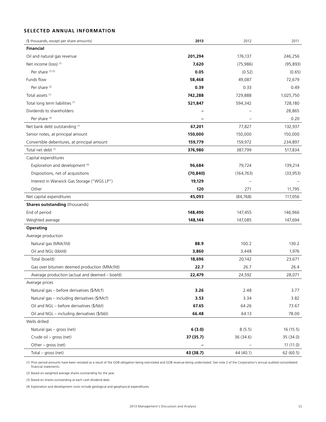# **SELECTED ANNUAL INFORMATION**

| (\$ thousands, except per share amounts)       | 2013      | 2012       | 2011      |
|------------------------------------------------|-----------|------------|-----------|
| <b>Financial</b>                               |           |            |           |
| Oil and natural gas revenue                    | 201,294   | 176,137    | 246,256   |
| Net income (loss) (1)                          | 7,620     | (75, 986)  | (95, 893) |
| Per share (1) (2)                              | 0.05      | (0.52)     | (0.65)    |
| Funds flow                                     | 58,468    | 49,087     | 72,679    |
| Per share <sup>(2)</sup>                       | 0.39      | 0.33       | 0.49      |
| Total assets <sup>(1)</sup>                    | 742,288   | 729,888    | 1,025,750 |
| Total long term liabilities (1)                | 521,847   | 594,342    | 728,180   |
| Dividends to shareholders                      |           |            | 28,865    |
| Per share <sup>(3)</sup>                       |           |            | 0.20      |
| Net bank debt outstanding (1)                  | 67,201    | 77,827     | 132,937   |
| Senior notes, at principal amount              | 150,000   | 150,000    | 150,000   |
| Convertible debentures, at principal amount    | 159,779   | 159,972    | 234,897   |
| Total net debt (1)                             | 376,980   | 387,799    | 517,834   |
| Capital expenditures                           |           |            |           |
| Exploration and development <sup>(4)</sup>     | 96,684    | 79,724     | 139,214   |
| Dispositions, net of acquisitions              | (70, 840) | (164, 763) | (33,953)  |
| Interest in Warwick Gas Storage ("WGS LP")     | 19,129    |            |           |
| Other                                          | 120       | 271        | 11,795    |
| Net capital expenditures                       | 45,093    | (84, 768)  | 117,056   |
| <b>Shares outstanding (thousands)</b>          |           |            |           |
| End of period                                  | 148,490   | 147,455    | 146,966   |
| Weighted average                               | 148,144   | 147,085    | 147,694   |
| Operating                                      |           |            |           |
| Average production                             |           |            |           |
| Natural gas (MMcf/d)                           | 88.9      | 100.2      | 130.2     |
| Oil and NGL (bbl/d)                            | 3,860     | 3,448      | 1,976     |
| Total (boe/d)                                  | 18,696    | 20,142     | 23,671    |
| Gas over bitumen deemed production (MMcf/d)    | 22.7      | 26.7       | 26.4      |
| Average production (actual and deemed - boe/d) | 22,479    | 24,592     | 28.071    |
| Average prices                                 |           |            |           |
| Natural gas - before derivatives (\$/Mcf)      | 3.26      | 2.48       | 3.77      |
| Natural gas - including derivatives (\$/Mcf)   | 3.53      | 3.34       | 3.82      |
| Oil and NGL - before derivatives (\$/bbl)      | 67.65     | 64.26      | 73.67     |
| Oil and NGL - including derivatives (\$/bbl)   | 66.48     | 64.13      | 78.00     |
| Wells drilled                                  |           |            |           |
| Natural gas - gross (net)                      | 6(3.0)    | 8(5.5)     | 16 (15.5) |
| Crude oil - gross (net)                        | 37 (35.7) | 36 (34.6)  | 35 (34.0) |
| Other - gross (net)                            |           |            | 11(11.0)  |
| Total - gross (net)                            | 43 (38.7) | 44 (40.1)  | 62 (60.5) |

(1) Prior period amounts have been restated as a result of the GOB obligation being overstated and GOB revenue being understated. See note 2 of the Corporation's annual audited consolidated financial statements.

(2) Based on weighted average shares outstanding for the year.

(3) Based on shares outstanding at each cash dividend date.

(4) Exploration and development costs include geological and geophysical expenditures.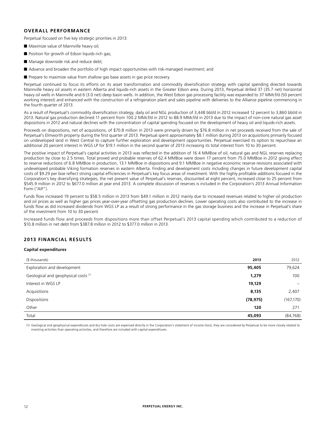# **OVERALL PERFORMANCE**

Perpetual focused on five key strategic priorities in 2013:

- Maximize value of Mannville heavy oil;
- Position for growth of Edson liquids-rich gas;
- Manage downside risk and reduce debt;
- Advance and broaden the portfolio of high impact opportunities with risk-managed investment; and
- Prepare to maximize value from shallow gas base assets in gas price recovery.

Perpetual continued to focus its efforts on its asset transformation and commodity diversification strategy with capital spending directed towards Mannville heavy oil assets in eastern Alberta and liquids-rich assets in the Greater Edson area. During 2013, Perpetual drilled 37 (35.7 net) horizontal heavy oil wells in Mannville and 6 (3.0 net) deep basin wells. In addition, the West Edson gas processing facility was expanded to 37 MMcf/d (50 percent working interest) and enhanced with the construction of a refrigeration plant and sales pipeline with deliveries to the Alliance pipeline commencing in the fourth quarter of 2013.

As a result of Perpetual's commodity diversification strategy, daily oil and NGL production of 3,448 bbl/d in 2012 increased 12 percent to 3,860 bbl/d in 2013. Natural gas production declined 11 percent from 100.2 MMcf/d in 2012 to 88.9 MMcf/d in 2013 due to the impact of non-core natural gas asset dispositions in 2012 and natural declines with the concentration of capital spending focused on the development of heavy oil and liquids-rich assets.

Proceeds on dispositions, net of acquisitions, of \$70.8 million in 2013 were primarily driven by \$76.8 million in net proceeds received from the sale of Perpetual's Elmworth property during the first quarter of 2013. Perpetual spent approximately \$8.1 million during 2013 on acquisitions primarily focused on undeveloped land in West Central to capture further exploration and development opportunities. Perpetual exercised its option to repurchase an additional 20 percent interest in WGS LP for \$19.1 million in the second quarter of 2013 increasing its total interest from 10 to 30 percent.

The positive impact of Perpetual's capital activities in 2013 was reflected in the addition of 16.4 MMBoe of oil, natural gas and NGL reserves replacing production by close to 2.5 times. Total proved and probable reserves of 62.4 MMBoe were down 17 percent from 75.0 MMBoe in 2012 giving effect to reserve reductions of 6.8 MMBoe in production, 13.1 MMBoe in dispositions and 9.1 MMBoe in negative economic reserve revisions associated with undeveloped probable Viking formation reserves in eastern Alberta. Finding and development costs including changes in future development capital costs of \$9.29 per boe reflect strong capital efficiencies in Perpetual's key focus areas of investment. With the highly profitable additions focused in the Corporation's key diversifying strategies, the net present value of Perpetual's reserves, discounted at eight percent, increased close to 25 percent from \$545.9 million in 2012 to \$677.0 million at year end 2013. A complete discussion of reserves is included in the Corporation's 2013 Annual Information Form ("AIF").

Funds flow increased 19 percent to \$58.5 million in 2013 from \$49.1 million in 2012 mainly due to increased revenues related to higher oil production and oil prices as well as higher gas prices year-over-year offsetting gas production declines. Lower operating costs also contributed to the increase in funds flow as did increased dividends from WGS LP as a result of strong performance in the gas storage business and the increase in Perpetual's share of the investment from 10 to 30 percent.

Increased funds flow and proceeds from dispositions more than offset Perpetual's 2013 capital spending which contributed to a reduction of \$10.8 million in net debt from \$387.8 million in 2012 to \$377.0 million in 2013.

# **2013 FINANCIAL RESULTS**

## **Capital expenditures**

| (\$ thousands)                       | 2013      | 2012              |
|--------------------------------------|-----------|-------------------|
| Exploration and development          | 95,405    | 79,624            |
| Geological and geophysical costs (1) | 1,279     | 100               |
| Interest in WGS LP                   | 19,129    | $\qquad \qquad -$ |
| Acquisitions                         | 8,135     | 2,407             |
| Dispositions                         | (78, 975) | (167, 170)        |
| Other                                | 120       | 271               |
| Total                                | 45,093    | (84, 768)         |

(1) Geological and geophysical expenditures and dry hole costs are expensed directly in the Corporation's statement of income (loss); they are considered by Perpetual to be more closely related to investing activities than operating activities, and therefore are included with capital expenditures.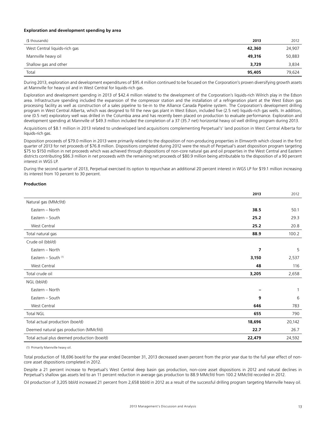## **Exploration and development spending by area**

| (\$ thousands)                | 2013   | 2012   |
|-------------------------------|--------|--------|
| West Central liquids-rich gas | 42,360 | 24,907 |
| Mannville heavy oil           | 49,316 | 50,883 |
| Shallow gas and other         | 3,729  | 3,834  |
| Total                         | 95,405 | 79,624 |

During 2013, exploration and development expenditures of \$95.4 million continued to be focused on the Corporation's proven diversifying growth assets at Mannville for heavy oil and in West Central for liquids-rich gas.

Exploration and development spending in 2013 of \$42.4 million related to the development of the Corporation's liquids-rich Wilrich play in the Edson area. Infrastructure spending included the expansion of the compressor station and the installation of a refrigeration plant at the West Edson gas processing facility as well as construction of a sales pipeline to tie-in to the Alliance Canada Pipeline system. The Corporation's development drilling program in West Central Alberta, which was designed to fill the new gas plant in West Edson, included five (2.5 net) liquids-rich gas wells. In addition, one (0.5 net) exploratory well was drilled in the Columbia area and has recently been placed on production to evaluate performance. Exploration and development spending at Mannville of \$49.3 million included the completion of a 37 (35.7 net) horizontal heavy oil well drilling program during 2013.

Acquisitions of \$8.1 million in 2013 related to undeveloped land acquisitions complementing Perpetual's' land position in West Central Alberta for liquids-rich gas.

Disposition proceeds of \$79.0 million in 2013 were primarily related to the disposition of non-producing properties in Elmworth which closed in the first quarter of 2013 for net proceeds of \$76.8 million. Dispositions completed during 2012 were the result of Perpetual's asset disposition program targeting \$75 to \$150 million in net proceeds which was achieved through dispositions of non-core natural gas and oil properties in the West Central and Eastern districts contributing \$86.3 million in net proceeds with the remaining net proceeds of \$80.9 million being attributable to the disposition of a 90 percent interest in WGS LP.

During the second quarter of 2013, Perpetual exercised its option to repurchase an additional 20 percent interest in WGS LP for \$19.1 million increasing its interest from 10 percent to 30 percent.

## **Production**

|                                             | 2013   | 2012   |
|---------------------------------------------|--------|--------|
| Natural gas (MMcf/d)                        |        |        |
| Eastern - North                             | 38.5   | 50.1   |
| Eastern - South                             | 25.2   | 29.3   |
| West Central                                | 25.2   | 20.8   |
| Total natural gas                           | 88.9   | 100.2  |
| Crude oil (bbl/d)                           |        |        |
| Eastern - North                             | 7      | 5      |
| Eastern - South (1)                         | 3,150  | 2,537  |
| West Central                                | 48     | 116    |
| Total crude oil                             | 3,205  | 2,658  |
| NGL (bbl/d)                                 |        |        |
| Eastern - North                             |        | 1      |
| Eastern - South                             | 9      | 6      |
| West Central                                | 646    | 783    |
| <b>Total NGL</b>                            | 655    | 790    |
| Total actual production (boe/d)             | 18,696 | 20,142 |
| Deemed natural gas production (MMcf/d)      | 22.7   | 26.7   |
| Total actual plus deemed production (boe/d) | 22,479 | 24,592 |

(1) Primarily Mannville heavy oil.

Total production of 18,696 boe/d for the year ended December 31, 2013 decreased seven percent from the prior year due to the full year effect of noncore asset dispositions completed in 2012.

Despite a 21 percent increase to Perpetual's West Central deep basin gas production, non-core asset dispositions in 2012 and natural declines in Perpetual's shallow gas assets led to an 11 percent reduction in average gas production to 88.9 MMcf/d from 100.2 MMcf/d recorded in 2012.

Oil production of 3,205 bbl/d increased 21 percent from 2,658 bbl/d in 2012 as a result of the successful drilling program targeting Mannville heavy oil.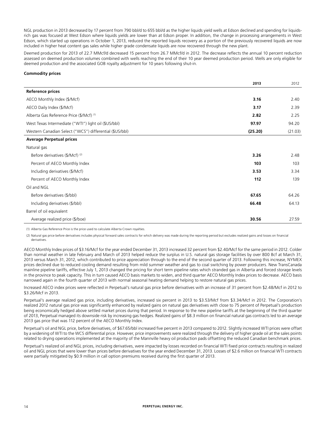NGL production in 2013 decreased by 17 percent from 790 bbl/d to 655 bbl/d as the higher liquids yield wells at Edson declined and spending for liquidsrich gas was focused at West Edson where liquids yields are lower than at Edson proper. In addition, the change in processing arrangements in West Edson, which started up operations in October 1, 2013, reduced the reported liquids recovery as a portion of the previously recovered liquids are now included in higher heat content gas sales while higher grade condensate liquids are now recovered through the new plant.

Deemed production for 2013 of 22.7 MMcf/d decreased 15 percent from 26.7 MMcf/d in 2012. The decrease reflects the annual 10 percent reduction assessed on deemed production volumes combined with wells reaching the end of their 10 year deemed production period. Wells are only eligible for deemed production and the associated GOB royalty adjustment for 10 years following shut-in.

# **Commodity prices**

|                                                         | 2013    | 2012    |
|---------------------------------------------------------|---------|---------|
| <b>Reference prices</b>                                 |         |         |
| AECO Monthly Index (\$/Mcf)                             | 3.16    | 2.40    |
| AECO Daily Index (\$/Mcf)                               | 3.17    | 2.39    |
| Alberta Gas Reference Price (\$/Mcf) (1)                | 2.82    | 2.25    |
| West Texas Intermediate ("WTI") light oil (\$US/bbl)    | 97.97   | 94.20   |
| Western Canadian Select ("WCS") differential (\$US/bbl) | (25.20) | (21.03) |
| <b>Average Perpetual prices</b>                         |         |         |
| Natural gas                                             |         |         |
| Before derivatives (\$/Mcf) (2)                         | 3.26    | 2.48    |
| Percent of AECO Monthly Index                           | 103     | 103     |
| Including derivatives (\$/Mcf)                          | 3.53    | 3.34    |
| Percent of AECO Monthly Index                           | 112     | 139     |
| Oil and NGL                                             |         |         |
| Before derivatives (\$/bbl)                             | 67.65   | 64.26   |
| Including derivatives (\$/bbl)                          | 66.48   | 64.13   |
| Barrel of oil equivalent                                |         |         |
| Average realized price (\$/boe)                         | 30.56   | 27.59   |

(1) Alberta Gas Reference Price is the price used to calculate Alberta Crown royalties.

(2) Natural gas price before derivatives includes physical forward sales contracts for which delivery was made during the reporting period but excludes realized gains and losses on financial derivatives.

AECO Monthly Index prices of \$3.16/Mcf for the year ended December 31, 2013 increased 32 percent from \$2.40/Mcf for the same period in 2012. Colder than normal weather in late February and March of 2013 helped reduce the surplus in U.S. natural gas storage facilities by over 800 Bcf at March 31, 2013 versus March 31, 2012, which contributed to price appreciation through to the end of the second quarter of 2013. Following this increase, NYMEX prices declined due to reduced cooling demand resulting from mild summer weather and gas to coal switching by power producers. New TransCanada mainline pipeline tariffs, effective July 1, 2013 changed the pricing for short term pipeline rates which stranded gas in Alberta and forced storage levels in the province to peak capacity. This in turn caused AECO basis markets to widen, and third quarter AECO Monthly Index prices to decrease. AECO basis narrowed again in the fourth quarter of 2013 with normal seasonal heating demand helping to restore natural gas prices.

Increased AECO index prices were reflected in Perpetual's natural gas price before derivatives with an increase of 31 percent from \$2.48/Mcf in 2012 to \$3.26/Mcf in 2013.

Perpetual's average realized gas price, including derivatives, increased six percent in 2013 to \$3.53/Mcf from \$3.34/Mcf in 2012. The Corporation's realized 2012 natural gas price was significantly enhanced by realized gains on natural gas derivatives with close to 75 percent of Perpetual's production being economically hedged above settled market prices during that period. In response to the new pipeline tariffs at the beginning of the third quarter of 2013, Perpetual managed its downside risk by increasing gas hedges. Realized gains of \$8.3 million on financial natural gas contracts led to an average 2013 gas price that was 112 percent of the AECO Monthly Index.

Perpetual's oil and NGL price, before derivatives, of \$67.65/bbl increased five percent in 2013 compared to 2012. Slightly increased WTI prices were offset by a widening of WTI to the WCS differential price. However, price improvements were realized through the delivery of higher grade oil at the sales points related to drying operations implemented at the majority of the Mannville heavy oil production pads offsetting the reduced Canadian benchmark prices.

Perpetual's realized oil and NGL prices, including derivatives, were impacted by losses recorded on financial WTI fixed price contracts resulting in realized oil and NGL prices that were lower than prices before derivatives for the year ended December 31, 2013. Losses of \$2.6 million on financial WTI contracts were partially mitigated by \$0.9 million in call option premiums received during the first quarter of 2013.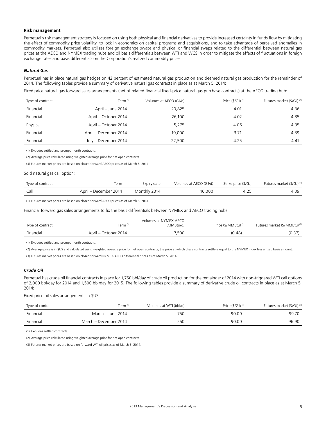### **Risk management**

Perpetual's risk management strategy is focused on using both physical and financial derivatives to provide increased certainty in funds flow by mitigating the effect of commodity price volatility, to lock in economics on capital programs and acquisitions, and to take advantage of perceived anomalies in commodity markets. Perpetual also utilizes foreign exchange swaps and physical or financial swaps related to the differential between natural gas prices at the AECO and NYMEX trading hubs and oil basis differentials between WTI and WCS in order to mitigate the effects of fluctuations in foreign exchange rates and basis differentials on the Corporation's realized commodity prices.

## *Natural Gas*

Perpetual has in place natural gas hedges on 42 percent of estimated natural gas production and deemed natural gas production for the remainder of 2014. The following tables provide a summary of derivative natural gas contracts in place as at March 5, 2014:

Fixed price natural gas forward sales arrangements (net of related financial fixed-price natural gas purchase contracts) at the AECO trading hub:

| Type of contract | Term $(1)$            | Volumes at AECO (GJ/d) | Price $(S/GJ)^{(2)}$ | Futures market (\$/GJ) (3) |
|------------------|-----------------------|------------------------|----------------------|----------------------------|
| Financial        | April – June 2014     | 20,825                 | 4.01                 | 4.36                       |
| Financial        | April - October 2014  | 26,100                 | 4.02                 | 4.35                       |
| Physical         | April – October 2014  | 5.275                  | 4.06                 | 4.35                       |
| Financial        | April - December 2014 | 10,000                 | 3.71                 | 4.39                       |
| Financial        | July - December 2014  | 22,500                 | 4.25                 | 4.41                       |

(1) Excludes settled and prompt month contracts.

(2) Average price calculated using weighted average price for net open contracts.

(3) Futures market prices are based on closed forward AECO prices as of March 5, 2014.

#### Sold natural gas call option:

| Type of contract | Term                  | Expiry date  | Volumes at AECO (GJ/d) | Strike price (\$/GJ) | Futures market (\$/GJ) (1) |
|------------------|-----------------------|--------------|------------------------|----------------------|----------------------------|
| Call             | April – December 2014 | Monthly 2014 | 10.000                 |                      |                            |

(1) Futures market prices are based on closed forward AECO prices as of March 5, 2014.

Financial forward gas sales arrangements to fix the basis differentials between NYMEX and AECO trading hubs:

|                  |                      | Volumes at NYMEX-AECO |                      |                               |
|------------------|----------------------|-----------------------|----------------------|-------------------------------|
| Type of contract | Term $(1)$           | (MMBtu/d)             | Price (\$/MMBtu) (2) | Futures market (\$/MMBtu) (3) |
| Financial        | April – October 2014 | .500                  | (0.48)               | (0.37)                        |

(1) Excludes settled and prompt month contracts.

(2) Average price is in \$US and calculated using weighted average price for net open contracts; the price at which these contracts settle is equal to the NYMEX index less a fixed basis amount.

(3) Futures market prices are based on closed forward NYMEX-AECO differential prices as of March 5, 2014.

## *Crude Oil*

Perpetual has crude oil financial contracts in place for 1,750 bbl/day of crude oil production for the remainder of 2014 with non-triggered WTI call options of 2,000 bbl/day for 2014 and 1,500 bbl/day for 2015. The following tables provide a summary of derivative crude oil contracts in place as at March 5, 2014:

Fixed price oil sales arrangements in \$US

| Type of contract | Term <sup>(1)</sup>   | Volumes at WTI (bbl/d) | Price $(S/GJ)^{(2)}$ | Futures market (\$/GJ) (3) |
|------------------|-----------------------|------------------------|----------------------|----------------------------|
| Financial        | March – June 2014     | 750                    | 90.00                | 99.70                      |
| Financial        | March – December 2014 | 250                    | 90.00                | 96.90                      |

(1) Excludes settled contracts.

(2) Average price calculated using weighted average price for net open contracts.

(3) Futures market prices are based on forward WTI oil prices as of March 5, 2014.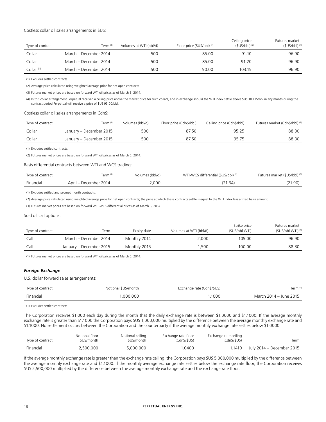### Costless collar oil sales arrangements in \$US:

| Type of contract | Term <sup>(1)</sup>   | Volumes at WTI (bbl/d) | Floor price (\$US/bbl) (2) | Ceiling price<br>$(5US/bbl)$ <sup>(2)</sup> | Futures market<br>$(SUS/bbl)$ <sup>(3)</sup> |
|------------------|-----------------------|------------------------|----------------------------|---------------------------------------------|----------------------------------------------|
| Collar           | March – December 2014 | 500                    | 85.00                      | 91.10                                       | 96.90                                        |
| Collar           | March – December 2014 | 500                    | 85.00                      | 91.20                                       | 96.90                                        |
| Collar $(4)$     | March - December 2014 | 500                    | 90.00                      | 103.15                                      | 96.90                                        |

(1) Excludes settled contracts.

(2) Average price calculated using weighted average price for net open contracts.

(3) Futures market prices are based on forward WTI oil prices as of March 5, 2014.

(4) In this collar arrangement Perpetual received a ceiling price above the market price for such collars, and in exchange should the WTI index settle above \$US 103.15/bbl in any month during the contract period Perpetual will receive a price of \$US 93.00/bbl.

### Costless collar oil sales arrangements in Cdn\$:

| Type of contract | Term <sup>(1)</sup>     | Volumes (bbl/d) | Floor price (Cdn\$/bbl) | Ceiling price (Cdn\$/bbl) | Futures market (Cdn\$/bbl) <sup>(2)</sup> |
|------------------|-------------------------|-----------------|-------------------------|---------------------------|-------------------------------------------|
| Collar           | January – December 2015 | 500             | 87.50                   | 95.25                     | 88.30                                     |
| Collar           | January – December 2015 | 500             | 87.50                   | 95.75                     | 88.30                                     |

(1) Excludes settled contracts.

(2) Futures market prices are based on forward WTI oil prices as of March 5, 2014.

Basis differential contracts between WTI and WCS trading:

| Type of contract | Term <sup>(1)</sup>   | Volumes (bbl/d) | WTI-WCS differential (\$US/bbl) <sup>(2)</sup> | Futures market (\$US/bbl) (3) |
|------------------|-----------------------|-----------------|------------------------------------------------|-------------------------------|
| Financial        | April – December 2014 | 2,000           | (21.64)                                        | (21.90)                       |
|                  |                       |                 |                                                |                               |

(1) Excludes settled and prompt month contracts.

(2) Average price calculated using weighted average price for net open contracts; the price at which these contracts settle is equal to the WTI index less a fixed basis amount.

(3) Futures market prices are based on forward WTI-WCS differential prices as of March 5, 2014.

### Sold oil call options:

| Type of contract | Term                    | Expiry date  | Volumes at WTI (bbl/d) | Strike price<br>(\$US/bbl WTI) | Futures market<br>$(SUS/bbI WTI)$ <sup>(1)</sup> |
|------------------|-------------------------|--------------|------------------------|--------------------------------|--------------------------------------------------|
| Call             | March – December 2014   | Monthly 2014 | 2,000                  | 105.00                         | 96.90                                            |
| Call             | January – December 2015 | Monthly 2015 | .500                   | 100.00                         | 88.30                                            |

(1) Futures market prices are based on forward WTI oil prices as of March 5, 2014.

## *Foreign Exchange*

U.S. dollar forward sales arrangements:

| Type of contract | Notional \$US/month | Exchange rate (Cdn\$/\$US) | Term \                 |
|------------------|---------------------|----------------------------|------------------------|
| Financial        | .000.000            | 1000.                      | March 2014 - June 2015 |

(1) Excludes settled contracts.

The Corporation receives \$1,000 each day during the month that the daily exchange rate is between \$1.0000 and \$1.1000. If the average monthly exchange rate is greater than \$1.1000 the Corporation pays \$US 1,000,000 multiplied by the difference between the average monthly exchange rate and \$1.1000. No settlement occurs between the Corporation and the counterparty if the average monthly exchange rate settles below \$1.0000.

| Type of contract | Notional floor<br>\$US/month | Notional ceiling<br>\$US/month | Exchange rate floor<br>(Cdn\$/\$US) | Exchange rate ceiling<br>(Cdn\$/\$US) | Term                      |
|------------------|------------------------------|--------------------------------|-------------------------------------|---------------------------------------|---------------------------|
| Financial        | 2.500.000                    | 5,000,000                      | 1.0400                              | 1.1410                                | July 2014 – December 2015 |

If the average monthly exchange rate is greater than the exchange rate ceiling, the Corporation pays \$US 5,000,000 multiplied by the difference between the average monthly exchange rate and \$1.1000. If the monthly average exchange rate settles below the exchange rate floor, the Corporation receives \$US 2,500,000 multiplied by the difference between the average monthly exchange rate and the exchange rate floor.

#### 16 **PERPETUAL ENERGY INC.**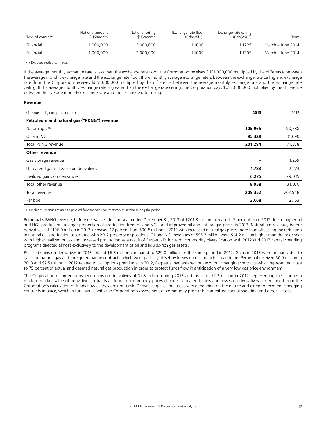| Type of contract | Notional amount<br>\$US/month | Notional ceiling<br>\$US/month | Exchange rate floor<br>(Cdn\$/\$US) | Exchange rate ceiling<br>(Cdn\$/\$US) | Term              |
|------------------|-------------------------------|--------------------------------|-------------------------------------|---------------------------------------|-------------------|
| Financial        | 1.000.000                     | 2.000.000                      | .1000                               | .1225                                 | March – June 2014 |
| Financial        | 000.000.                      | 2,000,000                      | .1000                               | 1.1305                                | March – June 2014 |

(1) Excludes settled contracts.

If the average monthly exchange rate is less than the exchange rate floor, the Corporation receives \$US1,000,000 multiplied by the difference between the average monthly exchange rate and the exchange rate floor. If the monthly average exchange rate is between the exchange rate ceiling and exchange rate floor, the Corporation receives \$US1,000,000 multiplied by the difference between the average monthly exchange rate and the exchange rate ceiling. If the average monthly exchange rate is greater than the exchange rate ceiling, the Corporation pays \$US2,000,000 multiplied by the difference between the average monthly exchange rate and the exchange rate ceiling.

### **Revenue**

| (\$ thousands, except as noted)            | 2013    | 2012     |
|--------------------------------------------|---------|----------|
| Petroleum and natural gas ("P&NG") revenue |         |          |
| Natural gas <sup>(1)</sup>                 | 105,965 | 90,788   |
| Oil and NGL <sup>(1)</sup>                 | 95,329  | 81,090   |
| Total P&NG revenue                         | 201,294 | 171,878  |
| <b>Other revenue</b>                       |         |          |
| Gas storage revenue                        |         | 4,259    |
| Unrealized gains (losses) on derivatives   | 1,783   | (2, 224) |
| Realized gains on derivatives              | 6,275   | 29,035   |
| Total other revenue                        | 8,058   | 31,070   |
| Total revenue                              | 209,352 | 202,948  |
| Per boe                                    | 30.68   | 27.53    |

(1) Includes revenues related to physical forward sales contracts which settled during the period.

Perpetual's P&NG revenue, before derivatives, for the year ended December 31, 2013 of \$201.3 million increased 17 percent from 2012 due to higher oil and NGL production, a larger proportion of production from oil and NGL, and improved oil and natural gas prices in 2013. Natural gas revenue, before derivatives, of \$106.0 million in 2013 increased 17 percent from \$90.8 million in 2012 with increased natural gas prices more than offsetting the reduction in natural gas production associated with 2012 property dispositions. Oil and NGL revenues of \$95.3 million were \$14.2 million higher than the prior year with higher realized prices and increased production as a result of Perpetual's focus on commodity diversification with 2012 and 2013 capital spending programs directed almost exclusively to the development of oil and liquids-rich gas assets.

Realized gains on derivatives in 2013 totaled \$6.3 million compared to \$29.0 million for the same period in 2012. Gains in 2013 were primarily due to gains on natural gas and foreign exchange contracts which were partially offset by losses on oil contacts. In addition, Perpetual received \$0.9 million in 2013 and \$2.5 million in 2012 related to call options premiums. In 2012, Perpetual had entered into economic hedging contracts which represented close to 75 percent of actual and deemed natural gas production in order to protect funds flow in anticipation of a very low gas price environment.

The Corporation recorded unrealized gains on derivatives of \$1.8 million during 2013 and losses of \$2.2 million in 2012, representing the change in mark-to-market value of derivative contracts as forward commodity prices change. Unrealized gains and losses on derivatives are excluded from the Corporation's calculation of funds flow as they are non-cash. Derivative gains and losses vary depending on the nature and extent of economic hedging contracts in place, which in turn, varies with the Corporation's assessment of commodity price risk, committed capital spending and other factors.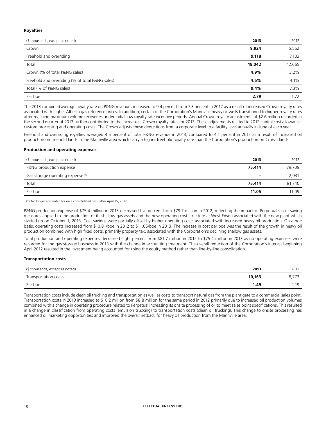## **Royalties**

| (\$ thousands, except as noted)                 | 2013   | 2012   |
|-------------------------------------------------|--------|--------|
| Crown                                           | 9,924  | 5,562  |
| Freehold and overriding                         | 9,118  | 7,103  |
| Total                                           | 19,042 | 12,665 |
| Crown (% of total P&NG sales)                   | 4.9%   | 3.2%   |
| Freehold and overriding (% of total P&NG sales) | 4.5%   | 4.1%   |
| Total (% of P&NG sales)                         | 9.4%   | 7.3%   |
| Per boe                                         | 2.79   | 1.72   |

The 2013 combined average royalty rate on P&NG revenues increased to 9.4 percent from 7.3 percent in 2012 as a result of increased Crown royalty rates associated with higher Alberta gas reference prices. In addition, certain of the Corporation's Mannville heavy oil wells transitioned to higher royalty rates after reaching maximum volume recoveries under initial low royalty rate incentive periods. Annual Crown royalty adjustments of \$2.6 million recorded in the second quarter of 2013 further contributed to the increase in Crown royalty rates for 2013. These adjustments related to 2012 capital cost allowance, custom processing and operating costs. The Crown adjusts these deductions from a corporate level to a facility level annually in June of each year.

Freehold and overriding royalties averaged 4.5 percent of total P&NG revenue in 2013, compared to 4.1 percent in 2012 as a result of increased oil production on freehold lands in the Mannville area which carry a higher freehold royalty rate than the Corporation's production on Crown lands.

### **Production and operating expenses**

| (\$ thousands, except as noted)   | 2013   | 2012   |
|-----------------------------------|--------|--------|
| P&NG production expense           | 75,414 | 79,709 |
| Gas storage operating expense (1) | -      | 2,031  |
| Total                             | 75,414 | 81,740 |
| Per boe                           | 11.05  | 11.09  |

(1) No longer accounted for on a consolidated basis after April 25, 2012.

P&NG production expense of \$75.4 million in 2013 decreased five percent from \$79.7 million in 2012, reflecting the impact of Perpetual's cost saving measures applied to the production of its shallow gas assets and the new operating cost structure at West Edson associated with the new plant which started up on October 1, 2013. Cost savings were partially offset by higher operating costs associated with increased heavy oil production. On a boe basis, operating costs increased from \$10.81/boe in 2012 to \$11.05/boe in 2013. The increase in cost per boe was the result of the growth in heavy oil production combined with high fixed costs, primarily property tax, associated with the Corporation's declining shallow gas assets.

Total production and operating expenses decreased eight percent from \$81.7 million in 2012 to \$75.4 million in 2013 as no operating expenses were recorded for the gas storage business in 2013 with the change in accounting treatment. The overall reduction of the Corporation's interest beginning April 2012 resulted in the investment being accounted for using the equity method rather than line-by-line consolidation.

## **Transportation costs**

| (\$ thousands, except as noted) | 2013   | 2012  |
|---------------------------------|--------|-------|
| Transportation costs            | 10,163 | 8,773 |
| Per boe                         | 1.49   | 19    |

Transportation costs include clean oil trucking and transportation as well as costs to transport natural gas from the plant gate to a commercial sales point. Transportation costs in 2013 increased to \$10.2 million from \$8.8 million for the same period in 2012 primarily due to increased oil production volumes combined with a change in operating procedure related to Perpetual increasing its onsite processing of oil to meet sales point specifications. This resulted in a change in classification from operating costs (emulsion trucking) to transportation costs (clean oil trucking). This change to onsite processing has enhanced oil marketing opportunities and improved the overall netback for heavy oil production from the Mannville area.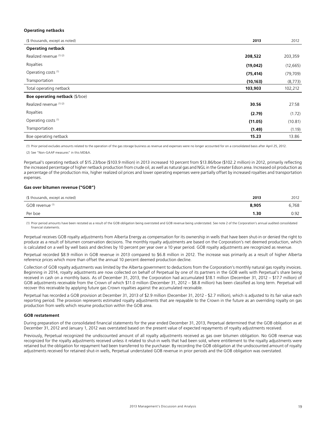## **Operating netbacks**

| (\$ thousands, except as noted)       | 2013      | 2012      |
|---------------------------------------|-----------|-----------|
| <b>Operating netback</b>              |           |           |
| Realized revenue (1) (2)              | 208,522   | 203,359   |
| Royalties                             | (19, 042) | (12, 665) |
| Operating costs <sup>(1)</sup>        | (75, 414) | (79, 709) |
| Transportation                        | (10, 163) | (8, 773)  |
| Total operating netback               | 103,903   | 102,212   |
| <b>Boe operating netback (\$/boe)</b> |           |           |
| Realized revenue (1) (2)              | 30.56     | 27.58     |
| Royalties                             | (2.79)    | (1.72)    |
| Operating costs <sup>(1)</sup>        | (11.05)   | (10.81)   |
| Transportation                        | (1.49)    | (1.19)    |
| Boe operating netback                 | 15.23     | 13.86     |

(1) Prior period excludes amounts related to the operation of the gas storage business as revenue and expenses were no longer accounted for on a consolidated basis after April 25, 2012.

(2) See "Non-GAAP measures" in this MD&A.

Perpetual's operating netback of \$15.23/boe (\$103.9 million) in 2013 increased 10 percent from \$13.86/boe (\$102.2 million) in 2012, primarily reflecting the increased percentage of higher netback production from crude oil, as well as natural gas and NGL in the Greater Edson area. Increased oil production as a percentage of the production mix, higher realized oil prices and lower operating expenses were partially offset by increased royalties and transportation expenses.

## **Gas over bitumen revenue ("GOB")**

| (\$ thousands, except as noted) | 2013  | 2012  |
|---------------------------------|-------|-------|
| GOB revenue (1)                 | 8,905 | 6,768 |
| Per boe                         | 1.30  | 0.92  |

(1) Prior period amounts have been restated as a result of the GOB obligation being overstated and GOB revenue being understated. See note 2 of the Corporation's annual audited consolidated financial statements.

Perpetual receives GOB royalty adjustments from Alberta Energy as compensation for its ownership in wells that have been shut-in or denied the right to produce as a result of bitumen conservation decisions. The monthly royalty adjustments are based on the Corporation's net deemed production, which is calculated on a well by well basis and declines by 10 percent per year over a 10 year period. GOB royalty adjustments are recognized as revenue.

Perpetual recorded \$8.9 million in GOB revenue in 2013 compared to \$6.8 million in 2012. The increase was primarily as a result of higher Alberta reference prices which more than offset the annual 10 percent deemed production decline.

Collection of GOB royalty adjustments was limited by the Alberta government to deductions from the Corporation's monthly natural gas royalty invoices. Beginning in 2014, royalty adjustments are now collected on behalf of Perpetual by one of its partners in the GOB wells with Perpetual's share being received in cash on a monthly basis. As of December 31, 2013, the Corporation had accumulated \$18.1 million (December 31, 2012 – \$17.7 million) of GOB adjustments receivable from the Crown of which \$11.0 million (December 31, 2012 – \$8.8 million) has been classified as long term. Perpetual will recover this receivable by applying future gas Crown royalties against the accumulated receivable.

Perpetual has recorded a GOB provision at December 31, 2013 of \$2.9 million (December 31, 2012 - \$2.7 million), which is adjusted to its fair value each reporting period. The provision represents estimated royalty adjustments that are repayable to the Crown in the future as an overriding royalty on gas production from wells which resume production within the GOB area.

## **GOB restatement**

During preparation of the consolidated financial statements for the year ended December 31, 2013, Perpetual determined that the GOB obligation as at December 31, 2012 and January 1, 2012 was overstated based on the present value of expected repayments of royalty adjustments received.

Previously, Perpetual recognized the undiscounted amount of all royalty adjustments received as gas over bitumen obligation. No GOB revenue was recognized for the royalty adjustments received unless it related to shut-in wells that had been sold, where entitlement to the royalty adjustments were retained but the obligation for repayment had been transferred to the purchaser. By recording the GOB obligation at the undiscounted amount of royalty adjustments received for retained shut-in wells, Perpetual understated GOB revenue in prior periods and the GOB obligation was overstated.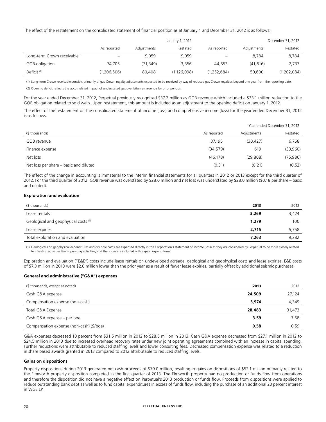The effect of the restatement on the consolidated statement of financial position as at January 1 and December 31, 2012 is as follows:

|                                |             |             | January 1, 2012 |                 |             | December 31, 2012 |
|--------------------------------|-------------|-------------|-----------------|-----------------|-------------|-------------------|
|                                | As reported | Adjustments | Restated        | As reported     | Adjustments | Restated          |
| Long-term Crown receivable (1) |             | 9.059       | 9.059           | $\qquad \qquad$ | 8.784       | 8.784             |
| GOB obligation                 | 74.705      | (71.349)    | 3.356           | 44.553          | (41, 816)   | 2,737             |
| Deficit <sup>(2)</sup>         | (1,206,506) | 80.408      | (1, 126, 098)   | (1, 252, 684)   | 50.600      | (1,202,084)       |

(1) Long-term Crown receivable consists primarily of gas Crown royalty adjustments expected to be received by way of reduced gas Crown royalties beyond one year from the reporting date.

(2) Opening deficit reflects the accumulated impact of understated gas over bitumen revenue for prior periods.

For the year ended December 31, 2012, Perpetual previously recognized \$37.2 million as GOB revenue which included a \$33.1 million reduction to the GOB obligation related to sold wells. Upon restatement, this amount is included as an adjustment to the opening deficit on January 1, 2012.

The effect of the restatement on the consolidated statement of income (loss) and comprehensive income (loss) for the year ended December 31, 2012 is as follows:

|                                        |             |             | $1$ car chiaca Decennocr bi, 2012 |
|----------------------------------------|-------------|-------------|-----------------------------------|
| (\$ thousands)                         | As reported | Adjustments | Restated                          |
| GOB revenue                            | 37,195      | (30, 427)   | 6,768                             |
| Finance expense                        | (34, 579)   | 619         | (33,960)                          |
| Net loss                               | (46, 178)   | (29, 808)   | (75, 986)                         |
| Net loss per share – basic and diluted | (0.31)      | (0.21)      | (0.52)                            |

The effect of the change in accounting is immaterial to the interim financial statements for all quarters in 2012 or 2013 except for the third quarter of 2012. For the third quarter of 2012, GOB revenue was overstated by \$28.0 million and net loss was understated by \$28.0 million (\$0.18 per share – basic and diluted).

## **Exploration and evaluation**

| (\$ thousands)                                  | 2013  | 2012  |
|-------------------------------------------------|-------|-------|
| Lease rentals                                   | 3,269 | 3,424 |
| Geological and geophysical costs <sup>(1)</sup> | 1,279 | 100   |
| Lease expiries                                  | 2,715 | 5,758 |
| Total exploration and evaluation                | 7,263 | 9,282 |

(1) Geological and geophysical expenditures and dry hole costs are expensed directly in the Corporation's statement of income (loss) as they are considered by Perpetual to be more closely related to investing activities than operating activities, and therefore are included with capital expenditures.

Exploration and evaluation ("E&E") costs include lease rentals on undeveloped acreage, geological and geophysical costs and lease expiries. E&E costs of \$7.3 million in 2013 were \$2.0 million lower than the prior year as a result of fewer lease expiries, partially offset by additional seismic purchases.

# **General and administrative ("G&A") expenses**

| (\$ thousands, except as noted)          | 2013   | 2012   |
|------------------------------------------|--------|--------|
| Cash G&A expense                         | 24,509 | 27,124 |
| Compensation expense (non-cash)          | 3,974  | 4.349  |
| Total G&A Expense                        | 28,483 | 31,473 |
| Cash G&A expense – per boe               | 3.59   | 3.68   |
| Compensation expense (non-cash) (\$/boe) | 0.58   | 0.59   |

G&A expenses decreased 10 percent from \$31.5 million in 2012 to \$28.5 million in 2013. Cash G&A expense decreased from \$27.1 million in 2012 to \$24.5 million in 2013 due to increased overhead recovery rates under new joint operating agreements combined with an increase in capital spending. Further reductions were attributable to reduced staffing levels and lower consulting fees. Decreased compensation expense was related to a reduction in share based awards granted in 2013 compared to 2012 attributable to reduced staffing levels.

## **Gains on dispositions**

Property dispositions during 2013 generated net cash proceeds of \$79.0 million, resulting in gains on dispositions of \$52.1 million primarily related to the Elmworth property disposition completed in the first quarter of 2013. The Elmworth property had no production or funds flow from operations and therefore the disposition did not have a negative effect on Perpetual's 2013 production or funds flow. Proceeds from dispositions were applied to reduce outstanding bank debt as well as to fund capital expenditures in excess of funds flow, including the purchase of an additional 20 percent interest in WGS LP.

#### 20 **PERPETUAL ENERGY INC.**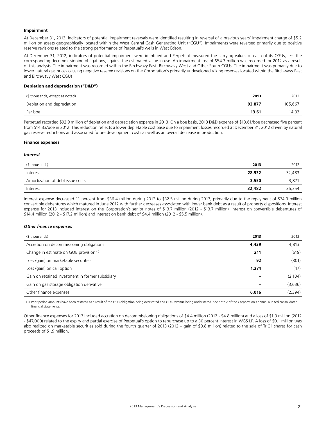#### **Impairment**

At December 31, 2013, indicators of potential impairment reversals were identified resulting in reversal of a previous years' impairment charge of \$5.2 million on assets geographically located within the West Central Cash Generating Unit ("CGU"). Impairments were reversed primarily due to positive reserve revisions related to the strong performance of Perpetual's wells in West Edson.

At December 31, 2012, indicators of potential impairment were identified and Perpetual measured the carrying values of each of its CGUs, less the corresponding decommissioning obligations, against the estimated value in use. An impairment loss of \$54.3 million was recorded for 2012 as a result of this analysis. The impairment was recorded within the Birchwavy East, Birchwavy West and Other South CGUs. The impairment was primarily due to lower natural gas prices causing negative reserve revisions on the Corporation's primarily undeveloped Viking reserves located within the Birchwavy East and Birchwavy West CGUs.

## **Depletion and depreciation ("D&D")**

| (\$ thousands, except as noted) | 2013   | 2012    |
|---------------------------------|--------|---------|
| Depletion and depreciation      | 92,877 | 105,667 |
| Per boe                         | 13.61  | 14.33   |

Perpetual recorded \$92.9 million of depletion and depreciation expense in 2013. On a boe basis, 2013 D&D expense of \$13.61/boe decreased five percent from \$14.33/boe in 2012. This reduction reflects a lower depletable cost base due to impairment losses recorded at December 31, 2012 driven by natural gas reserve reductions and associated future development costs as well as an overall decrease in production.

### **Finance expenses**

### *Interest*

| (\$ thousands)                   | 2013   | 2012   |
|----------------------------------|--------|--------|
| Interest                         | 28,932 | 32,483 |
| Amortization of debt issue costs | 3,550  | 3,871  |
| Interest                         | 32,482 | 36,354 |

Interest expense decreased 11 percent from \$36.4 million during 2012 to \$32.5 million during 2013, primarily due to the repayment of \$74.9 million convertible debentures which matured in June 2012 with further decreases associated with lower bank debt as a result of property dispositions. Interest expense for 2013 included interest on the Corporation's senior notes of \$13.7 million (2012 - \$13.7 million), interest on convertible debentures of \$14.4 million (2012 - \$17.2 million) and interest on bank debt of \$4.4 million (2012 - \$5.5 million).

### *Other finance expenses*

| (\$ thousands)                                   | 2013  | 2012     |
|--------------------------------------------------|-------|----------|
| Accretion on decommissioning obligations         | 4,439 | 4,813    |
| Change in estimate on GOB provision (1)          | 211   | (619)    |
| Loss (gain) on marketable securities             | 92    | (801)    |
| Loss (gain) on call option                       | 1,274 | (47)     |
| Gain on retained investment in former subsidiary |       | (2, 104) |
| Gain on gas storage obligation derivative        |       | (3,636)  |
| Other finance expenses                           | 6,016 | (2, 394) |

(1) Prior period amounts have been restated as a result of the GOB obligation being overstated and GOB revenue being understated. See note 2 of the Corporation's annual audited consolidated financial statements.

Other finance expenses for 2013 included accretion on decommissioning obligations of \$4.4 million (2012 - \$4.8 million) and a loss of \$1.3 million (2012 - \$47,000) related to the expiry and partial exercise of Perpetual's option to repurchase up to a 30 percent interest in WGS LP. A loss of \$0.1 million was also realized on marketable securities sold during the fourth quarter of 2013 (2012 – gain of \$0.8 million) related to the sale of TriOil shares for cash proceeds of \$1.9 million.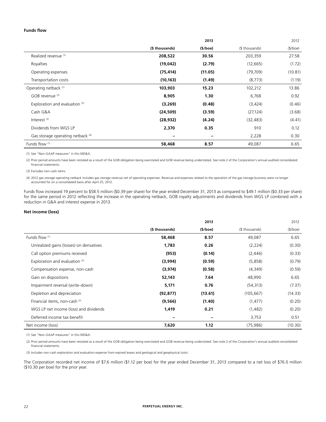## **Funds flow**

|                                   |                | 2013    |                | 2012    |
|-----------------------------------|----------------|---------|----------------|---------|
|                                   | (\$ thousands) | (5/boe) | (\$ thousands) | \$/boe) |
| Realized revenue (1)              | 208,522        | 30.56   | 203,359        | 27.58   |
| Royalties                         | (19, 042)      | (2.79)  | (12, 665)      | (1.72)  |
| Operating expenses                | (75, 414)      | (11.05) | (79, 709)      | (10.81) |
| Transportation costs              | (10, 163)      | (1.49)  | (8, 773)       | (1.19)  |
| Operating netback (1)             | 103,903        | 15.23   | 102,212        | 13.86   |
| GOB revenue <sup>(2)</sup>        | 8,905          | 1.30    | 6,768          | 0.92    |
| Exploration and evaluation (3)    | (3,269)        | (0.48)  | (3,424)        | (0.46)  |
| Cash G&A                          | (24, 509)      | (3.59)  | (27, 124)      | (3.68)  |
| Interest $(3)$                    | (28, 932)      | (4.24)  | (32, 483)      | (4.41)  |
| Dividends from WGS LP             | 2,370          | 0.35    | 910            | 0.12    |
| Gas storage operating netback (4) |                | -       | 2,228          | 0.30    |
| Funds flow (1)                    | 58,468         | 8.57    | 49,087         | 6.65    |

(1) See "Non-GAAP measures" in this MD&A.

(2) Prior period amounts have been restated as a result of the GOB obligation being overstated and GOB revenue being understated. See note 2 of the Corporation's annual audited consolidated financial statements.

(3) Excludes non-cash items.

(4) 2012 gas storage operating netback includes gas storage revenue net of operating expenses. Revenue and expenses related to the operation of the gas storage business were no longer accounted for on a consolidated basis after April 25, 2012.

Funds flow increased 19 percent to \$58.5 million (\$0.39 per share) for the year ended December 31, 2013 as compared to \$49.1 million (\$0.33 per share) for the same period in 2012 reflecting the increase in the operating netback, GOB royalty adjustments and dividends from WGS LP combined with a reduction in G&A and interest expense in 2013.

### **Net income (loss)**

|                                          |                | 2013                     |                | 2012     |
|------------------------------------------|----------------|--------------------------|----------------|----------|
|                                          | (\$ thousands) | (5/boe)                  | (\$ thousands) | (\$/boe) |
| Funds flow (1)                           | 58,468         | 8.57                     | 49,087         | 6.65     |
| Unrealized gains (losses) on derivatives | 1,783          | 0.26                     | (2, 224)       | (0.30)   |
| Call option premiums received            | (953)          | (0.14)                   | (2, 446)       | (0.33)   |
| Exploration and evaluation (3)           | (3,994)        | (0.59)                   | (5,858)        | (0.79)   |
| Compensation expense, non-cash           | (3, 974)       | (0.58)                   | (4,349)        | (0.59)   |
| Gain on dispositions                     | 52,143         | 7.64                     | 48,990         | 6.65     |
| Impairment reversal (write-down)         | 5,171          | 0.76                     | (54, 313)      | (7.37)   |
| Depletion and depreciation               | (92, 877)      | (13.61)                  | (105, 667)     | (14.33)  |
| Financial items, non-cash (2)            | (9,566)        | (1.40)                   | (1, 477)       | (0.20)   |
| WGS LP net income (loss) and dividends   | 1,419          | 0.21                     | (1,482)        | (0.20)   |
| Deferred income tax benefit              |                | $\overline{\phantom{m}}$ | 3,753          | 0.51     |
| Net income (loss)                        | 7,620          | 1.12                     | (75, 986)      | (10.30)  |

(1) See "Non-GAAP measures" in this MD&A.

(2) Prior period amounts have been restated as a result of the GOB obligation being overstated and GOB revenue being understated. See note 2 of the Corporation's annual audited consolidated financial statements.

(3) Includes non-cash exploration and evaluation expense from expired leases and geological and geophysical costs.

The Corporation recorded net income of \$7.6 million (\$1.12 per boe) for the year ended December 31, 2013 compared to a net loss of \$76.0 million (\$10.30 per boe) for the prior year.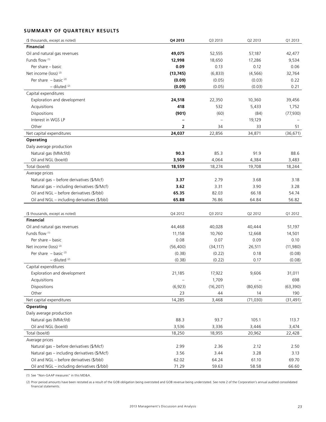# **SUMMARY OF QUARTERLY RESULTS**

| (\$ thousands, except as noted)                  | Q4 2013   | Q3 2013   | Q2 2013   | Q1 2013   |
|--------------------------------------------------|-----------|-----------|-----------|-----------|
| <b>Financial</b>                                 |           |           |           |           |
| Oil and natural gas revenues                     | 49,075    | 52,555    | 57,187    | 42,477    |
| Funds flow (1)                                   | 12,998    | 18,650    | 17,286    | 9,534     |
| Per share - basic                                | 0.09      | 0.13      | 0.12      | 0.06      |
| Net income (loss) (2)                            | (13, 745) | (6, 833)  | (4, 566)  | 32,764    |
| Per share $-$ basic $(2)$                        | (0.09)    | (0.05)    | (0.03)    | 0.22      |
| $-$ diluted $(2)$                                | (0.09)    | (0.05)    | (0.03)    | 0.21      |
| Capital expenditures                             |           |           |           |           |
| Exploration and development                      | 24,518    | 22,350    | 10,360    | 39,456    |
| Acquisitions                                     | 418       | 532       | 5,433     | 1,752     |
| Dispositions                                     | (901)     | (60)      | (84)      | (77,930)  |
| Interest in WGS LP                               |           |           | 19,129    |           |
| Other                                            | 2         | 34        | 33        | 51        |
| Net capital expenditures                         | 24,037    | 22,856    | 34,871    | (36, 671) |
| Operating                                        |           |           |           |           |
| Daily average production                         |           |           |           |           |
| Natural gas (MMcf/d)                             | 90.3      | 85.3      | 91.9      | 88.6      |
| Oil and NGL (boe/d)                              | 3,509     | 4,064     | 4,384     | 3,483     |
| Total (boe/d)                                    | 18,559    | 18,274    | 19,708    | 18,244    |
| Average prices                                   |           |           |           |           |
| Natural gas - before derivatives (\$/Mcf)        | 3.37      | 2.79      | 3.68      | 3.18      |
| Natural gas - including derivatives (\$/Mcf)     | 3.62      | 3.31      | 3.90      | 3.28      |
| Oil and NGL - before derivatives (\$/bbl)        | 65.35     | 82.03     | 66.18     | 54.74     |
| Oil and NGL - including derivatives (\$/bbl)     | 65.88     | 76.86     | 64.84     | 56.82     |
|                                                  |           |           |           |           |
| (\$ thousands, except as noted)                  | Q4 2012   | Q3 2012   | Q2 2012   | Q1 2012   |
| <b>Financial</b>                                 |           |           |           |           |
| Oil and natural gas revenues                     | 44,468    | 40,028    | 40,444    | 51,197    |
| Funds flow (1)                                   | 11,158    | 10,760    | 12,668    | 14,501    |
| Per share - basic                                | 0.08      | 0.07      | 0.09      | 0.10      |
| Net income (loss) (2)                            | (56, 400) | (34, 117) | 26,511    | (11,980)  |
| Per share $-$ basic $(2)$                        | (0.38)    | (0.22)    | 0.18      | (0.08)    |
| $-$ diluted $(2)$                                | (0.38)    | (0.22)    | 0.17      | (0.08)    |
| Capital expenditures                             |           |           |           |           |
| Exploration and development                      | 21,185    | 17,922    | 9,606     | 31,011    |
| Acquisitions                                     |           | 1,709     |           | 698       |
| Dispositions                                     | (6,923)   | (16, 207) | (80, 650) | (63, 390) |
| Other                                            | 23        | 44        | 14        | 190       |
| Net capital expenditures                         | 14,285    | 3,468     | (71,030)  | (31, 491) |
| Operating                                        |           |           |           |           |
| Daily average production<br>Natural gas (MMcf/d) |           |           |           |           |
|                                                  | 88.3      | 93.7      | 105.1     | 113.7     |
| Oil and NGL (boe/d)                              | 3,536     | 3,336     | 3,446     | 3,474     |
| Total (boe/d)                                    | 18,250    | 18,955    | 20,962    | 22,428    |
| Average prices                                   |           |           |           |           |
| Natural gas - before derivatives (\$/Mcf)        | 2.99      | 2.36      | 2.12      | 2.50      |
| Natural gas - including derivatives (\$/Mcf)     | 3.56      | 3.44      | 3.28      | 3.13      |
| Oil and NGL - before derivatives (\$/bbl)        | 62.02     | 64.24     | 61.10     | 69.70     |
| Oil and NGL - including derivatives (\$/bbl)     | 71.29     | 59.63     | 58.58     | 66.60     |

(1) See "Non-GAAP measures" in this MD&A.

(2) Prior period amounts have been restated as a result of the GOB obligation being overstated and GOB revenue being understated. See note 2 of the Corporation's annual audited consolidated financial statements.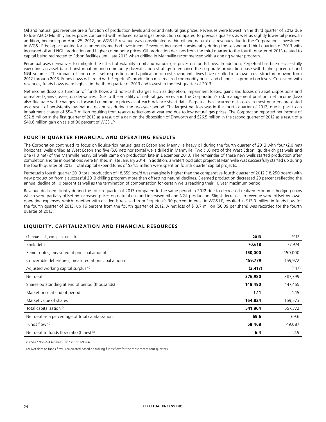Oil and natural gas revenues are a function of production levels and oil and natural gas prices. Revenues were lowest in the third quarter of 2012 due to low AECO Monthly Index prices combined with reduced natural gas production compared to previous quarters as well as slightly lower oil prices. In addition, beginning on April 25, 2012, no WGS LP revenue was consolidated within oil and natural gas revenues due to the Corporation's investment in WGS LP being accounted for as an equity-method investment. Revenues increased considerably during the second and third quarters of 2013 with increased oil and NGL production and higher commodity prices. Oil production declines from the third quarter to the fourth quarter of 2013 related to capital being redirected to Edson facilities until late 2013 when drilling in Mannville recommenced with a one rig winter program.

Perpetual uses derivatives to mitigate the effect of volatility in oil and natural gas prices on funds flows. In addition, Perpetual has been successfully executing an asset base transformation and commodity diversification strategy to enhance the corporate production base with higher-priced oil and NGL volumes. The impact of non-core asset dispositions and application of cost saving initiatives have resulted in a lower cost structure moving from 2012 through 2013. Funds flows will trend with Perpetual's production mix, realized commodity prices and changes in production levels. Consistent with revenues, funds flows were highest in the third quarter of 2013 and lowest in the first quarter of 2013.

Net income (loss) is a function of funds flows and non-cash charges such as depletion, impairment losses, gains and losses on asset dispositions and unrealized gains (losses) on derivatives. Due to the volatility of natural gas prices and the Corporation's risk management position, net income (loss) also fluctuate with changes in forward commodity prices as of each balance sheet date. Perpetual has incurred net losses in most quarters presented as a result of persistently low natural gas prices during the two-year period. The largest net loss was in the fourth quarter of 2012, due in part to an impairment charge of \$54.3 million resulting from reserve reductions at year end due to low natural gas prices. The Corporation reported net income of \$32.8 million in the first quarter of 2013 as a result of a gain on the disposition of Elmworth and \$26.5 million in the second quarter of 2012 as a result of a \$40.6 million gain on sale of 90 percent of WGS LP.

# **FOURTH QUARTER FINANCIAL AND OPERATING RESULTS**

The Corporation continued its focus on liquids-rich natural gas at Edson and Mannville heavy oil during the fourth quarter of 2013 with four (2.0 net) horizontal wells drilled at West Edson and five (5.0 net) horizontal wells drilled in Mannville. Two (1.0 net) of the West Edson liquids-rich gas wells and one (1.0 net) of the Mannville heavy oil wells came on production late in December 2013. The remainder of these new wells started production after completion and tie in operations were finished in late January 2014. In addition, a waterflood pilot project at Mannville was successfully started up during the fourth quarter of 2013. Total capital expenditures of \$24.5 million were spent on fourth quarter capital projects.

Perpetual's fourth quarter 2013 total production of 18,559 boe/d was marginally higher than the comparative fourth quarter of 2012 (18,250 boe/d) with new production from a successful 2013 drilling program more than offsetting natural declines. Deemed production decreased 23 percent reflecting the annual decline of 10 percent as well as the termination of compensation for certain wells reaching their 10 year maximum period.

Revenue declined slightly during the fourth quarter of 2013 compared to the same period in 2012 due to decreased realized economic hedging gains which were partially offset by increased prices on natural gas and increased oil and NGL production. Slight decreases in revenue were offset by lower operating expenses, which together with dividends received from Perpetual's 30 percent interest in WGS LP, resulted in \$13.0 million in funds flow for the fourth quarter of 2013, up 16 percent from the fourth quarter of 2012. A net loss of \$13.7 million (\$0.09 per share) was recorded for the fourth quarter of 2013.

# **LIQUIDITY, CAPITALIZATION AND FINANCIAL RESOURCES**

| (\$ thousands, except as noted)                      | 2013     | 2012    |
|------------------------------------------------------|----------|---------|
| Bank debt                                            | 70,618   | 77,974  |
| Senior notes, measured at principal amount           | 150,000  | 150,000 |
| Convertible debentures, measured at principal amount | 159,779  | 159,972 |
| Adjusted working capital surplus (1)                 | (3, 417) | (147)   |
| Net debt                                             | 376,980  | 387,799 |
| Shares outstanding at end of period (thousands)      | 148,490  | 147,455 |
| Market price at end of period                        | 1.11     | 1.15    |
| Market value of shares                               | 164,824  | 169,573 |
| Total capitalization <sup>(1)</sup>                  | 541,804  | 557,372 |
| Net debt as a percentage of total capitalization     | 69.6     | 69.6    |
| Funds flow (1)                                       | 58,468   | 49,087  |
| Net debt to funds flow ratio (times) $(2)$           | 6.4      | 7.9     |

(1) See "Non-GAAP measures" in this MD&A.

(2) Net debt to funds flow is calculated based on trailing funds flow for the most recent four quarters.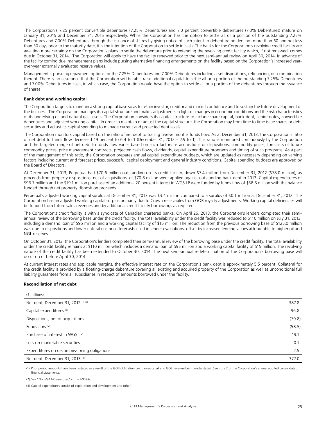The Corporation's 7.25 percent convertible debentures (7.25% Debentures) and 7.0 percent convertible debentures (7.0% Debentures) mature on January 31, 2015 and December 31, 2015 respectively. While the Corporation has the option to settle all or a portion of the outstanding 7.25% Debentures and 7.00% Debentures through the issuance of shares by giving notice of such intent to debenture holders not more than 60 and not less than 30 days prior to the maturity date, it is the intention of the Corporation to settle in cash. The banks for the Corporation's revolving credit facility are awaiting more certainty on the Corporation's plans to settle the debenture prior to extending the revolving credit facility which, if not renewed, comes due in October 31, 2014. The Corporation will apply to have the facility renewed prior to the next semi-annual review on April 30, 2014. In advance of the facility coming due, management plans include pursing alternative financing arrangements on the facility based on the Corporation's increased yearover-year externally evaluated reserve values.

Management is pursuing repayment options for the 7.25% Debentures and 7.00% Debentures including asset dispositions, refinancing, or a combination thereof. There is no assurance that the Corporation will be able raise additional capital to settle all or a portion of the outstanding 7.25% Debentures and 7.00% Debentures in cash, in which case, the Corporation would have the option to settle all or a portion of the debentures through the issuance of shares.

## **Bank debt and working capital**

The Corporation targets to maintain a strong capital base so as to retain investor, creditor and market confidence and to sustain the future development of the business. The Corporation manages its capital structure and makes adjustments in light of changes in economic conditions and the risk characteristics of its underlying oil and natural gas assets. The Corporation considers its capital structure to include share capital, bank debt, senior notes, convertible debentures and adjusted working capital. In order to maintain or adjust the capital structure, the Corporation may from time to time issue shares or debt securities and adjust its capital spending to manage current and projected debt levels.

The Corporation monitors capital based on the ratio of net debt to trailing twelve months funds flow. As at December 31, 2013, the Corporation's ratio of net debt to funds flow decreased 19 percent to 6.4 to 1 (December 31, 2012 – 7.9 to 1). This ratio is monitored continuously by the Corporation and the targeted range of net debt to funds flow varies based on such factors as acquisitions or dispositions, commodity prices, forecasts of future commodity prices, price management contracts, projected cash flows, dividends, capital expenditure programs and timing of such programs. As a part of the management of this ratio, the Corporation prepares annual capital expenditure budgets, which are updated as necessary depending on varying factors including current and forecast prices, successful capital deployment and general industry conditions. Capital spending budgets are approved by the Board of Directors.

At December 31, 2013, Perpetual had \$70.6 million outstanding on its credit facility, down \$7.4 million from December 31, 2012 (\$78.0 million), as proceeds from property dispositions, net of acquisitions, of \$70.8 million were applied against outstanding bank debt in 2013. Capital expenditures of \$96.7 million and the \$19.1 million purchase of an additional 20 percent interest in WGS LP were funded by funds flow of \$58.5 million with the balance funded through net property disposition proceeds.

Perpetual's adjusted working capital surplus at December 31, 2013 was \$3.4 million compared to a surplus of \$0.1 million at December 31, 2012. The Corporation has an adjusted working capital surplus primarily due to Crown receivables from GOB royalty adjustments. Working capital deficiencies will be funded from future sales revenues and by additional credit facility borrowings as required.

The Corporation's credit facility is with a syndicate of Canadian chartered banks. On April 26, 2013, the Corporation's lenders completed their semiannual review of the borrowing base under the credit facility. The total availability under the credit facility was reduced to \$110 million on July 31, 2013, including a demand loan of \$95 million and a working capital facility of \$15 million. The reduction from the previous borrowing base of \$125.0 million was due to dispositions and lower natural gas price forecasts used in lender evaluations, offset by increased lending values attributable to higher oil and NGL reserves.

On October 31, 2013, the Corporation's lenders completed their semi-annual review of the borrowing base under the credit facility. The total availability under the credit facility remains at \$110 million which includes a demand loan of \$95 million and a working capital facility of \$15 million. The revolving nature of the credit facility has been extended to October 30, 2014. The next semi-annual redetermination of the Corporation's borrowing base will occur on or before April 30, 2014.

At current interest rates and applicable margins, the effective interest rate on the Corporation's bank debt is approximately 5.5 percent. Collateral for the credit facility is provided by a floating-charge debenture covering all existing and acquired property of the Corporation as well as unconditional full liability guarantees from all subsidiaries in respect of amounts borrowed under the facility.

## **Reconciliation of net debt**

| (\$ millions)                               |        |
|---------------------------------------------|--------|
| Net debt, December 31, 2012 (1) (2)         | 387.8  |
| Capital expenditures <sup>(3)</sup>         | 96.8   |
| Dispositions, net of acquisitions           | (70.8) |
| Funds flow (2)                              | (58.5) |
| Purchase of interest in WGS LP              | 19.1   |
| Loss on marketable securities               | 0.1    |
| Expenditures on decommissioning obligations | 2.5    |
| Net debt, December 31, 2013 <sup>(2)</sup>  | 377.0  |

(1) Prior period amounts have been restated as a result of the GOB obligation being overstated and GOB revenue being understated. See note 2 of the Corporation's annual audited consolidated financial statements.

(2) See "Non-GAAP measures" in this MD&A.

(3) Capital expenditures consist of exploration and development and other.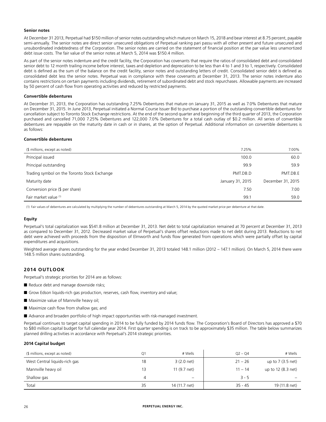### **Senior notes**

At December 31 2013, Perpetual had \$150 million of senior notes outstanding which mature on March 15, 2018 and bear interest at 8.75 percent, payable semi-annually. The senior notes are direct senior unsecured obligations of Perpetual ranking pari passu with all other present and future unsecured and unsubordinated indebtedness of the Corporation. The senior notes are carried on the statement of financial position at the par value less unamortized debt issue costs. The fair value of the senior notes at March 5, 2014 was \$150.4 million.

As part of the senior notes indenture and the credit facility, the Corporation has covenants that require the ratios of consolidated debt and consolidated senior debt to 12 month trailing income before interest, taxes and depletion and depreciation to be less than 4 to 1 and 3 to 1, respectively. Consolidated debt is defined as the sum of the balance on the credit facility, senior notes and outstanding letters of credit. Consolidated senior debt is defined as consolidated debt less the senior notes. Perpetual was in compliance with these covenants at December 31, 2013. The senior notes indenture also contains restrictions on certain payments including dividends, retirement of subordinated debt and stock repurchases. Allowable payments are increased by 50 percent of cash flow from operating activities and reduced by restricted payments.

### **Convertible debentures**

At December 31, 2013, the Corporation has outstanding 7.25% Debentures that mature on January 31, 2015 as well as 7.0% Debentures that mature on December 31, 2015. In June 2013, Perpetual initiated a Normal Course Issuer Bid to purchase a portion of the outstanding convertible debentures for cancellation subject to Toronto Stock Exchange restrictions. At the end of the second quarter and beginning of the third quarter of 2013, the Corporation purchased and cancelled 71,000 7.25% Debentures and 122,000 7.0% Debentures for a total cash outlay of \$0.2 million. All series of convertible debentures are repayable on the maturity date in cash or in shares, at the option of Perpetual. Additional information on convertible debentures is as follows:

### **Convertible debentures**

| (\$ millions, except as noted)               | 7.25%            | 7.00%             |
|----------------------------------------------|------------------|-------------------|
| Principal issued                             | 100.0            | 60.0              |
| Principal outstanding                        | 99.9             | 59.9              |
| Trading symbol on the Toronto Stock Exchange | PMT.DB.D         | PMT.DB.E          |
| Maturity date                                | January 31, 2015 | December 31, 2015 |
| Conversion price (\$ per share)              | 7.50             | 7.00              |
| Fair market value (1)                        | 99.1             | 59.0              |

(1) Fair values of debentures are calculated by multiplying the number of debentures outstanding at March 5, 2014 by the quoted market price per debenture at that date.

## **Equity**

Perpetual's total capitalization was \$541.8 million at December 31, 2013. Net debt to total capitalization remained at 70 percent at December 31, 2013 as compared to December 31, 2012. Decreased market value of Perpetual's shares offset reductions made to net debt during 2013. Reductions to net debt were achieved with proceeds from the disposition of Elmworth and funds flow generated from operations which were partially offset by capital expenditures and acquisitions.

Weighted average shares outstanding for the year ended December 31, 2013 totaled 148.1 million (2012 – 147.1 million). On March 5, 2014 there were 148.5 million shares outstanding.

# **2014 OUTLOOK**

Perpetual's strategic priorities for 2014 are as follows:

- Reduce debt and manage downside risks;
- Grow Edson liquids-rich gas production, reserves, cash flow, inventory and value;
- Maximize value of Mannville heavy oil;
- Maximize cash flow from shallow gas; and
- Advance and broaden portfolio of high impact opportunities with risk-managed investment.

Perpetual continues to target capital spending in 2014 to be fully funded by 2014 funds flow. The Corporation's Board of Directors has approved a \$70 to \$80 million capital budget for full calendar year 2014. First quarter spending is on track to be approximately \$35 million. The table below summarizes planned drilling activities in accordance with Perpetual's 2014 strategic priorities.

## **2014 Capital budget**

| (\$ millions, except as noted) | Q1 | # Wells                              | $Q^2 - Q^4$ | # Wells                  |
|--------------------------------|----|--------------------------------------|-------------|--------------------------|
| West Central liquids-rich gas  | 18 | 3 (2.0 net)                          | $21 - 26$   | up to $7(3.5$ net)       |
| Mannville heavy oil            | 13 | 11 (9.7 net)                         | $11 - 14$   | up to 12 (8.3 net)       |
| Shallow gas                    | 4  | $\qquad \qquad \  \, -\qquad \qquad$ | $3 - 5$     | $\overline{\phantom{0}}$ |
| Total                          | 35 | 14 (11.7 net)                        | $35 - 45$   | 19 (11.8 net)            |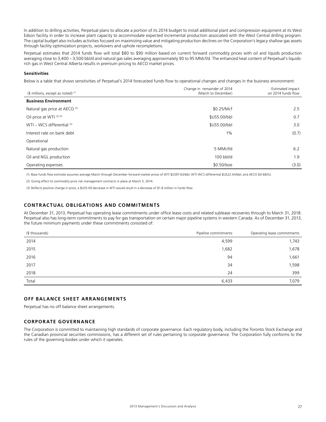In addition to drilling activities, Perpetual plans to allocate a portion of its 2014 budget to install additional plant and compression equipment at its West Edson facility in order to increase plant capacity to accommodate expected incremental production associated with the West Central drilling program. The capital budget also includes activities focused on maximizing value and mitigating production declines on the Corporation's legacy shallow gas assets through facility optimization projects, workovers and uphole recompletions.

Perpetual estimates that 2014 funds flow will total \$80 to \$90 million based on current forward commodity prices with oil and liquids production averaging close to 3,400 – 3,500 bbl/d and natural gas sales averaging approximately 90 to 95 MMcf/d. The enhanced heat content of Perpetual's liquidsrich gas in West Central Alberta results in premium pricing to AECO market prices.

## **Sensitivities**

Below is a table that shows sensitivities of Perpetual's 2014 forecasted funds flow to operational changes and changes in the business environment:

| (\$ millions, except as noted) (1)       | Change in remainder of 2014<br>(March to December) | Estimated impact<br>on 2014 funds flow |
|------------------------------------------|----------------------------------------------------|----------------------------------------|
| <b>Business Environment</b>              |                                                    |                                        |
| Natural gas price at AECO <sup>(2)</sup> | \$0.25/Mcf                                         | 2.5                                    |
| Oil price at WTI <sup>(2)(3)</sup>       | \$US5.00/bbl                                       | 0.7                                    |
| WTI – WCS differential $(2)$             | \$US5.00/bbl                                       | 3.0                                    |
| Interest rate on bank debt               | $1\%$                                              | (0.7)                                  |
| Operational                              |                                                    |                                        |
| Natural gas production                   | 5 MMcf/d                                           | 6.2                                    |
| Oil and NGL production                   | $100$ bbl/d                                        | 1.9                                    |
| Operating expenses                       | \$0.50/boe                                         | (3.0)                                  |

(1) Base funds flow estimate assumes average March through December forward market prices of WTI \$US97.63/bbl; WTI-WCS differential \$US22.43/bbl; and AECO \$4.68/GJ.

(2) Giving effect to commodity price risk management contracts in place at March 5, 2014.

(3) Reflects positive change in price; a \$US5.00 decrease in WTI would result in a decrease of \$1.8 million in funds flow.

# **CONTRACTUAL OBLIGATIONS AND COMMITMENTS**

At December 31, 2013, Perpetual has operating lease commitments under office lease costs and related sublease recoveries through to March 31, 2018. Perpetual also has long-term commitments to pay for gas transportation on certain major pipeline systems in western Canada. As of December 31, 2013, the future minimum payments under these commitments consisted of:

| (\$ thousands) | Pipeline commitments | Operating lease commitments |
|----------------|----------------------|-----------------------------|
| 2014           | 4,599                | 1,743                       |
| 2015           | 1,682                | 1,678                       |
| 2016           | 94                   | 1,661                       |
| 2017           | 34                   | 1,598                       |
| 2018           | 24                   | 399                         |
| Total          | 6,433                | 7,079                       |

# **OFF BALANCE SHEET ARRANGEMENTS**

Perpetual has no off balance sheet arrangements.

# **CORPORATE GOVERNANCE**

The Corporation is committed to maintaining high standards of corporate governance. Each regulatory body, including the Toronto Stock Exchange and the Canadian provincial securities commissions, has a different set of rules pertaining to corporate governance. The Corporation fully conforms to the rules of the governing bodies under which it operates.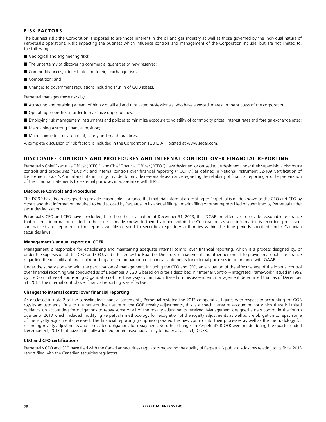# **RISK FACTORS**

The business risks the Corporation is exposed to are those inherent in the oil and gas industry as well as those governed by the individual nature of Perpetual's operations, Risks impacting the business which influence controls and management of the Corporation include, but are not limited to, the following:

- Geological and engineering risks;
- The uncertainty of discovering commercial quantities of new reserves;
- Commodity prices, interest rate and foreign exchange risks;
- Competition; and
- Changes to government regulations including shut in of GOB assets.

Perpetual manages these risks by:

- Attracting and retaining a team of highly qualified and motivated professionals who have a vested interest in the success of the corporation;
- Operating properties in order to maximize opportunities;
- Employing risk management instruments and policies to minimize exposure to volatility of commodity prices, interest rates and foreign exchange rates;
- Maintaining a strong financial position;
- Maintaining strict environment, safety and health practices.

A complete discussion of risk factors is included in the Corporation's 2013 AIF located at www.sedar.com.

# **DISCLOSURE CONTROLS AND PROCEDURES AND INTERNAL CONTROL OVER FINANCIAL REPORTING**

Perpetual's Chief Executive Officer ("CEO") and Chief Financial Officer ("CFO") have designed, or caused to be designed under their supervision, disclosure controls and procedures ("DC&P") and Internal controls over financial reporting ("ICOFR") as defined in National Instrument 52-109 Certification of Disclosure in Issuer's Annual and Interim Filings in order to provide reasonable assurance regarding the reliability of financial reporting and the preparation of the financial statements for external purposes in accordance with IFRS.

#### **Disclosure Controls and Procedures**

The DC&P have been designed to provide reasonable assurance that material information relating to Perpetual is made known to the CEO and CFO by others and that information required to be disclosed by Perpetual in its annual filings, interim filing or other reports filed or submitted by Perpetual under securities legislation.

Perpetual's CEO and CFO have concluded, based on their evaluation at December 31, 2013, that DC&P are effective to provide reasonable assurance that material information related to the issuer is made known to them by others within the Corporation, as such information is recorded, processed, summarized and reported in the reports we file or send to securities regulatory authorities within the time periods specified under Canadian securities laws.

### **Management's annual report on ICOFR**

Management is responsible for establishing and maintaining adequate internal control over financial reporting, which is a process designed by, or under the supervision of, the CEO and CFO, and effected by the Board of Directors, management and other personnel, to provide reasonable assurance regarding the reliability of financial reporting and the preparation of financial statements for external purposes in accordance with GAAP.

Under the supervision and with the participation of management, including the CEO and CFO, an evaluation of the effectiveness of the internal control over financial reporting was conducted as of December 31, 2013 based on criteria described in "Internal Control – Integrated Framework" issued in 1992 by the Committee of Sponsoring Organization of the Treadway Commission. Based on this assessment, management determined that, as of December 31, 2013, the internal control over financial reporting was effective.

### **Changes to internal control over financial reporting**

As disclosed in note 2 to the consolidated financial statements, Perpetual restated the 2012 comparative figures with respect to accounting for GOB royalty adjustments. Due to the non-routine nature of the GOB royalty adjustments, this is a specific area of accounting for which there is limited guidance on accounting for obligations to repay some or all of the royalty adjustments received. Management designed a new control in the fourth quarter of 2013 which included modifying Perpetual's methodology for recognition of the royalty adjustments as well as the obligation to repay some of the royalty adjustments received. The financial reporting group incorporated the new control into their processes as well as the methodology for recording royalty adjustments and associated obligations for repayment. No other changes in Perpetual's ICOFR were made during the quarter ended December 31, 2013 that have materially affected, or are reasonably likely to materially affect, ICOFR.

# **CEO and CFO certifications**

Perpetual's CEO and CFO have filed with the Canadian securities regulators regarding the quality of Perpetual's public disclosures relating to its fiscal 2013 report filed with the Canadian securities regulators.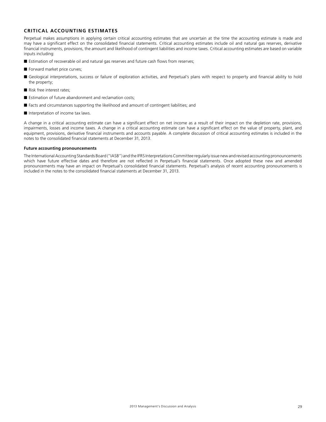# **CRITICAL ACCOUNTING ESTIMATES**

Perpetual makes assumptions in applying certain critical accounting estimates that are uncertain at the time the accounting estimate is made and may have a significant effect on the consolidated financial statements. Critical accounting estimates include oil and natural gas reserves, derivative financial instruments, provisions, the amount and likelihood of contingent liabilities and income taxes. Critical accounting estimates are based on variable inputs including:

- Estimation of recoverable oil and natural gas reserves and future cash flows from reserves;
- Forward market price curves:
- Geological interpretations, success or failure of exploration activities, and Perpetual's plans with respect to property and financial ability to hold the property;
- Risk free interest rates;
- Estimation of future abandonment and reclamation costs;
- Facts and circumstances supporting the likelihood and amount of contingent liabilities; and
- Interpretation of income tax laws.

A change in a critical accounting estimate can have a significant effect on net income as a result of their impact on the depletion rate, provisions, impairments, losses and income taxes. A change in a critical accounting estimate can have a significant effect on the value of property, plant, and equipment, provisions, derivative financial instruments and accounts payable. A complete discussion of critical accounting estimates is included in the notes to the consolidated financial statements at December 31, 2013.

### **Future accounting pronouncements**

The International Accounting Standards Board ("IASB") and the IFRS Interpretations Committee regularly issue new and revised accounting pronouncements which have future effective dates and therefore are not reflected in Perpetual's financial statements. Once adopted these new and amended pronouncements may have an impact on Perpetual's consolidated financial statements. Perpetual's analysis of recent accounting pronouncements is included in the notes to the consolidated financial statements at December 31, 2013.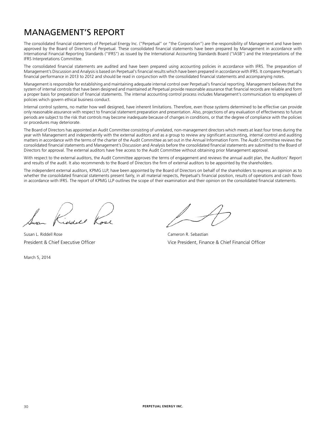# MANAGEMENT'S REPORT

The consolidated financial statements of Perpetual Energy Inc. ("Perpetual" or "the Corporation") are the responsibility of Management and have been approved by the Board of Directors of Perpetual. These consolidated financial statements have been prepared by Management in accordance with International Financial Reporting Standards ("IFRS") as issued by the International Accounting Standards Board ("IASB") and the Interpretations of the IFRS Interpretations Committee.

The consolidated financial statements are audited and have been prepared using accounting policies in accordance with IFRS. The preparation of Management's Discussion and Analysis is based on Perpetual's financial results which have been prepared in accordance with IFRS. It compares Perpetual's financial performance in 2013 to 2012 and should be read in conjunction with the consolidated financial statements and accompanying notes.

Management is responsible for establishing and maintaining adequate internal control over Perpetual's financial reporting. Management believes that the system of internal controls that have been designed and maintained at Perpetual provide reasonable assurance that financial records are reliable and form a proper basis for preparation of financial statements. The internal accounting control process includes Management's communication to employees of policies which govern ethical business conduct.

Internal control systems, no matter how well designed, have inherent limitations. Therefore, even those systems determined to be effective can provide only reasonable assurance with respect to financial statement preparation and presentation. Also, projections of any evaluation of effectiveness to future periods are subject to the risk that controls may become inadequate because of changes in conditions, or that the degree of compliance with the policies or procedures may deteriorate.

The Board of Directors has appointed an Audit Committee consisting of unrelated, non-management directors which meets at least four times during the year with Management and independently with the external auditors and as a group to review any significant accounting, internal control and auditing matters in accordance with the terms of the charter of the Audit Committee as set out in the Annual Information Form. The Audit Committee reviews the consolidated financial statements and Management's Discussion and Analysis before the consolidated financial statements are submitted to the Board of Directors for approval. The external auditors have free access to the Audit Committee without obtaining prior Management approval.

With respect to the external auditors, the Audit Committee approves the terms of engagement and reviews the annual audit plan, the Auditors' Report and results of the audit. It also recommends to the Board of Directors the firm of external auditors to be appointed by the shareholders.

The independent external auditors, KPMG LLP, have been appointed by the Board of Directors on behalf of the shareholders to express an opinion as to whether the consolidated financial statements present fairly, in all material respects, Perpetual's financial position, results of operations and cash flows in accordance with IFRS. The report of KPMG LLP outlines the scope of their examination and their opinion on the consolidated financial statements.

Susan L. Riddell Rose Cameron R. Sebastian

March 5, 2014

President & Chief Executive Officer Vice President, Finance & Chief Financial Officer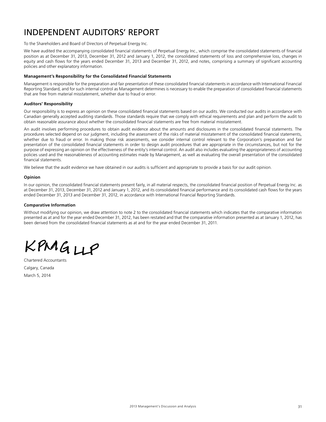# INDEPENDENT AUDITORS' REPORT

To the Shareholders and Board of Directors of Perpetual Energy Inc.

We have audited the accompanying consolidated financial statements of Perpetual Energy Inc., which comprise the consolidated statements of financial position as at December 31, 2013, December 31, 2012 and January 1, 2012, the consolidated statements of loss and comprehensive loss, changes in equity and cash flows for the years ended December 31, 2013 and December 31, 2012, and notes, comprising a summary of significant accounting policies and other explanatory information.

## **Management's Responsibility for the Consolidated Financial Statements**

Management is responsible for the preparation and fair presentation of these consolidated financial statements in accordance with International Financial Reporting Standard, and for such internal control as Management determines is necessary to enable the preparation of consolidated financial statements that are free from material misstatement, whether due to fraud or error.

## **Auditors' Responsibility**

Our responsibility is to express an opinion on these consolidated financial statements based on our audits. We conducted our audits in accordance with Canadian generally accepted auditing standards. Those standards require that we comply with ethical requirements and plan and perform the audit to obtain reasonable assurance about whether the consolidated financial statements are free from material misstatement.

An audit involves performing procedures to obtain audit evidence about the amounts and disclosures in the consolidated financial statements. The procedures selected depend on our judgment, including the assessment of the risks of material misstatement of the consolidated financial statements, whether due to fraud or error. In making those risk assessments, we consider internal control relevant to the Corporation's preparation and fair presentation of the consolidated financial statements in order to design audit procedures that are appropriate in the circumstances, but not for the purpose of expressing an opinion on the effectiveness of the entity's internal control. An audit also includes evaluating the appropriateness of accounting policies used and the reasonableness of accounting estimates made by Management, as well as evaluating the overall presentation of the consolidated financial statements.

We believe that the audit evidence we have obtained in our audits is sufficient and appropriate to provide a basis for our audit opinion.

## **Opinion**

In our opinion, the consolidated financial statements present fairly, in all material respects, the consolidated financial position of Perpetual Energy Inc. as at December 31, 2013, December 31, 2012 and January 1, 2012, and its consolidated financial performance and its consolidated cash flows for the years ended December 31, 2013 and December 31, 2012, in accordance with International Financial Reporting Standards.

# **Comparative Information**

Without modifying our opinion, we draw attention to note 2 to the consolidated financial statements which indicates that the comparative information presented as at and for the year ended December 31, 2012, has been restated and that the comparative information presented as at January 1, 2012, has been derived from the consolidated financial statements as at and for the year ended December 31, 2011.

KPMGLP

Chartered Accountants Calgary, Canada March 5, 2014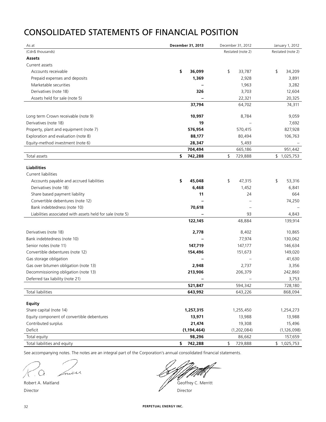# CONSOLIDATED STATEMENTS OF FINANCIAL POSITION

| As at                                                     | December 31, 2013 | December 31, 2012 | January 1, 2012   |
|-----------------------------------------------------------|-------------------|-------------------|-------------------|
| (Cdn\$ thousands)                                         |                   | Restated (note 2) | Restated (note 2) |
| <b>Assets</b>                                             |                   |                   |                   |
| Current assets                                            |                   |                   |                   |
| Accounts receivable                                       | \$<br>36,099      | \$<br>33,787      | \$<br>34,209      |
| Prepaid expenses and deposits                             | 1,369             | 2,928             | 3,891             |
| Marketable securities                                     |                   | 1,963             | 3,282             |
| Derivatives (note 18)                                     | 326               | 3,703             | 12,604            |
| Assets held for sale (note 5)                             |                   | 22,321            | 20,325            |
|                                                           | 37,794            | 64,702            | 74,311            |
| Long term Crown receivable (note 9)                       | 10,997            | 8,784             | 9,059             |
| Derivatives (note 18)                                     | 19                |                   | 7,692             |
| Property, plant and equipment (note 7)                    | 576,954           | 570,415           | 827,928           |
| Exploration and evaluation (note 8)                       | 88,177            | 80,494            | 106,763           |
| Equity-method investment (note 6)                         | 28,347            | 5,493             |                   |
|                                                           | 704,494           | 665,186           | 951,442           |
| Total assets                                              | \$<br>742,288     | \$<br>729,888     | \$1,025,753       |
| <b>Liabilities</b>                                        |                   |                   |                   |
| Current liabilities                                       |                   |                   |                   |
| Accounts payable and accrued liabilities                  | \$<br>45,048      | \$<br>47,315      | \$<br>53,316      |
| Derivatives (note 18)                                     | 6,468             | 1,452             | 6,841             |
| Share based payment liability                             | 11                | 24                | 664               |
| Convertible debentures (note 12)                          |                   |                   | 74,250            |
| Bank indebtedness (note 10)                               | 70,618            |                   |                   |
| Liabilities associated with assets held for sale (note 5) |                   | 93                | 4,843             |
|                                                           | 122,145           | 48,884            | 139,914           |
|                                                           |                   |                   |                   |
| Derivatives (note 18)                                     | 2,778             | 8,402             | 10,865            |
| Bank indebtedness (note 10)                               |                   | 77,974            | 130,062           |
| Senior notes (note 11)                                    | 147,719           | 147,177           | 146,634           |
| Convertible debentures (note 12)                          | 154,496           | 151,673           | 149,020           |
| Gas storage obligation                                    |                   |                   | 41,630            |
| Gas over bitumen obligation (note 13)                     | 2,948             | 2,737             | 3,356             |
| Decommissioning obligation (note 13)                      | 213,906           | 206,379           | 242,860           |
| Deferred tax liability (note 21)                          |                   |                   | 3,753             |
|                                                           | 521,847           | 594,342           | 728,180           |
| Total liabilities                                         | 643,992           | 643,226           | 868,094           |
| <b>Equity</b>                                             |                   |                   |                   |
| Share capital (note 14)                                   | 1,257,315         | 1,255,450         | 1,254,273         |
| Equity component of convertible debentures                | 13,971            | 13,988            | 13,988            |
| Contributed surplus                                       | 21,474            | 19,308            | 15,496            |
| Deficit                                                   | (1, 194, 464)     | (1, 202, 084)     | (1, 126, 098)     |
| Total equity                                              | 98,296            | 86,662            | 157,659           |
| Total liabilities and equity                              | \$<br>742,288     | \$<br>729,888     | \$1,025,753       |
|                                                           |                   |                   |                   |

See accompanying notes. The notes are an integral part of the Corporation's annual consolidated financial statements.

Laiter C

Director **Director** Director **Director** Director **Director** Director **Director** Director

Robert A. Maitland Geoffrey C. Merritt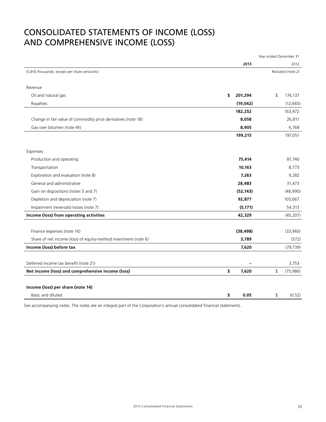# CONSOLIDATED STATEMENTS OF INCOME (LOSS) AND COMPREHENSIVE INCOME (LOSS)

|                                                                 | Year ended December 31 |                   |
|-----------------------------------------------------------------|------------------------|-------------------|
|                                                                 | 2013                   | 2012              |
| (Cdn\$ thousands, except per share amounts)                     |                        | Restated (note 2) |
|                                                                 |                        |                   |
| Revenue                                                         |                        |                   |
| Oil and natural gas                                             | \$<br>201,294          | \$<br>176,137     |
| Royalties                                                       | (19, 042)              | (12, 665)         |
|                                                                 | 182,252                | 163,472           |
| Change in fair value of commodity price derivatives (note 18)   | 8,058                  | 26,811            |
| Gas over bitumen (note 4h)                                      | 8,905                  | 6,768             |
|                                                                 | 199,215                | 197,051           |
| Expenses                                                        |                        |                   |
| Production and operating                                        | 75,414                 | 81,740            |
| Transportation                                                  | 10,163                 | 8,773             |
| Exploration and evaluation (note 8)                             | 7,263                  | 9,282             |
| General and administrative                                      | 28,483                 | 31,473            |
| Gain on dispositions (notes 5 and 7)                            | (52, 143)              | (48,990)          |
| Depletion and depreciation (note 7)                             | 92,877                 | 105,667           |
| Impairment (reversals) losses (note 7)                          | (5, 171)               | 54,313            |
| Income (loss) from operating activities                         | 42,329                 | (45, 207)         |
| Finance expenses (note 16)                                      | (38, 498)              | (33,960)          |
| Share of net income (loss) of equity-method investment (note 6) | 3,789                  | (572)             |
| Income (loss) before tax                                        | 7,620                  | (79, 739)         |
| Deferred income tax benefit (note 21)                           |                        | 3,753             |
| Net income (loss) and comprehensive income (loss)               | \$<br>7,620            | \$<br>(75, 986)   |
| Income (loss) per share (note 14)                               |                        |                   |
| Basic and diluted                                               | \$<br>0.05             | (0.52)<br>\$      |

See accompanying notes. The notes are an integral part of the Corporation's annual consolidated financial statements.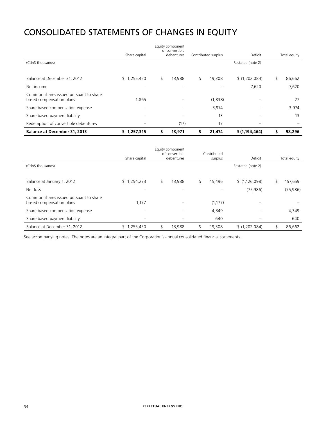# CONSOLIDATED STATEMENTS OF CHANGES IN EQUITY

|                                        |               | Equity component<br>of convertible |   |                     |                   |   |              |
|----------------------------------------|---------------|------------------------------------|---|---------------------|-------------------|---|--------------|
|                                        | Share capital | debentures                         |   | Contributed surplus | Deficit           |   | Total equity |
| (Cdn\$ thousands)                      |               |                                    |   |                     | Restated (note 2) |   |              |
|                                        |               |                                    |   |                     |                   |   |              |
| Balance at December 31, 2012           | \$1,255,450   | 13,988                             | S | 19,308              | \$(1,202,084)     | S | 86,662       |
| Net income                             |               |                                    |   |                     | 7,620             |   | 7,620        |
| Common shares issued pursuant to share |               |                                    |   |                     |                   |   |              |
| based compensation plans               | 1,865         |                                    |   | (1,838)             |                   |   | 27           |
| Share based compensation expense       |               |                                    |   | 3,974               |                   |   | 3,974        |
| Share based payment liability          |               |                                    |   | 13                  |                   |   | 13           |
| Redemption of convertible debentures   |               | (17)                               |   | 17                  |                   |   |              |
| <b>Balance at December 31, 2013</b>    | \$1,257,315   | 13,971                             | s | 21,474              | \$(1,194,464)     |   | 98,296       |

|                                                                    | Share capital |   | Equity component<br>of convertible<br>debentures | Contributed<br>surplus | Deficit           |   | Total equity |
|--------------------------------------------------------------------|---------------|---|--------------------------------------------------|------------------------|-------------------|---|--------------|
| (Cdn\$ thousands)                                                  |               |   |                                                  |                        | Restated (note 2) |   |              |
| Balance at January 1, 2012                                         | \$1,254,273   | S | 13.988                                           | \$<br>15,496           | \$(1,126,098)     | ና | 157,659      |
| Net loss                                                           |               |   |                                                  |                        | (75, 986)         |   | (75, 986)    |
| Common shares issued pursuant to share<br>based compensation plans | 1,177         |   |                                                  | (1, 177)               |                   |   |              |
| Share based compensation expense                                   |               |   |                                                  | 4,349                  |                   |   | 4,349        |
| Share based payment liability                                      |               |   |                                                  | 640                    |                   |   | 640          |
| Balance at December 31, 2012                                       | \$1,255,450   |   | 13,988                                           | 19,308                 | \$(1,202,084)     |   | 86,662       |

See accompanying notes. The notes are an integral part of the Corporation's annual consolidated financial statements.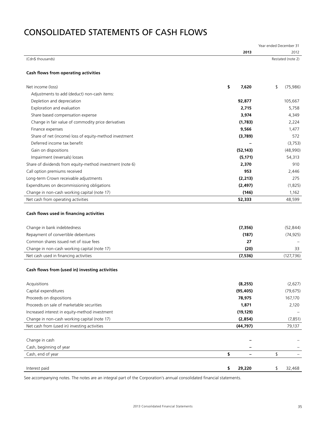# CONSOLIDATED STATEMENTS OF CASH FLOWS

|                                                           | 2013                           | 2012              |
|-----------------------------------------------------------|--------------------------------|-------------------|
| (Cdn\$ thousands)                                         |                                | Restated (note 2) |
| Cash flows from operating activities                      |                                |                   |
| Net income (loss)                                         | \$<br>7,620                    | \$<br>(75, 986)   |
| Adjustments to add (deduct) non-cash items:               |                                |                   |
| Depletion and depreciation                                | 92,877                         | 105,667           |
| Exploration and evaluation                                | 2,715                          | 5,758             |
| Share based compensation expense                          | 3,974                          | 4,349             |
| Change in fair value of commodity price derivatives       | (1,783)                        | 2,224             |
| Finance expenses                                          | 9,566                          | 1,477             |
| Share of net (income) loss of equity-method investment    | (3,789)                        | 572               |
| Deferred income tax benefit                               |                                | (3,753)           |
| Gain on dispositions                                      | (52, 143)                      | (48,990)          |
| Impairment (reversals) losses                             | (5, 171)                       | 54,313            |
| Share of dividends from equity-method investment (note 6) | 2,370                          | 910               |
| Call option premiums received                             | 953                            | 2,446             |
| Long-term Crown receivable adjustments                    | (2, 213)                       | 275               |
| Expenditures on decommissioning obligations               | (2, 497)                       | (1,825)           |
| Change in non-cash working capital (note 17)              | (146)                          | 1,162             |
| Net cash from operating activities                        | 52,333                         | 48,599            |
| Cash flows used in financing activities                   |                                |                   |
| Change in bank indebtedness                               | (7, 356)                       | (52, 844)         |
| Repayment of convertible debentures                       | (187)                          | (74, 925)         |
| Common shares issued net of issue fees                    | 27                             |                   |
| Change in non-cash working capital (note 17)              | (20)                           | 33                |
| Net cash used in financing activities                     | (7, 536)                       | (127, 736)        |
| Cash flows from (used in) investing activities            |                                |                   |
| Acquisitions                                              | (8, 255)                       | (2,627)           |
| Capital expenditures                                      | (95, 405)                      | (79, 675)         |
| Proceeds on dispositions                                  | 78,975                         | 167,170           |
| Proceeds on sale of marketable securities                 | 1,871                          | 2,120             |
| Increased interest in equity-method investment            | (19, 129)                      |                   |
| Change in non-cash working capital (note 17)              | (2, 854)                       | (7, 851)          |
| Net cash from (used in) investing activities              | (44, 797)                      | 79,137            |
|                                                           |                                |                   |
| Change in cash                                            |                                |                   |
| Cash, beginning of year                                   |                                |                   |
| Cash, end of year                                         | \$<br>$\overline{\phantom{0}}$ | \$                |
| Interest paid                                             | \$<br>29,220                   | \$<br>32,468      |

See accompanying notes. The notes are an integral part of the Corporation's annual consolidated financial statements.

Year ended December 31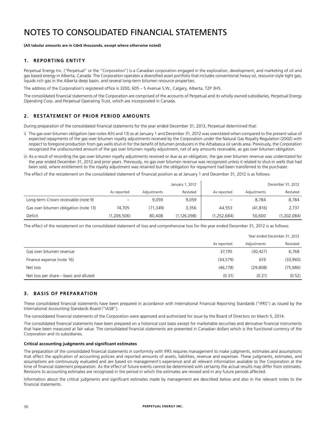# NOTES TO CONSOLIDATED FINANCIAL STATEMENTS

**(All tabular amounts are in Cdn\$ thousands, except where otherwise noted)**

# **1. REPORTING ENTITY**

Perpetual Energy Inc. ("Perpetual" or the "Corporation") is a Canadian corporation engaged in the exploration, development, and marketing of oil and gas based energy in Alberta, Canada. The Corporation operates a diversified asset portfolio that includes conventional heavy oil, resource-style tight gas, liquids rich gas in the Alberta deep basin, and several long-term bitumen resource properties.

The address of the Corporation's registered office is 3200, 605 – 5 Avenue S.W., Calgary, Alberta, T2P 3H5.

The consolidated financial statements of the Corporation are comprised of the accounts of Perpetual and its wholly owned subsidiaries, Perpetual Energy Operating Corp. and Perpetual Operating Trust, which are incorporated in Canada.

# **2. RESTATEMENT OF PRIOR PERIOD AMOUNTS**

During preparation of the consolidated financial statements for the year ended December 31, 2013, Perpetual determined that:

- i) The gas over bitumen obligation (see notes 4(h) and 13) as at January 1 and December 31, 2012 was overstated when compared to the present value of expected repayments of the gas over bitumen royalty adjustments received by the Corporation under the Natural Gas Royalty Regulation (2002) with respect to foregone production from gas wells shut-in for the benefit of bitumen producers in the Athabasca oil sands area. Previously, the Corporation recognized the undiscounted amount of the gas over bitumen royalty adjustment, net of any amounts receivable, as gas over bitumen obligation.
- ii) As a result of recording the gas over bitumen royalty adjustments received or due as an obligation, the gas over bitumen revenue was understated for the year ended December 31, 2012 and prior years. Previously, no gas over bitumen revenue was recognized unless it related to shut-in wells that had been sold, where entitlement to the royalty adjustment was retained but the obligation for repayment had been transferred to the purchaser.

The effect of the restatement on the consolidated statement of financial position as at January 1 and December 31, 2012 is as follows:

|                                       |                          |             | January 1, 2012 |                 | December 31, 2012 |             |  |
|---------------------------------------|--------------------------|-------------|-----------------|-----------------|-------------------|-------------|--|
|                                       | As reported              | Adjustments | Restated        | As reported     | Adjustments       | Restated    |  |
| Long-term Crown receivable (note 9)   | $\overline{\phantom{0}}$ | 9.059       | 9,059           | $\qquad \qquad$ | 8.784             | 8,784       |  |
| Gas over bitumen obligation (note 13) | 74.705                   | (71,349)    | 3,356           | 44.553          | (41, 816)         | 2,737       |  |
| Deficit                               | (1,206,506)              | 80.408      | (1,126,098)     | (1, 252, 684)   | 50.600            | (1,202,084) |  |

The effect of the restatement on the consolidated statement of loss and comprehensive loss for the year ended December 31, 2012 is as follows:

|                                        |             | Year ended December 31, 2012 |          |  |
|----------------------------------------|-------------|------------------------------|----------|--|
|                                        | As reported | Adjustments                  | Restated |  |
| Gas over bitumen revenue               | 37,195      | (30, 427)                    | 6,768    |  |
| Finance expense (note 16)              | (34, 579)   | 619                          | (33,960) |  |
| Net loss                               | (46, 178)   | (29, 808)                    | (75,986) |  |
| Net loss per share – basic and diluted | (0.31)      | (0.21)                       | (0.52)   |  |

## **3. BASIS OF PREPARATION**

These consolidated financial statements have been prepared in accordance with International Financial Reporting Standards ("IFRS") as issued by the International Accounting Standards Board ("IASB").

The consolidated financial statements of the Corporation were approved and authorized for issue by the Board of Directors on March 5, 2014.

The consolidated financial statements have been prepared on a historical cost basis except for marketable securities and derivative financial instruments that have been measured at fair value. The consolidated financial statements are presented in Canadian dollars which is the functional currency of the Corporation and its subsidiaries.

### **Critical accounting judgments and significant estimates**

The preparation of the consolidated financial statements in conformity with IFRS requires management to make judgments, estimates and assumptions that affect the application of accounting policies and reported amounts of assets, liabilities, revenue and expenses. These judgments, estimates, and assumptions are continuously evaluated and are based on management's experience and all relevant information available to the Corporation at the time of financial statement preparation. As the effect of future events cannot be determined with certainty the actual results may differ from estimates. Revisions to accounting estimates are recognized in the period in which the estimates are revised and in any future periods affected.

Information about the critical judgments and significant estimates made by management are described below and also in the relevant notes to the financial statements.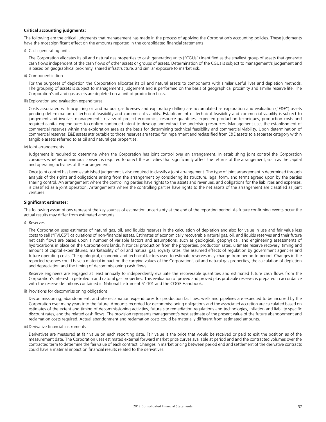## **Critical accounting judgments:**

The following are the critical judgments that management has made in the process of applying the Corporation's accounting policies. These judgments have the most significant effect on the amounts reported in the consolidated financial statements.

i) Cash-generating units

The Corporation allocates its oil and natural gas properties to cash generating units ("CGUs") identified as the smallest group of assets that generate cash flows independent of the cash flows of other assets or groups of assets. Determination of the CGUs is subject to management's judgement and is based on geographical proximity, shared infrastructure, and similar exposure to market risk.

ii) Componentization

For the purposes of depletion the Corporation allocates its oil and natural assets to components with similar useful lives and depletion methods. The grouping of assets is subject to management's judgement and is performed on the basis of geographical proximity and similar reserve life. The Corporation's oil and gas assets are depleted on a unit of production basis.

iii) Exploration and evaluation expenditures

Costs associated with acquiring oil and natural gas licenses and exploratory drilling are accumulated as exploration and evaluation ("E&E") assets pending determination of technical feasibility and commercial viability. Establishment of technical feasibility and commercial viability is subject to judgement and involves management's review of project economics, resource quantities, expected production techniques, production costs and required capital expenditures to confirm continued intent to develop and extract the underlying resources. Management uses the establishment of commercial reserves within the exploration area as the basis for determining technical feasibility and commercial viability. Upon determination of commercial reserves, E&E assets attributable to those reserves are tested for impairment and reclassified from E&E assets to a separate category within tangible assets referred to as oil and natural gas properties.

iv) Joint arrangements

Judgement is required to determine when the Corporation has joint control over an arrangement. In establishing joint control the Corporation considers whether unanimous consent is required to direct the activities that significantly affect the returns of the arrangement, such as the capital and operating activities of the arrangement.

Once joint control has been established judgement is also required to classify a joint arrangement. The type of joint arrangement is determined through analysis of the rights and obligations arising from the arrangement by considering its structure, legal form, and terms agreed upon by the parties sharing control. An arrangement where the controlling parties have rights to the assets and revenues, and obligations for the liabilities and expenses, is classified as a joint operation. Arrangements where the controlling parties have rights to the net assets of the arrangement are classified as joint ventures.

## **Significant estimates:**

The following assumptions represent the key sources of estimation uncertainty at the end of the reporting period. As future confirming events occur the actual results may differ from estimated amounts.

i) Reserves

The Corporation uses estimates of natural gas, oil, and liquids reserves in the calculation of depletion and also for value in use and fair value less costs to sell ("FVLCS") calculations of non-financial assets. Estimates of economically recoverable natural gas, oil, and liquids reserves and their future net cash flows are based upon a number of variable factors and assumptions, such as geological, geophysical, and engineering assessments of hydrocarbons in place on the Corporation's lands, historical production from the properties, production rates, ultimate reserve recovery, timing and amount of capital expenditures, marketability of oil and natural gas, royalty rates, the assumed effects of regulation by government agencies and future operating costs. The geological, economic and technical factors used to estimate reserves may change from period to period. Changes in the reported reserves could have a material impact on the carrying values of the Corporation's oil and natural gas properties, the calculation of depletion and depreciation and the timing of decommissioning cash flows.

Reserve engineers are engaged at least annually to independently evaluate the recoverable quantities and estimated future cash flows from the Corporation's interest in petroleum and natural gas properties. This evaluation of proved and proved plus probable reserves is prepared in accordance with the reserve definitions contained in National Instrument 51-101 and the COGE Handbook.

ii) Provisions for decommissioning obligations

Decommissioning, abandonment, and site reclamation expenditures for production facilities, wells and pipelines are expected to be incurred by the Corporation over many years into the future. Amounts recorded for decommissioning obligations and the associated accretion are calculated based on estimates of the extent and timing of decommissioning activities, future site remediation regulations and technologies, inflation and liability specific discount rates, and the related cash flows. The provision represents management's best estimate of the present value of the future abandonment and reclamation costs required. Actual abandonment and reclamation costs could be materially different from estimated amounts.

iii) Derivative financial instruments

Derivatives are measured at fair value on each reporting date. Fair value is the price that would be received or paid to exit the position as of the measurement date. The Corporation uses estimated external forward market price curves available at period end and the contracted volumes over the contracted term to determine the fair value of each contract. Changes in market pricing between period end and settlement of the derivative contracts could have a material impact on financial results related to the derivatives.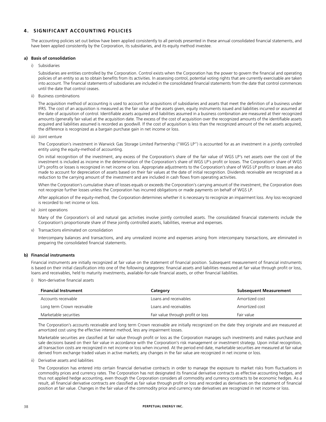# **4. SIGNIFICANT ACCOUNTING POLICIES**

The accounting policies set out below have been applied consistently to all periods presented in these annual consolidated financial statements, and have been applied consistently by the Corporation, its subsidiaries, and its equity method investee.

## **a) Basis of consolidation**

## i) Subsidiaries

Subsidiaries are entities controlled by the Corporation. Control exists when the Corporation has the power to govern the financial and operating policies of an entity so as to obtain benefits from its activities. In assessing control, potential voting rights that are currently exercisable are taken into account. The financial statements of subsidiaries are included in the consolidated financial statements from the date that control commences until the date that control ceases.

Business combinations

The acquisition method of accounting is used to account for acquisitions of subsidiaries and assets that meet the definition of a business under IFRS. The cost of an acquisition is measured as the fair value of the assets given, equity instruments issued and liabilities incurred or assumed at the date of acquisition of control. Identifiable assets acquired and liabilities assumed in a business combination are measured at their recognized amounts (generally fair value) at the acquisition date. The excess of the cost of acquisition over the recognized amounts of the identifiable assets acquired and liabilities assumed is recorded as goodwill. If the cost of acquisition is less than the recognized amount of the net assets acquired, the difference is recognized as a bargain purchase gain in net income or loss.

iii) Joint venture

The Corporation's investment in Warwick Gas Storage Limited Partnership ("WGS LP") is accounted for as an investment in a jointly controlled entity using the equity-method of accounting.

On initial recognition of the investment, any excess of the Corporation's share of the fair value of WGS LP's net assets over the cost of the investment is included as income in the determination of the Corporation's share of WGS LP's profit or losses. The Corporation's share of WGS LP's profits or losses is recognized in net income or loss. Appropriate adjustments to the Corporation's share of WGS LP profits or losses are also made to account for depreciation of assets based on their fair values at the date of initial recognition. Dividends receivable are recognized as a reduction to the carrying amount of the investment and are included in cash flows from operating activities.

When the Corporation's cumulative share of losses equals or exceeds the Corporation's carrying amount of the investment, the Corporation does not recognize further losses unless the Corporation has incurred obligations or made payments on behalf of WGS LP.

After application of the equity-method, the Corporation determines whether it is necessary to recognize an impairment loss. Any loss recognized is recorded to net income or loss.

iv) Joint operations

Many of the Corporation's oil and natural gas activities involve jointly controlled assets. The consolidated financial statements include the Corporation's proportionate share of these jointly controlled assets, liabilities, revenue and expenses.

v) Transactions eliminated on consolidation

Intercompany balances and transactions, and any unrealized income and expenses arising from intercompany transactions, are eliminated in preparing the consolidated financial statements.

# **b) Financial instruments**

Financial instruments are initially recognized at fair value on the statement of financial position. Subsequent measurement of financial instruments is based on their initial classification into one of the following categories: financial assets and liabilities measured at fair value through profit or loss, loans and receivables, held to maturity investments, available-for-sale financial assets, or other financial liabilities.

i) Non-derivative financial assets

| <b>Financial Instrument</b> | Category                          | <b>Subsequent Measurement</b> |
|-----------------------------|-----------------------------------|-------------------------------|
| Accounts receivable         | Loans and receivables             | Amortized cost                |
| Long term Crown receivable  | Loans and receivables             | Amortized cost                |
| Marketable securities       | Fair value through profit or loss | Fair value                    |

The Corporation's accounts receivable and long term Crown receivable are initially recognized on the date they originate and are measured at amortized cost using the effective interest method, less any impairment losses.

Marketable securities are classified at fair value through profit or loss as the Corporation manages such investments and makes purchase and sale decisions based on their fair value in accordance with the Corporation's risk management or investment strategy. Upon initial recognition, all transaction costs are recognized in net income or loss when incurred. At the period end date, marketable securities are measured at fair value derived from exchange traded values in active markets; any changes in the fair value are recognized in net income or loss.

ii) Derivative assets and liabilities

The Corporation has entered into certain financial derivative contracts in order to manage the exposure to market risks from fluctuations in commodity prices and currency rates. The Corporation has not designated its financial derivative contracts as effective accounting hedges, and thus not applied hedge accounting, even though the Corporation considers all commodity and currency contracts to be economic hedges. As a result, all financial derivative contracts are classified as fair value through profit or loss and recorded as derivatives on the statement of financial position at fair value. Changes in the fair value of the commodity price and currency rate derivatives are recognized in net income or loss.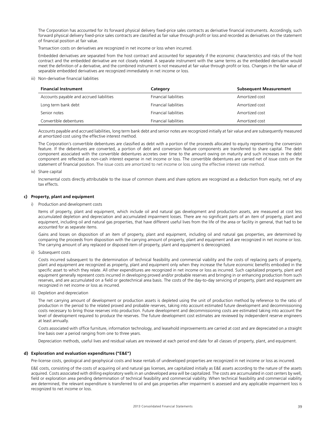The Corporation has accounted for its forward physical delivery fixed-price sales contracts as derivative financial instruments. Accordingly, such forward physical delivery fixed-price sales contracts are classified as fair value through profit or loss and recorded as derivatives on the statement of financial position at fair value.

Transaction costs on derivatives are recognized in net income or loss when incurred.

Embedded derivatives are separated from the host contract and accounted for separately if the economic characteristics and risks of the host contract and the embedded derivative are not closely related. A separate instrument with the same terms as the embedded derivative would meet the definition of a derivative, and the combined instrument is not measured at fair value through profit or loss. Changes in the fair value of separable embedded derivatives are recognized immediately in net income or loss.

### iii) Non-derivative financial liabilities

| <b>Financial Instrument</b>              | Category                     | <b>Subsequent Measurement</b> |
|------------------------------------------|------------------------------|-------------------------------|
| Accounts payable and accrued liabilities | Financial liabilities        | Amortized cost                |
| Long term bank debt                      | <b>Financial liabilities</b> | Amortized cost                |
| Senior notes                             | <b>Financial liabilities</b> | Amortized cost                |
| Convertible debentures                   | <b>Financial liabilities</b> | Amortized cost                |

Accounts payable and accrued liabilities, long term bank debt and senior notes are recognized initially at fair value and are subsequently measured at amortized cost using the effective interest method.

The Corporation's convertible debentures are classified as debt with a portion of the proceeds allocated to equity representing the conversion feature. If the debentures are converted, a portion of debt and conversion feature components are transferred to share capital. The debt component associated with the convertible debentures accretes over time to the amount owing on maturity and such increases in the debt component are reflected as non-cash interest expense in net income or loss. The convertible debentures are carried net of issue costs on the statement of financial position. The issue costs are amortized to net income or loss using the effective interest rate method.

### iv) Share capital

Incremental costs directly attributable to the issue of common shares and share options are recognized as a deduction from equity, net of any tax effects.

### **c) Property, plant and equipment**

i) Production and development costs

Items of property, plant and equipment, which include oil and natural gas development and production assets, are measured at cost less accumulated depletion and depreciation and accumulated impairment losses. There are no significant parts of an item of property, plant and equipment, including oil and natural gas properties, that have different useful lives from the life of the area or facility in general, that had to be accounted for as separate items.

Gains and losses on disposition of an item of property, plant and equipment, including oil and natural gas properties, are determined by comparing the proceeds from disposition with the carrying amount of property, plant and equipment and are recognized in net income or loss. The carrying amount of any replaced or disposed item of property, plant and equipment is derecognized.

ii) Subsequent costs

Costs incurred subsequent to the determination of technical feasibility and commercial viability and the costs of replacing parts of property, plant and equipment are recognized as property, plant and equipment only when they increase the future economic benefits embodied in the specific asset to which they relate. All other expenditures are recognized in net income or loss as incurred. Such capitalized property, plant and equipment generally represent costs incurred in developing proved and/or probable reserves and bringing in or enhancing production from such reserves, and are accumulated on a field or geotechnical area basis. The costs of the day-to-day servicing of property, plant and equipment are recognized in net income or loss as incurred.

iii) Depletion and depreciation

The net carrying amount of development or production assets is depleted using the unit of production method by reference to the ratio of production in the period to the related proved and probable reserves, taking into account estimated future development and decommissioning costs necessary to bring those reserves into production. Future development and decommissioning costs are estimated taking into account the level of development required to produce the reserves. The future development cost estimates are reviewed by independent reserve engineers at least annually.

Costs associated with office furniture, information technology, and leasehold improvements are carried at cost and are depreciated on a straight line basis over a period ranging from one to three years.

Depreciation methods, useful lives and residual values are reviewed at each period end date for all classes of property, plant, and equipment.

## **d) Exploration and evaluation expenditures ("E&E")**

Pre-license costs, geological and geophysical costs and lease rentals of undeveloped properties are recognized in net income or loss as incurred.

E&E costs, consisting of the costs of acquiring oil and natural gas licenses, are capitalized initially as E&E assets according to the nature of the assets acquired. Costs associated with drilling exploratory wells in an undeveloped area will be capitalized. The costs are accumulated in cost centers by well, field or exploration area pending determination of technical feasibility and commercial viability. When technical feasibility and commercial viability are determined, the relevant expenditure is transferred to oil and gas properties after impairment is assessed and any applicable impairment loss is recognized to net income or loss.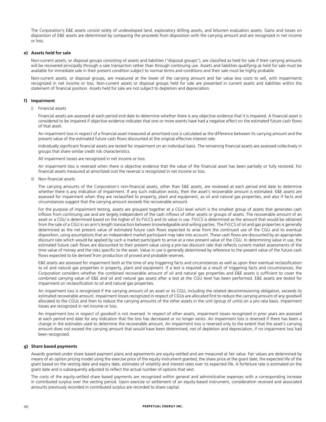The Corporation's E&E assets consist solely of undeveloped land, exploratory drilling assets, and bitumen evaluation assets. Gains and losses on disposition of E&E assets are determined by comparing the proceeds from disposition with the carrying amount and are recognized in net income or loss.

### **e) Assets held for sale**

Non-current assets, or disposal groups consisting of assets and liabilities ("disposal groups"), are classified as held for sale if their carrying amounts will be recovered principally through a sale transaction rather than through continuing use. Assets and liabilities qualifying as held for sale must be available for immediate sale in their present condition subject to normal terms and conditions and their sale must be highly probable.

Non-current assets, or disposal groups, are measured at the lower of the carrying amount and fair value less costs to sell, with impairments recognized in net income or loss. Non-current assets or disposal groups held for sale are presented in current assets and liabilities within the statement of financial position. Assets held for sale are not subject to depletion and depreciation.

## **f) Impairment**

i) Financial assets

Financial assets are assessed at each period end date to determine whether there is any objective evidence that it is impaired. A financial asset is considered to be impaired if objective evidence indicates that one or more events have had a negative effect on the estimated future cash flows of that asset.

An impairment loss in respect of a financial asset measured at amortized cost is calculated as the difference between its carrying amount and the present value of the estimated future cash flows discounted at the original effective interest rate.

Individually significant financial assets are tested for impairment on an individual basis. The remaining financial assets are assessed collectively in groups that share similar credit risk characteristics.

All impairment losses are recognized in net income or loss.

An impairment loss is reversed when there is objective evidence that the value of the financial asset has been partially or fully restored. For financial assets measured at amortized cost the reversal is recognized in net income or loss.

ii) Non-financial assets

The carrying amounts of the Corporation's non-financial assets, other than E&E assets, are reviewed at each period end date to determine whether there is any indication of impairment. If any such indication exists, then the asset's recoverable amount is estimated. E&E assets are assessed for impairment when they are reclassified to property, plant and equipment, as oil and natural gas properties, and also if facts and circumstances suggest that the carrying amount exceeds the recoverable amount.

For the purpose of impairment testing, assets are grouped together at a CGU level which is the smallest group of assets that generates cash inflows from continuing use and are largely independent of the cash inflows of other assets or groups of assets. The recoverable amount of an asset or a CGU is determined based on the higher of its FVLCS and its value in use. FVLCS is determined as the amount that would be obtained from the sale of a CGU in an arm's length transaction between knowledgeable and willing parties. The FVLCS of oil and gas properties is generally determined as the net present value of estimated future cash flows expected to arise from the continued use of the CGU and its eventual disposition, using assumptions that an independent market participant may take into account. These cash flows are discounted by an appropriate discount rate which would be applied by such a market participant to arrive at a new present value of the CGU. In determining value in use, the estimated future cash flows are discounted to their present value using a pre-tax discount rate that reflects current market assessments of the time value of money and the risks specific to the asset. Value in use is generally determined by reference to the present value of the future cash flows expected to be derived from production of proved and probable reserves.

E&E assets are assessed for impairment both at the time of any triggering facts and circumstances as well as upon their eventual reclassification to oil and natural gas properties in property, plant and equipment. If a test is required as a result of triggering facts and circumstances, the Corporation considers whether the combined recoverable amount of oil and natural gas properties and E&E assets is sufficient to cover the combined carrying value of E&E and oil and natural gas assets after a test at the CGU level has been performed. E&E assets are tested for impairment on reclassification to oil and natural gas properties.

An impairment loss is recognized if the carrying amount of an asset or its CGU, including the related decommissioning obligation, exceeds its estimated recoverable amount. Impairment losses recognized in respect of CGUs are allocated first to reduce the carrying amount of any goodwill allocated to the CGUs and then to reduce the carrying amounts of the other assets in the unit (group of units) on a pro rata basis. Impairment losses are recognized in net income or loss.

An impairment loss in respect of goodwill is not reversed. In respect of other assets, impairment losses recognized in prior years are assessed at each period end date for any indication that the loss has decreased or no longer exists. An impairment loss is reversed if there has been a change in the estimates used to determine the recoverable amount. An impairment loss is reversed only to the extent that the asset's carrying amount does not exceed the carrying amount that would have been determined, net of depletion and depreciation, if no impairment loss had been recognized.

### **g) Share based payments**

Awards granted under share based payment plans and agreements are equity-settled and are measured at fair value. Fair values are determined by means of an option pricing model using the exercise price of the equity instrument granted, the share price at the grant date, the expected life of the grant based on the vesting date and expiry date, estimates of volatility and interest rates over its expected life. A forfeiture rate is estimated on the grant date and is subsequently adjusted to reflect the actual number of options that vest.

The costs of the equity-settled share based payments are recognized within general and administrative expenses with a corresponding increase in contributed surplus over the vesting period. Upon exercise or settlement of an equity-based instrument, consideration received and associated amounts previously recorded in contributed surplus are recorded to share capital.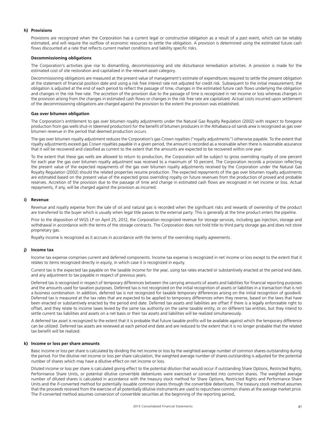### **h) Provisions**

Provisions are recognized when the Corporation has a current legal or constructive obligation as a result of a past event, which can be reliably estimated, and will require the outflow of economic resources to settle the obligation. A provision is determined using the estimated future cash flows discounted at a rate that reflects current market conditions and liability specific risks.

### **Decommissioning obligations**

The Corporation's activities give rise to dismantling, decommissioning and site disturbance remediation activities. A provision is made for the estimated cost of site restoration and capitalized in the relevant asset category.

Decommissioning obligations are measured at the present value of management's estimate of expenditures required to settle the present obligation at the statement of financial position date and using a risk free interest rate not adjusted for credit risk. Subsequent to the initial measurement, the obligation is adjusted at the end of each period to reflect the passage of time, changes in the estimated future cash flows underlying the obligation and changes in the risk free rate. The accretion of the provision due to the passage of time is recognized in net income or loss whereas changes in the provision arising from the changes in estimated cash flows or changes in the risk free rate are capitalized. Actual costs incurred upon settlement of the decommissioning obligations are charged against the provision to the extent the provision was established.

### **Gas over bitumen obligation**

The Corporation's entitlement to gas over bitumen royalty adjustments under the Natural Gas Royalty Regulation (2002) with respect to foregone production from gas wells shut-in (deemed production) for the benefit of bitumen producers in the Athabasca oil sands area is recognized as gas over bitumen revenue in the period that deemed production occurs.

The gas over bitumen royalty adjustment reduces the Corporation's gas Crown royalties ("royalty adjustments") otherwise payable. To the extent that royalty adjustments exceed gas Crown royalties payable in a given period, the amount is recorded as a receivable when there is reasonable assurance that it will be recovered and classified as current to the extent that the amounts are expected to be recovered within one year.

To the extent that these gas wells are allowed to return to production, the Corporation will be subject to gross overriding royalty of one percent for each year the gas over bitumen royalty adjustment was received to a maximum of 10 percent. The Corporation records a provision reflecting the present value of the expected repayments of the gas over bitumen royalty adjustments received by the Corporation under the Natural Gas Royalty Regulation (2002) should the related properties resume production. The expected repayments of the gas over bitumen royalty adjustments are estimated based on the present value of the expected gross overriding royalty on future revenues from the production of proved and probable reserves. Accretion of the provision due to the passage of time and change in estimated cash flows are recognized in net income or loss. Actual repayments, if any, will be charged against the provision as incurred.

### **i) Revenue**

Revenue and royalty expense from the sale of oil and natural gas is recorded when the significant risks and rewards of ownership of the product are transferred to the buyer which is usually when legal title passes to the external party. This is generally at the time product enters the pipeline.

Prior to the disposition of WGS LP on April 25, 2012, the Corporation recognized revenue for storage services, including gas injection, storage and withdrawal in accordance with the terms of the storage contracts. The Corporation does not hold title to third party storage gas and does not store proprietary gas.

Royalty income is recognized as it accrues in accordance with the terms of the overriding royalty agreements.

## **j) Income tax**

Income tax expense comprises current and deferred components. Income tax expense is recognized in net income or loss except to the extent that it relates to items recognized directly in equity, in which case it is recognized in equity.

Current tax is the expected tax payable on the taxable income for the year, using tax rates enacted or substantively enacted at the period end date, and any adjustment to tax payable in respect of previous years.

Deferred tax is recognized in respect of temporary differences between the carrying amounts of assets and liabilities for financial reporting purposes and the amounts used for taxation purposes. Deferred tax is not recognized on the initial recognition of assets or liabilities in a transaction that is not a business combination. In addition, deferred tax is not recognized for taxable temporary differences arising on the initial recognition of goodwill. Deferred tax is measured at the tax rates that are expected to be applied to temporary differences when they reverse, based on the laws that have been enacted or substantively enacted by the period end date. Deferred tax assets and liabilities are offset if there is a legally enforceable right to offset, and they relate to income taxes levied by the same tax authority on the same taxable entity, or on different tax entities, but they intend to settle current tax liabilities and assets on a net basis or their tax assets and liabilities will be realized simultaneously.

A deferred tax asset is recognized to the extent that it is probable that future taxable profits will be available against which the temporary difference can be utilized. Deferred tax assets are reviewed at each period end date and are reduced to the extent that it is no longer probable that the related tax benefit will be realized.

### **k) Income or loss per share amounts**

Basic income or loss per share is calculated by dividing the net income or loss by the weighted average number of common shares outstanding during the period. For the dilutive net income or loss per share calculation, the weighted average number of shares outstanding is adjusted for the potential number of shares which may have a dilutive effect on net income or loss.

Diluted income or loss per share is calculated giving effect to the potential dilution that would occur if outstanding Share Options, Restricted Rights, Performance Share Units, or potential dilutive convertible debentures were exercised or converted into common shares. The weighted average number of diluted shares is calculated in accordance with the treasury stock method for Share Options, Restricted Rights and Performance Share Units and the if-converted method for potentially issuable common shares through the convertible debentures. The treasury stock method assumes that the proceeds received from the exercise of all potentially dilutive instruments are used to repurchase common shares at the average market price. The if-converted method assumes conversion of convertible securities at the beginning of the reporting period**.**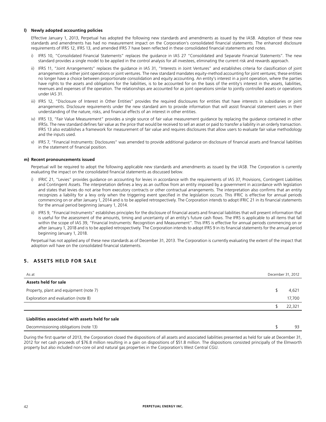## **l) Newly adopted accounting policies**

Effective January 1, 2013, Perpetual has adopted the following new standards and amendments as issued by the IASB. Adoption of these new standards and amendments has had no measurement impact on the Corporation's consolidated financial statements. The enhanced disclosure requirements of IFRS 12, IFRS 13, and amended IFRS 7 have been reflected in these consolidated financial statements and notes.

- i) IFRS 10, "Consolidated Financial Statements" replaces the guidance in IAS 27 "Consolidated and Separate Financial Statements". The new standard provides a single model to be applied in the control analysis for all investees, eliminating the current risk and rewards approach.
- ii) IFRS 11, "Joint Arrangements" replaces the guidance in IAS 31, "Interests in Joint Ventures" and establishes criteria for classification of joint arrangements as either joint operations or joint ventures. The new standard mandates equity-method accounting for joint ventures; these entities no longer have a choice between proportionate consolidation and equity accounting. An entity's interest in a joint operation, where the parties have rights to the assets and obligations for the liabilities, is to be accounted for on the basis of the entity's interest in the assets, liabilities, revenues and expenses of the operation. The relationships are accounted for as joint operations similar to jointly controlled assets or operations under IAS 31.
- iii) IFRS 12, "Disclosure of Interest in Other Entities" provides the required disclosures for entities that have interests in subsidiaries or joint arrangements. Disclosure requirements under the new standard aim to provide information that will assist financial statement users in their understanding of the nature, risks, and financial effects of an interest in other entities.
- iv) IFRS 13, "Fair Value Measurement" provides a single source of fair value measurement guidance by replacing the guidance contained in other IFRSs. The new standard defines fair value as the price that would be received to sell an asset or paid to transfer a liability in an orderly transaction. IFRS 13 also establishes a framework for measurement of fair value and requires disclosures that allow users to evaluate fair value methodology and the inputs used.
- v) IFRS 7, "Financial Instruments: Disclosures" was amended to provide additional guidance on disclosure of financial assets and financial liabilities in the statement of financial position.

### **m) Recent pronouncements issued**

Perpetual will be required to adopt the following applicable new standards and amendments as issued by the IASB. The Corporation is currently evaluating the impact on the consolidated financial statements as discussed below.

- i) IFRIC 21, "Levies" provides guidance on accounting for levies in accordance with the requirements of IAS 37, Provisions, Contingent Liabilities and Contingent Assets. The interpretation defines a levy as an outflow from an entity imposed by a government in accordance with legislation and states that levies do not arise from executory contracts or other contractual arrangements. The interpretation also confirms that an entity recognizes a liability for a levy only when the triggering event specified in the legislation occurs. This IFRIC is effective for annual periods commencing on or after January 1, 2014 and is to be applied retrospectively. The Corporation intends to adopt IFRIC 21 in its financial statements for the annual period beginning January 1, 2014.
- ii) IFRS 9, "Financial Instruments" establishes principles for the disclosure of financial assets and financial liabilities that will present information that is useful for the assessment of the amounts, timing and uncertainty of an entity's future cash flows. The IFRS is applicable to all items that fall within the scope of IAS 39, "Financial Instruments: Recognition and Measurement". This IFRS is effective for annual periods commencing on or after January 1, 2018 and is to be applied retrospectively. The Corporation intends to adopt IFRS 9 in its financial statements for the annual period beginning January 1, 2018.

Perpetual has not applied any of these new standards as of December 31, 2013. The Corporation is currently evaluating the extent of the impact that adoption will have on the consolidated financial statements.

# **5. ASSETS HELD FOR SALE**

| December 31, 2012<br>As at                       |        |
|--------------------------------------------------|--------|
| Assets held for sale                             |        |
| Property, plant and equipment (note 7)           | 4,621  |
| Exploration and evaluation (note 8)              | 17.700 |
|                                                  | 22,321 |
| Liabilities associated with assets held for sale |        |

Decommissioning obligations (note 13) **5** 93

During the first quarter of 2013, the Corporation closed the dispositions of all assets and associated liabilities presented as held for sale at December 31, 2012 for net cash proceeds of \$76.8 million resulting in a gain on dispositions of \$51.8 million. The dispositions consisted principally of the Elmworth property but also included non-core oil and natural gas properties in the Corporation's West Central CGU.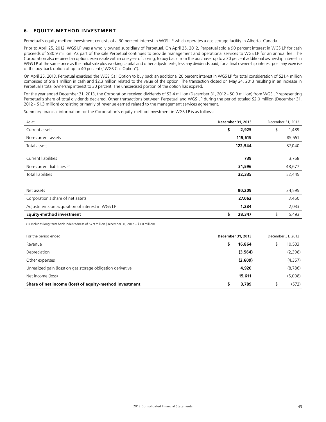# **6. EQUITY-METHOD INVESTMENT**

Perpetual's equity-method investment consists of a 30 percent interest in WGS LP which operates a gas storage facility in Alberta, Canada.

Prior to April 25, 2012, WGS LP was a wholly owned subsidiary of Perpetual. On April 25, 2012, Perpetual sold a 90 percent interest in WGS LP for cash proceeds of \$80.9 million. As part of the sale Perpetual continues to provide management and operational services to WGS LP for an annual fee. The Corporation also retained an option, exercisable within one year of closing, to buy back from the purchaser up to a 30 percent additional ownership interest in WGS LP at the same price as the initial sale plus working capital and other adjustments, less any dividends paid, for a final ownership interest post any exercise of the buy-back option of up to 40 percent ("WGS Call Option").

On April 25, 2013, Perpetual exercised the WGS Call Option to buy back an additional 20 percent interest in WGS LP for total consideration of \$21.4 million comprised of \$19.1 million in cash and \$2.3 million related to the value of the option. The transaction closed on May 24, 2013 resulting in an increase in Perpetual's total ownership interest to 30 percent. The unexercised portion of the option has expired.

For the year ended December 31, 2013, the Corporation received dividends of \$2.4 million (December 31, 2012 - \$0.9 million) from WGS LP representing Perpetual's share of total dividends declared. Other transactions between Perpetual and WGS LP during the period totaled \$2.0 million (December 31, 2012 - \$1.3 million) consisting primarily of revenue earned related to the management services agreement.

Summary financial information for the Corporation's equity-method investment in WGS LP is as follows:

| As at                                                                                          | December 31, 2013 |         | December 31, 2012 |
|------------------------------------------------------------------------------------------------|-------------------|---------|-------------------|
| Current assets                                                                                 | \$                | 2,925   | \$<br>1,489       |
| Non-current assets                                                                             |                   | 119,619 | 85,551            |
| Total assets                                                                                   |                   | 122,544 | 87,040            |
|                                                                                                |                   |         |                   |
| Current liabilities                                                                            |                   | 739     | 3,768             |
| Non-current liabilities (1)                                                                    |                   | 31,596  | 48,677            |
| Total liabilities                                                                              |                   | 32,335  | 52,445            |
|                                                                                                |                   |         |                   |
| Net assets                                                                                     |                   | 90,209  | 34,595            |
| Corporation's share of net assets                                                              |                   | 27,063  | 3,460             |
| Adjustments on acquisition of interest in WGS LP                                               |                   | 1,284   | 2,033             |
| <b>Equity-method investment</b>                                                                | \$                | 28,347  | \$<br>5,493       |
| (1) Includes long term bank indebtedness of \$7.9 million (December 31, 2012 – \$3.8 million). |                   |         |                   |

| For the period ended                                        | December 31, 2013 | December 31, 2012 |
|-------------------------------------------------------------|-------------------|-------------------|
| Revenue                                                     | 16,864            | 10,533            |
| Depreciation                                                | (3, 564)          | (2,398)           |
| Other expenses                                              | (2,609)           | (4, 357)          |
| Unrealized gain (loss) on gas storage obligation derivative | 4.920             | (8,786)           |
| Net income (loss)                                           | 15,611            | (5,008)           |
| Share of net income (loss) of equity-method investment      | 3.789             | (572)             |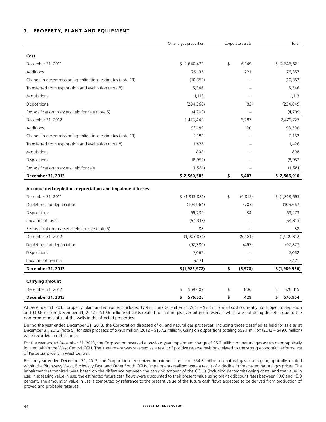# **7. PROPERTY, PLANT AND EQUIPMENT**

|                                                           | Oil and gas properties | Corporate assets |                   | Total          |  |
|-----------------------------------------------------------|------------------------|------------------|-------------------|----------------|--|
| Cost                                                      |                        |                  |                   |                |  |
| December 31, 2011                                         | \$2,640,472            | \$               | 6,149             | \$2,646,621    |  |
| Additions                                                 | 76,136                 |                  | 221               | 76,357         |  |
| Change in decommissioning obligations estimates (note 13) | (10, 352)              |                  |                   | (10, 352)      |  |
| Transferred from exploration and evaluation (note 8)      | 5,346                  |                  |                   | 5,346          |  |
| Acquisitions                                              | 1,113                  |                  |                   | 1,113          |  |
| Dispositions                                              | (234, 566)             |                  | (83)              | (234, 649)     |  |
| Reclassification to assets held for sale (note 5)         | (4,709)                |                  | $\qquad \qquad -$ | (4,709)        |  |
| December 31, 2012                                         | 2,473,440              |                  | 6,287             | 2,479,727      |  |
| <b>Additions</b>                                          | 93,180                 |                  | 120               | 93,300         |  |
| Change in decommissioning obligations estimates (note 13) | 2,182                  |                  |                   | 2,182          |  |
| Transferred from exploration and evaluation (note 8)      | 1,426                  |                  |                   | 1,426          |  |
| Acquisitions                                              | 808                    |                  |                   | 808            |  |
| <b>Dispositions</b>                                       | (8,952)                |                  |                   | (8,952)        |  |
| Reclassification to assets held for sale                  | (1, 581)               |                  |                   | (1, 581)       |  |
| December 31, 2013                                         | \$2,560,503            | \$               | 6,407             | \$2,566,910    |  |
| Accumulated depletion, depreciation and impairment losses |                        |                  |                   |                |  |
| December 31, 2011                                         | \$(1,813,881)          | \$               | (4, 812)          | \$(1,818,693)  |  |
| Depletion and depreciation                                | (104, 964)             |                  | (703)             | (105, 667)     |  |
| Dispositions                                              | 69,239                 |                  | 34                | 69,273         |  |
| Impairment losses                                         | (54, 313)              |                  |                   | (54, 313)      |  |
| Reclassification to assets held for sale (note 5)         | 88                     |                  |                   | 88             |  |
| December 31, 2012                                         | (1,903,831)            |                  | (5,481)           | (1,909,312)    |  |
| Depletion and depreciation                                | (92, 380)              |                  | (497)             | (92, 877)      |  |
| <b>Dispositions</b>                                       | 7,062                  |                  |                   | 7,062          |  |
| Impairment reversal                                       | 5,171                  |                  |                   | 5,171          |  |
| December 31, 2013                                         | \$(1,983,978)          | \$               | (5,978)           | \$(1,989,956)  |  |
| <b>Carrying amount</b>                                    |                        |                  |                   |                |  |
| December 31, 2012                                         | \$<br>569,609          | \$               | 806               | 570,415<br>\$  |  |
| December 31, 2013                                         | 576,525<br>\$          | \$               | 429               | 576,954<br>\$. |  |
|                                                           |                        |                  |                   |                |  |

At December 31, 2013, property, plant and equipment included \$7.9 million (December 31, 2012 – \$7.3 million) of costs currently not subject to depletion and \$19.6 million (December 31, 2012 – \$19.6 million) of costs related to shut-in gas over bitumen reserves which are not being depleted due to the non-producing status of the wells in the affected properties.

During the year ended December 31, 2013, the Corporation disposed of oil and natural gas properties, including those classified as held for sale as at December 31, 2012 (note 5), for cash proceeds of \$79.0 million (2012 – \$167.2 million). Gains on dispositions totaling \$52.1 million (2012 – \$49.0 million) were recorded in net income.

For the year ended December 31, 2013, the Corporation reversed a previous year impairment charge of \$5.2 million on natural gas assets geographically located within the West Central CGU. The impairment was reversed as a result of positive reserve revisions related to the strong economic performance of Perpetual's wells in West Central.

For the year ended December 31, 2012, the Corporation recognized impairment losses of \$54.3 million on natural gas assets geographically located within the Birchwavy West, Birchwavy East, and Other South CGUs. Impairments realized were a result of a decline in forecasted natural gas prices. The impairments recognized were based on the difference between the carrying amount of the CGU's (including decommissioning costs) and the value in use. In assessing value in use, the estimated future cash flows were discounted to their present value using pre-tax discount rates between 10.0 and 15.0 percent. The amount of value in use is computed by reference to the present value of the future cash flows expected to be derived from production of proved and probable reserves.

#### 44 **PERPETUAL ENERGY INC.**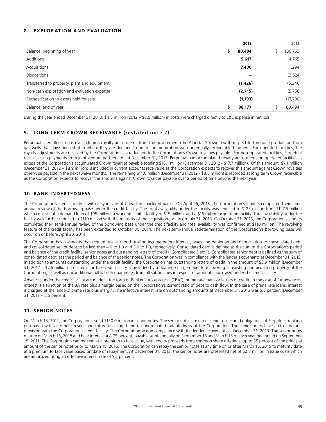# **8. EXPLORATION AND EVALUATION**

|                                              | 2013     |   | 2012     |
|----------------------------------------------|----------|---|----------|
| Balance, beginning of year                   | 80,494   | S | 106,763  |
| Additions                                    | 5,617    |   | 4,765    |
| Acquisitions                                 | 7,400    |   | 1,294    |
| <b>Dispositions</b>                          |          |   | (3, 524) |
| Transferred to property, plant and equipment | (1, 426) |   | (5,346)  |
| Non-cash exploration and evaluation expense  | (2,715)  |   | (5,758)  |
| Reclassification to assets held for sale     | (1, 193) |   | (17,700) |
| Balance, end of year                         | 88,177   | ፍ | 80,494   |

During the year ended December 31, 2013, \$4.5 million (2012 – \$3.5 million) in costs were charged directly to E&E expense in net loss.

# **9. LONG TERM CROWN RECEIVABLE (restated note 2)**

Perpetual is entitled to gas over bitumen royalty adjustments from the government (the Alberta "Crown") with respect to foregone production from gas wells that have been shut-in where they are deemed to be in communication with potentially recoverable bitumen. For operated facilities, the royalty adjustments are received by the Corporation as a reduction to the Corporation's Crown royalties payable. For non-operated facilities, Perpetual receives cash payments from joint venture partners. As at December 31, 2013, Perpetual had accumulated royalty adjustments on operated facilities in excess of the Corporation's accumulated Crown royalties payable totaling \$18.1 million (December 31, 2012 - \$17.7 million). Of this amount, \$7.1 million (December 31, 2012 – \$8.9 million) is included in current accounts receivable as the Corporation expects to recover this amount against Crown royalties otherwise payable in the next twelve months. The remaining \$11.0 million (December 31, 2012 - \$8.8 million) is recorded as long term Crown receivable as the Corporation expects to recover the amounts against Crown royalties payable over a period of time beyond the next year.

# **10. BANK INDEBTEDNESS**

The Corporation's credit facility is with a syndicate of Canadian chartered banks. On April 26, 2013, the Corporation's lenders completed their semiannual review of the borrowing base under the credit facility. The total availability under the facility was reduced to \$125 million from \$127.5 million which consists of a demand loan of \$95 million; a working capital facility of \$15 million, and a \$15 million acquisition facility. Total availability under the facility was further reduced to \$110 million with the maturity of the acquisition facility on July 31, 2013. On October 31, 2013, the Corporation's lenders completed their semi-annual review of the borrowing base under the credit facility and total availability was confirmed at \$110 million. The revolving feature of the credit facility has been extended to October 30, 2014. The next semi-annual redetermination of the Corporation's borrowing base will occur on or before April 30, 2014.

The Corporation has covenants that require twelve month trailing income before interest, taxes and depletion and depreciation to consolidated debt and consolidated senior debt to be less than 4:0 to 1:0 and 3:0 to 1:0, respectively. Consolidated debt is defined as the sum of the Corporation's period end balance of the credit facility, senior notes and outstanding letters of credit ("Consolidated Debt"). Consolidated senior debt is defined as the sum of consolidated debt less the period end balance of the senior notes. The Corporation was in compliance with the lender's covenants at December 31, 2013. In addition to amounts outstanding under the credit facility, the Corporation has outstanding letters of credit in the amount of \$5.9 million (December 31, 2012 – \$7.6 million). Collateral for the credit facility is provided by a floating-charge debenture covering all existing and acquired property of the Corporation, as well as unconditional full liability guarantees from all subsidiaries in respect of amounts borrowed under the credit facility.

Advances under the credit facility are made in the form of Banker's Acceptances ("BA"), prime rate loans or letters of credit. In the case of BA advances, interest is a function of the BA rate plus a margin based on the Corporation's current ratio of debt to cash flow. In the case of prime rate loans, interest is charged at the lenders' prime rate plus margin. The effective interest rate on outstanding amounts at December 31, 2013 was 5.5 percent (December 31, 2012 – 5.5 percent).

# **11. SENIOR NOTES**

On March 15, 2011, the Corporation issued \$150.0 million in senior notes. The senior notes are direct senior unsecured obligations of Perpetual, ranking pari passu with all other present and future unsecured and unsubordinated indebtedness of the Corporation. The senior notes have a cross-default provision with the Corporation's credit facility. The Corporation was in compliance with the lenders' covenants at December 31, 2013. The senior notes mature on March 15, 2018 and bear interest at 8.75 percent, payable semi-annually on September 15 and March 15 of each year beginning on September 15, 2011. The Corporation can redeem at a premium to face value, with equity proceeds from common share offerings, up to 35 percent of the principal amount of the senior notes prior to March 15, 2015. The Corporation can repay the senior notes at any time on or after March 15, 2015 to maturity date at a premium to face value based on date of repayment. At December 31, 2013, the senior notes are presented net of \$2.3 million in issue costs which are amortized using an effective interest rate of 9.1 percent.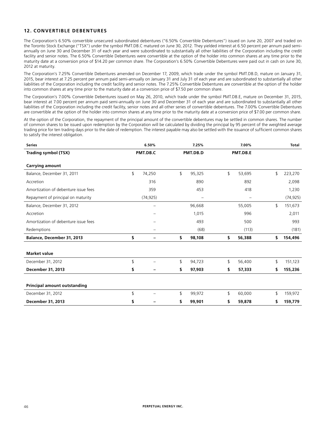# **12. CONVERTIBLE DEBENTURES**

The Corporation's 6.50% convertible unsecured subordinated debentures ("6.50% Convertible Debentures") issued on June 20, 2007 and traded on the Toronto Stock Exchange ("TSX") under the symbol PMT.DB.C matured on June 30, 2012. They yielded interest at 6.50 percent per annum paid semiannually on June 30 and December 31 of each year and were subordinated to substantially all other liabilities of the Corporation including the credit facility and senior notes. The 6.50% Convertible Debentures were convertible at the option of the holder into common shares at any time prior to the maturity date at a conversion price of \$14.20 per common share. The Corporation's 6.50% Convertible Debentures were paid out in cash on June 30, 2012 at maturity.

The Corporation's 7.25% Convertible Debentures amended on December 17, 2009, which trade under the symbol PMT.DB.D, mature on January 31, 2015, bear interest at 7.25 percent per annum paid semi-annually on January 31 and July 31 of each year and are subordinated to substantially all other liabilities of the Corporation including the credit facility and senior notes. The 7.25% Convertible Debentures are convertible at the option of the holder into common shares at any time prior to the maturity date at a conversion price of \$7.50 per common share.

The Corporation's 7.00% Convertible Debentures issued on May 26, 2010, which trade under the symbol PMT.DB.E, mature on December 31, 2015, bear interest at 7.00 percent per annum paid semi-annually on June 30 and December 31 of each year and are subordinated to substantially all other liabilities of the Corporation including the credit facility, senior notes and all other series of convertible debentures. The 7.00% Convertible Debentures are convertible at the option of the holder into common shares at any time prior to the maturity date at a conversion price of \$7.00 per common share.

At the option of the Corporation, the repayment of the principal amount of the convertible debentures may be settled in common shares. The number of common shares to be issued upon redemption by the Corporation will be calculated by dividing the principal by 95 percent of the weighted average trading price for ten trading days prior to the date of redemption. The interest payable may also be settled with the issuance of sufficient common shares to satisfy the interest obligation.

| <b>Series</b>                        | 6.50%                          | 7.25%        | 7.00%        |    | <b>Total</b> |
|--------------------------------------|--------------------------------|--------------|--------------|----|--------------|
| <b>Trading symbol (TSX)</b>          | PMT.DB.C                       | PMT.DB.D     | PMT.DB.E     |    |              |
| <b>Carrying amount</b>               |                                |              |              |    |              |
| Balance, December 31, 2011           | \$<br>74,250                   | \$<br>95,325 | \$<br>53,695 | \$ | 223,270      |
| Accretion                            | 316                            | 890          | 892          |    | 2,098        |
| Amortization of debenture issue fees | 359                            | 453          | 418          |    | 1,230        |
| Repayment of principal on maturity   | (74, 925)                      |              |              |    | (74, 925)    |
| Balance, December 31, 2012           |                                | 96,668       | 55,005       | \$ | 151,673      |
| Accretion                            |                                | 1,015        | 996          |    | 2,011        |
| Amortization of debenture issue fees |                                | 493          | 500          |    | 993          |
| Redemptions                          |                                | (68)         | (113)        |    | (181)        |
| Balance, December 31, 2013           | \$<br>$\overline{\phantom{0}}$ | \$<br>98,108 | \$<br>56,388 | \$ | 154,496      |
| <b>Market value</b>                  |                                |              |              |    |              |
| December 31, 2012                    | \$                             | \$<br>94,723 | \$<br>56,400 | \$ | 151,123      |
|                                      |                                |              |              |    |              |
| <b>December 31, 2013</b>             | \$                             | \$<br>97,903 | \$<br>57,333 | s  | 155,236      |
| <b>Principal amount outstanding</b>  |                                |              |              |    |              |
| December 31, 2012                    | \$                             | \$<br>99,972 | \$<br>60,000 | \$ | 159,972      |
| December 31, 2013                    | \$                             | \$<br>99,901 | \$<br>59,878 |    | 159,779      |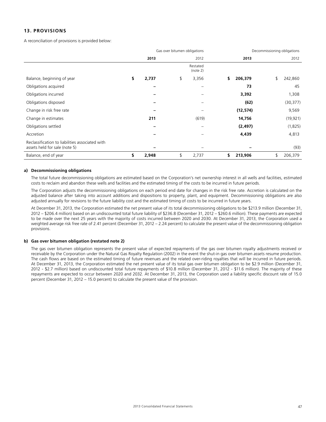# **13. PROVISIONS**

A reconciliation of provisions is provided below:

|                                                                                  | Gas over bitumen obligations |       |                      | Decommissioning obligations |               |
|----------------------------------------------------------------------------------|------------------------------|-------|----------------------|-----------------------------|---------------|
|                                                                                  |                              | 2013  | 2012                 | 2013                        | 2012          |
|                                                                                  |                              |       | Restated<br>(note 2) |                             |               |
| Balance, beginning of year                                                       | s                            | 2,737 | \$<br>3,356          | 206,379<br>s                | \$<br>242,860 |
| Obligations acquired                                                             |                              |       |                      | 73                          | 45            |
| Obligations incurred                                                             |                              |       |                      | 3,392                       | 1,308         |
| Obligations disposed                                                             |                              |       |                      | (62)                        | (30, 377)     |
| Change in risk free rate                                                         |                              |       |                      | (12, 574)                   | 9,569         |
| Change in estimates                                                              |                              | 211   | (619)                | 14,756                      | (19, 921)     |
| Obligations settled                                                              |                              | -     |                      | (2, 497)                    | (1,825)       |
| Accretion                                                                        |                              |       |                      | 4,439                       | 4,813         |
| Reclassification to liabilities associated with<br>assets held for sale (note 5) |                              |       |                      |                             | (93)          |
| Balance, end of year                                                             | s                            | 2,948 | \$<br>2,737          | 213,906<br>s                | 206,379<br>\$ |

### **a) Decommissioning obligations**

The total future decommissioning obligations are estimated based on the Corporation's net ownership interest in all wells and facilities, estimated costs to reclaim and abandon these wells and facilities and the estimated timing of the costs to be incurred in future periods.

The Corporation adjusts the decommissioning obligations on each period end date for changes in the risk free rate. Accretion is calculated on the adjusted balance after taking into account additions and dispositions to property, plant, and equipment. Decommissioning obligations are also adjusted annually for revisions to the future liability cost and the estimated timing of costs to be incurred in future years.

At December 31, 2013, the Corporation estimated the net present value of its total decommissioning obligations to be \$213.9 million (December 31, 2012 – \$206.4 million) based on an undiscounted total future liability of \$236.8 (December 31, 2012 – \$260.6 million). These payments are expected to be made over the next 25 years with the majority of costs incurred between 2020 and 2030. At December 31, 2013, the Corporation used a weighted average risk free rate of 2.41 percent (December 31, 2012 – 2.24 percent) to calculate the present value of the decommissioning obligation provisions.

## **b) Gas over bitumen obligation (restated note 2)**

The gas over bitumen obligation represents the present value of expected repayments of the gas over bitumen royalty adjustments received or receivable by the Corporation under the Natural Gas Royalty Regulation (2002) in the event the shut-in gas over bitumen assets resume production. The cash flows are based on the estimated timing of future revenues and the related over-riding royalties that will be incurred in future periods. At December 31, 2013, the Corporation estimated the net present value of its total gas over bitumen obligation to be \$2.9 million (December 31, 2012 - \$2.7 million) based on undiscounted total future repayments of \$10.8 million (December 31, 2012 - \$11.6 million). The majority of these repayments are expected to occur between 2020 and 2032. At December 31, 2013, the Corporation used a liability specific discount rate of 15.0 percent (December 31, 2012 – 15.0 percent) to calculate the present value of the provision.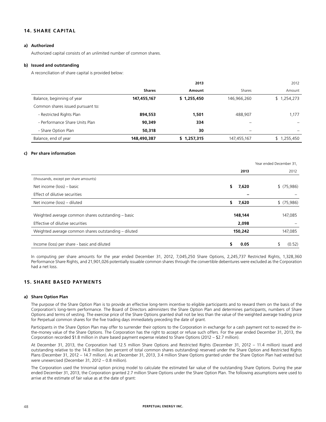# **14. SHARE CAPITAL**

## **a) Authorized**

Authorized capital consists of an unlimited number of common shares.

### **b) Issued and outstanding**

A reconciliation of share capital is provided below:

|                                   |               | 2013        |                 | 2012        |
|-----------------------------------|---------------|-------------|-----------------|-------------|
|                                   | <b>Shares</b> | Amount      | Shares          | Amount      |
| Balance, beginning of year        | 147,455,167   | \$1,255,450 | 146,966,260     | \$1,254,273 |
| Common shares issued pursuant to: |               |             |                 |             |
| - Restricted Rights Plan          | 894,553       | 1,501       | 488,907         | 1.177       |
| - Performance Share Units Plan    | 90,349        | 334         | -               |             |
| - Share Option Plan               | 50,318        | 30          | $\qquad \qquad$ |             |
| Balance, end of year              | 148,490,387   | \$1,257,315 | 147,455,167     | \$1,255,450 |

## **c) Per share information**

|                                                      | Year ended December 31, |         |              |
|------------------------------------------------------|-------------------------|---------|--------------|
|                                                      |                         | 2013    | 2012         |
| (thousands, except per share amounts)                |                         |         |              |
| Net income (loss) – basic                            | S                       | 7,620   | \$ (75,986)  |
| Effect of dilutive securities                        |                         |         |              |
| Net income (loss) – diluted                          | s                       | 7,620   | \$ (75,986)  |
| Weighted average common shares outstanding - basic   |                         | 148,144 | 147,085      |
| Effective of dilutive securities                     |                         | 2,098   |              |
| Weighted average common shares outstanding – diluted |                         | 150,242 | 147,085      |
| Income (loss) per share - basic and diluted          |                         | 0.05    | (0.52)<br>\$ |

In computing per share amounts for the year ended December 31, 2012, 7,045,250 Share Options, 2,245,737 Restricted Rights, 1,328,360 Performance Share Rights, and 21,901,026 potentially issuable common shares through the convertible debentures were excluded as the Corporation had a net loss.

# **15. SHARE BASED PAYMENTS**

# **a) Share Option Plan**

The purpose of the Share Option Plan is to provide an effective long-term incentive to eligible participants and to reward them on the basis of the Corporation's long-term performance. The Board of Directors administers the Share Option Plan and determines participants, numbers of Share Options and terms of vesting. The exercise price of the Share Options granted shall not be less than the value of the weighted average trading price for Perpetual common shares for the five trading days immediately preceding the date of grant.

Participants in the Share Option Plan may offer to surrender their options to the Corporation in exchange for a cash payment not to exceed the inthe-money value of the Share Options. The Corporation has the right to accept or refuse such offers. For the year ended December 31, 2013, the Corporation recorded \$1.8 million in share based payment expense related to Share Options (2012 – \$2.7 million).

At December 31, 2013, the Corporation had 12.5 million Share Options and Restricted Rights (December 31, 2012 – 11.4 million) issued and outstanding relative to the 14.8 million (ten percent of total common shares outstanding) reserved under the Share Option and Restricted Rights Plans (December 31, 2012 – 14.7 million). As at December 31, 2013, 3.4 million Share Options granted under the Share Option Plan had vested but were unexercised (December 31, 2012 – 0.8 million).

The Corporation used the trinomial option pricing model to calculate the estimated fair value of the outstanding Share Options. During the year ended December 31, 2013, the Corporation granted 2.7 million Share Options under the Share Option Plan. The following assumptions were used to arrive at the estimate of fair value as at the date of grant: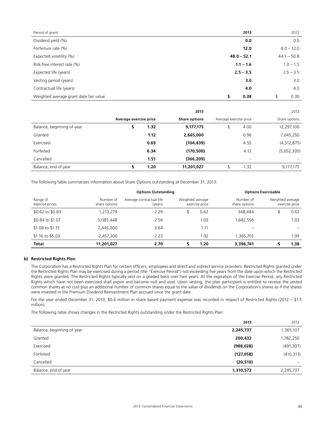| Period of grant                        | 2013          | 2012          |
|----------------------------------------|---------------|---------------|
| Dividend yield (%)                     | 0.0           | 0.0           |
| Forfeiture rate (%)                    | 12.0          | $8.0 - 12.0$  |
| Expected volatility (%)                | $48.0 - 52.1$ | $44.1 - 50.8$ |
| Risk-free interest rate (%)            | $1.1 - 1.6$   | $1.0 - 1.5$   |
| Expected life (years)                  | $2.5 - 3.5$   | $2.5 - 3.5$   |
| Vesting period (years)                 | 3.0           | 3.0           |
| Contractual life (years)               | 4.0           | 4.0           |
| Weighted average grant date fair value | 0.38<br>s     | 0.30<br>\$    |

|                            |                        |      | 2013                 |                          | 2012          |
|----------------------------|------------------------|------|----------------------|--------------------------|---------------|
|                            | Average exercise price |      | <b>Share options</b> | Average exercise price   | Share options |
| Balance, beginning of year |                        | 1.32 | 9,177,175            | 4.00                     | 12,297,100    |
| Granted                    |                        | 1.12 | 2,665,000            | 0.96                     | 7,045,250     |
| Exercised                  |                        | 0.69 | (104, 439)           | 4.55                     | (4, 512, 875) |
| Forfeited                  |                        | 6.34 | (170, 500)           | 4.12                     | (5,652,300)   |
| Cancelled                  |                        | 1.51 | (366, 209)           | $\overline{\phantom{0}}$ |               |
| Balance, end of year       |                        | 1.20 | 11,201,027           | 1.32                     | 9,177,175     |

The following table summarizes information about Share Options outstanding at December 31, 2013:

| <b>Options Outstanding</b>  |                            |                                     |                                    | <b>Options Exercisable</b> |  |                                    |
|-----------------------------|----------------------------|-------------------------------------|------------------------------------|----------------------------|--|------------------------------------|
| Range of<br>exercise prices | Number of<br>share options | Average contractual life<br>(years) | Weighted average<br>exercise price | Number of<br>share options |  | Weighted average<br>exercise price |
| \$0.62 to \$0.83            | 1,213,279                  | 2.29                                | 0.62                               | 348,484                    |  | 0.62                               |
| \$0.84 to \$1.07            | 5,085,448                  | 2.56                                | 1.03                               | 1,682,556                  |  | 1.03                               |
| \$1.08 to \$1.15            | 2.445.000                  | 3.64                                | 1.11                               |                            |  |                                    |
| \$1.16 to \$5.03            | 2.457.300                  | 2.23                                | 1.92                               | 1.365.701                  |  | 1.99                               |
| Total                       | 11,201,027                 | 2.70                                | 1.20                               | 3,396,741                  |  | 1.38                               |

## **b) Restricted Rights Plan**

The Corporation has a Restricted Rights Plan for certain officers, employees and direct and indirect service providers. Restricted Rights granted under the Restricted Rights Plan may be exercised during a period (the "Exercise Period") not exceeding five years from the date upon which the Restricted Rights were granted. The Restricted Rights typically vest on a graded basis over two years. At the expiration of the Exercise Period, any Restricted Rights which have not been exercised shall expire and become null and void. Upon vesting, the plan participant is entitled to receive the vested common shares at no cost plus an additional number of common shares equal to the value of dividends on the Corporation's shares as if the shares were invested in the Premium Dividend Reinvestment Plan accrued since the grant date.

For the year ended December 31, 2013, \$0.6 million in share based payment expense was recorded in respect of Restricted Rights (2012 – \$1.5 million).

The following table shows changes in the Restricted Rights outstanding under the Restricted Rights Plan:

|                            | 2013       | 2012       |
|----------------------------|------------|------------|
| Balance, beginning of year | 2,245,737  | 1,365,107  |
| Granted                    | 200,432    | 1,782,250  |
| Exercised                  | (988, 028) | (491, 307) |
| Forfeited                  | (127, 058) | (410, 313) |
| Cancelled                  | (20, 510)  |            |
| Balance, end of year       | 1,310,573  | 2,245,737  |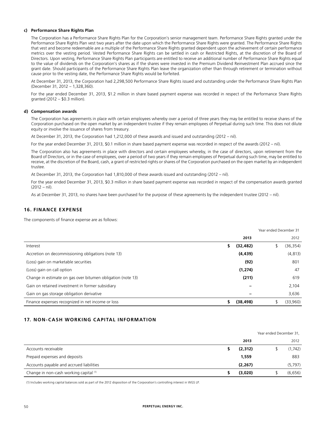### **c) Performance Share Rights Plan**

The Corporation has a Performance Share Rights Plan for the Corporation's senior management team. Performance Share Rights granted under the Performance Share Rights Plan vest two years after the date upon which the Performance Share Rights were granted. The Performance Share Rights that vest and become redeemable are a multiple of the Performance Share Rights granted dependent upon the achievement of certain performance metrics over the vesting period. Vested Performance Share Rights can be settled in cash or Restricted Rights, at the discretion of the Board of Directors. Upon vesting, Performance Share Rights Plan participants are entitled to receive an additional number of Performance Share Rights equal to the value of dividends on the Corporation's shares as if the shares were invested in the Premium Dividend Reinvestment Plan accrued since the grant date. Should participants of the Performance Share Rights Plan leave the organization other than through retirement or termination without cause prior to the vesting date, the Performance Share Rights would be forfeited.

At December 31, 2013, the Corporation had 2,298,500 Performance Share Rights issued and outstanding under the Performance Share Rights Plan (December 31, 2012 – 1,328,360).

For the year ended December 31, 2013, \$1.2 million in share based payment expense was recorded in respect of the Performance Share Rights granted (2012 – \$0.3 million).

# **d) Compensation awards**

The Corporation has agreements in place with certain employees whereby over a period of three years they may be entitled to receive shares of the Corporation purchased on the open market by an independent trustee if they remain employees of Perpetual during such time. This does not dilute equity or involve the issuance of shares from treasury.

At December 31, 2013, the Corporation had 1,212,000 of these awards and issued and outstanding (2012 – nil).

For the year ended December 31, 2013, \$0.1 million in share based payment expense was recorded in respect of the awards (2012 – nil).

The Corporation also has agreements in place with directors and certain employees whereby, in the case of directors, upon retirement from the Board of Directors, or in the case of employees, over a period of two years if they remain employees of Perpetual during such time, may be entitled to receive, at the discretion of the Board, cash, a grant of restricted rights or shares of the Corporation purchased on the open market by an independent trustee.

At December 31, 2013, the Corporation had 1,810,000 of these awards issued and outstanding (2012 – nil).

For the year ended December 31, 2013, \$0.3 million in share based payment expense was recorded in respect of the compensation awards granted  $(2012 - \text{nil})$ 

As at December 31, 2013, no shares have been purchased for the purpose of these agreements by the independent trustee (2012 – nil).

# **16. FINANCE EXPENSE**

The components of finance expense are as follows:

|                                                             | Year ended December 31 |           |     |           |
|-------------------------------------------------------------|------------------------|-----------|-----|-----------|
|                                                             |                        | 2013      |     | 2012      |
| Interest                                                    | s                      | (32, 482) | \$. | (36, 354) |
| Accretion on decommissioning obligations (note 13)          |                        | (4, 439)  |     | (4, 813)  |
| (Loss) gain on marketable securities                        |                        | (92)      |     | 801       |
| (Loss) gain on call option                                  |                        | (1, 274)  |     | 47        |
| Change in estimate on gas over bitumen obligation (note 13) |                        | (211)     |     | 619       |
| Gain on retained investment in former subsidiary            |                        |           |     | 2,104     |
| Gain on gas storage obligation derivative                   |                        |           |     | 3,636     |
| Finance expenses recognized in net income or loss           |                        | (38, 498) |     | (33,960)  |

# **17. NON-CASH WORKING CAPITAL INFORMATION**

|                                          | Year ended December 31, |  |         |
|------------------------------------------|-------------------------|--|---------|
|                                          | 2013                    |  | 2012    |
| Accounts receivable                      | (2,312)                 |  | (1,742) |
| Prepaid expenses and deposits            | 1,559                   |  | 883     |
| Accounts payable and accrued liabilities | (2, 267)                |  | (5,797) |
| Change in non-cash working capital (1)   | (3,020)                 |  | (6,656) |

(1) Includes working capital balances sold as part of the 2012 disposition of the Corporation's controlling interest in WGS LP.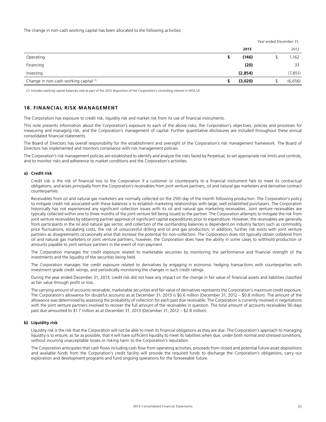The change in non-cash working capital has been allocated to the following activities:

|                                        | Year ended December 31, |  |          |
|----------------------------------------|-------------------------|--|----------|
|                                        | 2013                    |  | 2012     |
| Operating                              | (146)                   |  | 1,162    |
| Financing                              | (20)                    |  | 33       |
| Investing                              | (2, 854)                |  | (7, 851) |
| Change in non-cash working capital (1) | (3,020)                 |  | (6,656)  |

(1) Includes working capital balances sold as part of the 2012 disposition of the Corporation's controlling interest in WGS LP.

# **18. FINANCIAL RISK MANAGEMENT**

The Corporation has exposure to credit risk, liquidity risk and market risk from its use of financial instruments.

This note presents information about the Corporation's exposure to each of the above risks, the Corporation's objectives, policies and processes for measuring and managing risk, and the Corporation's management of capital. Further quantitative disclosures are included throughout these annual consolidated financial statements.

The Board of Directors has overall responsibility for the establishment and oversight of the Corporation's risk management framework. The Board of Directors has implemented and monitors compliance with risk management policies.

The Corporation's risk management policies are established to identify and analyze the risks faced by Perpetual, to set appropriate risk limits and controls, and to monitor risks and adherence to market conditions and the Corporation's activities.

## **a) Credit risk**

Credit risk is the risk of financial loss to the Corporation if a customer or counterparty to a financial instrument fails to meet its contractual obligations, and arises principally from the Corporation's receivables from joint venture partners, oil and natural gas marketers and derivative contract counterparties.

Receivables from oil and natural gas marketers are normally collected on the 25th day of the month following production. The Corporation's policy to mitigate credit risk associated with these balances is to establish marketing relationships with large, well established purchasers. The Corporation historically has not experienced any significant collection issues with its oil and natural gas marketing receivables. Joint venture receivables are typically collected within one to three months of the joint venture bill being issued to the partner. The Corporation attempts to mitigate the risk from joint venture receivables by obtaining partner approval of significant capital expenditures prior to expenditure. However, the receivables are generally from participants in the oil and natural gas sector, and collection of the outstanding balances is dependent on industry factors such as commodity price fluctuations, escalating costs, the risk of unsuccessful drilling and oil and gas production; in addition, further risk exists with joint venture partners as disagreements occasionally arise that increase the potential for non-collection. The Corporation does not typically obtain collateral from oil and natural gas marketers or joint venture partners, however, the Corporation does have the ability in some cases to withhold production or amounts payable to joint venture partners in the event of non-payment.

The Corporation manages the credit exposure related to marketable securities by monitoring the performance and financial strength of the investments and the liquidity of the securities being held.

The Corporation manages the credit exposure related to derivatives by engaging in economic hedging transactions with counterparties with investment grade credit ratings, and periodically monitoring the changes in such credit ratings.

During the year ended December 31, 2013, credit risk did not have any impact on the change in fair value of financial assets and liabilities classified as fair value through profit or loss.

The carrying amount of accounts receivable, marketable securities and fair value of derivatives represents the Corporation's maximum credit exposure. The Corporation's allowance for doubtful accounts as at December 31, 2013 is \$0.6 million (December 31, 2012 – \$0.8 million). The amount of the allowance was determined by assessing the probability of collection for each past due receivable. The Corporation is currently involved in negotiations with the joint venture partners involved to recover the full amount of the receivables in question. The total amount of accounts receivables 90 days past due amounted to \$1.7 million as at December 31, 2013 (December 31, 2012 – \$2.8 million).

### **b) Liquidity risk**

Liquidity risk is the risk that the Corporation will not be able to meet its financial obligations as they are due. The Corporation's approach to managing liquidity is to ensure, as far as possible, that it will have sufficient liquidity to meet its liabilities when due, under both normal and stressed conditions, without incurring unacceptable losses or risking harm to the Corporation's reputation.

The Corporation anticipates that cash flows including cash flow from operating activities, proceeds from closed and potential future asset dispositions and available funds from the Corporation's credit facility will provide the required funds to discharge the Corporation's obligations, carry out exploration and development programs and fund ongoing operations for the foreseeable future.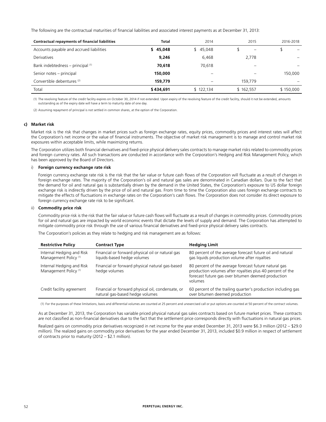The following are the contractual maturities of financial liabilities and associated interest payments as at December 31, 2013:

| <b>Contractual repayments of financial liabilities</b> | Total     | 2014         | 2015      | 2016-2018 |
|--------------------------------------------------------|-----------|--------------|-----------|-----------|
| Accounts payable and accrued liabilities               | \$45,048  | 45,048<br>S. |           |           |
| <b>Derivatives</b>                                     | 9.246     | 6,468        | 2,778     |           |
| Bank indebtedness – principal (1)                      | 70,618    | 70,618       |           |           |
| Senior notes - principal                               | 150,000   |              |           | 150,000   |
| Convertible debentures <sup>(2)</sup>                  | 159,779   | -            | 159,779   |           |
| Total                                                  | \$434,691 | \$122,134    | \$162,557 | \$150,000 |

(1) The revolving feature of the credit facility expires on October 30, 2014 if not extended. Upon expiry of the revolving feature of the credit facility, should it not be extended, amounts outstanding as of the expiry date will have a term to maturity date of one day.

(2) Assuming repayment of principal is not settled in common shares, at the option of the Corporation.

### **c) Market risk**

Market risk is the risk that changes in market prices such as foreign exchange rates, equity prices, commodity prices and interest rates will affect the Corporation's net income or the value of financial instruments. The objective of market risk management is to manage and control market risk exposures within acceptable limits, while maximizing returns.

The Corporation utilizes both financial derivatives and fixed-price physical delivery sales contracts to manage market risks related to commodity prices and foreign currency rates. All such transactions are conducted in accordance with the Corporation's Hedging and Risk Management Policy, which has been approved by the Board of Directors.

### i) **Foreign currency exchange rate risk**

Foreign currency exchange rate risk is the risk that the fair value or future cash flows of the Corporation will fluctuate as a result of changes in foreign exchange rates. The majority of the Corporation's oil and natural gas sales are denominated in Canadian dollars. Due to the fact that the demand for oil and natural gas is substantially driven by the demand in the United States, the Corporation's exposure to US dollar foreign exchange risk is indirectly driven by the price of oil and natural gas. From time to time the Corporation also uses foreign exchange contracts to mitigate the effects of fluctuations in exchange rates on the Corporation's cash flows. The Corporation does not consider its direct exposure to foreign currency exchange rate risk to be significant.

## ii) **Commodity price risk**

Commodity price risk is the risk that the fair value or future cash flows will fluctuate as a result of changes in commodity prices. Commodity prices for oil and natural gas are impacted by world economic events that dictate the levels of supply and demand. The Corporation has attempted to mitigate commodity price risk through the use of various financial derivatives and fixed-price physical delivery sales contracts.

The Corporation's policies as they relate to hedging and risk management are as follows:

| <b>Restrictive Policy</b>                                     | <b>Contract Type</b>                                                                 | <b>Hedging Limit</b>                                                                                                                                                                |
|---------------------------------------------------------------|--------------------------------------------------------------------------------------|-------------------------------------------------------------------------------------------------------------------------------------------------------------------------------------|
| Internal Hedging and Risk<br>Management Policy <sup>(1)</sup> | Financial or forward physical oil or natural gas<br>liquids-based hedge volumes      | 80 percent of the average forecast future oil and natural<br>gas liquids production volume after royalties                                                                          |
| Internal Hedging and Risk<br>Management Policy <sup>(1)</sup> | Financial or forward physical natural gas-based<br>hedge volumes                     | 80 percent of the average forecast future natural gas<br>production volumes after royalties plus 40 percent of the<br>forecast future gas over bitumen deemed production<br>volumes |
| Credit facility agreement                                     | Financial or forward physical oil, condensate, or<br>natural gas-based hedge volumes | 60 percent of the trailing quarter's production including gas<br>over bitumen deemed production                                                                                     |

(1) For the purposes of these limitations, basis and differential volumes are counted at 25 percent and unexercised call or put options are counted at 50 percent of the contract volumes.

As at December 31, 2013, the Corporation has variable priced physical natural gas sales contracts based on future market prices. These contracts are not classified as non-financial derivatives due to the fact that the settlement price corresponds directly with fluctuations in natural gas prices.

Realized gains on commodity price derivatives recognized in net income for the year ended December 31, 2013 were \$6.3 million (2012 – \$29.0 million). The realized gains on commodity price derivatives for the year ended December 31, 2013, included \$0.9 million in respect of settlement of contracts prior to maturity (2012 – \$2.1 million).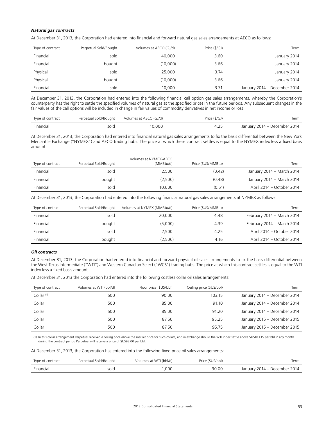## *Natural gas contracts*

At December 31, 2013, the Corporation had entered into financial and forward natural gas sales arrangements at AECO as follows:

| Type of contract | Perpetual Sold/Bought | Volumes at AECO (GJ/d) | Price (\$/GJ) | Term                         |
|------------------|-----------------------|------------------------|---------------|------------------------------|
| Financial        | sold                  | 40,000                 | 3.60          | January 2014                 |
| Financial        | bought                | (10,000)               | 3.66          | January 2014                 |
| Physical         | sold                  | 25,000                 | 3.74          | January 2014                 |
| Physical         | bought                | (10,000)               | 3.66          | January 2014                 |
| Financial        | sold                  | 10,000                 | 3.71          | January 2014 - December 2014 |

At December 31, 2013, the Corporation had entered into the following financial call option gas sales arrangements, whereby the Corporation's counterparty has the right to settle the specified volumes of natural gas at the specified prices in the future periods. Any subsequent changes in the fair values of the call options will be included in change in fair values of commodity derivatives in net income or loss.

| Type of contract | Perpetual Sold/Bought | Volumes at AECO (GJ/d) | Price (\$/GJ) | Term                         |
|------------------|-----------------------|------------------------|---------------|------------------------------|
| Financial        | sold                  | 10,000                 | 4.25          | January 2014 – December 2014 |

At December 31, 2013, the Corporation had entered into financial natural gas sales arrangements to fix the basis differential between the New York Mercantile Exchange ("NYMEX") and AECO trading hubs. The price at which these contract settles is equal to the NYMEX index less a fixed basis amount.

| Type of contract | Perpetual Sold/Bought | Volumes at NYMEX-AECO<br>(MMBtu/d) | Price (\$US/MMBtu) | Term                      |
|------------------|-----------------------|------------------------------------|--------------------|---------------------------|
| Financial        | sold                  | 2.500                              | (0.42)             | January 2014 - March 2014 |
| Financial        | bought                | (2,500)                            | (0.48)             | January 2014 - March 2014 |
| Financial        | sold                  | 10,000                             | (0.51)             | April 2014 – October 2014 |

At December 31, 2013, the Corporation had entered into the following financial natural gas sales arrangements at NYMEX as follows:

| Type of contract | Perpetual Sold/Bought | Volumes at NYMEX (MMBtu/d) | Price (\$US/MMBtu) | Term                       |
|------------------|-----------------------|----------------------------|--------------------|----------------------------|
| Financial        | sold                  | 20,000                     | 4.48               | February 2014 - March 2014 |
| Financial        | bought                | (5,000)                    | 4.39               | February 2014 - March 2014 |
| Financial        | sold                  | 2.500                      | 4.25               | April 2014 - October 2014  |
| Financial        | bought                | (2.500)                    | 4.16               | April 2014 - October 2014  |

# *Oil contracts*

At December 31, 2013, the Corporation had entered into financial and forward physical oil sales arrangements to fix the basis differential between the West Texas Intermediate ("WTI") and Western Canadian Select ("WCS") trading hubs. The price at which this contract settles is equal to the WTI index less a fixed basis amount.

At December 31, 2013 the Corporation had entered into the following costless collar oil sales arrangements:

| Type of contract | Volumes at WTI (bbl/d) | Floor price (\$US/bbl) | Ceiling price (\$US/bbl) | Term                         |
|------------------|------------------------|------------------------|--------------------------|------------------------------|
| Collar $(1)$     | 500                    | 90.00                  | 103.15                   | January 2014 - December 2014 |
| Collar           | 500                    | 85.00                  | 91.10                    | January 2014 - December 2014 |
| Collar           | 500                    | 85.00                  | 91.20                    | January 2014 - December 2014 |
| Collar           | 500                    | 87.50                  | 95.25                    | January 2015 - December 2015 |
| Collar           | 500                    | 87.50                  | 95.75                    | January 2015 - December 2015 |

(1) In this collar arrangement Perpetual received a ceiling price above the market price for such collars, and in exchange should the WTI index settle above \$US103.15 per bbl in any month during the contract period Perpetual will receive a price of \$US93.00 per bbl.

At December 31, 2013, the Corporation has entered into the following fixed price oil sales arrangements:

| Type of contract | Perpetual Sold/Bought | Volumes at WTI (bbl/d) | Price (\$US/bbl) | Term                         |
|------------------|-----------------------|------------------------|------------------|------------------------------|
| Financial        | sold<br>.             | .000                   | 90.00            | January 2014 - December 2014 |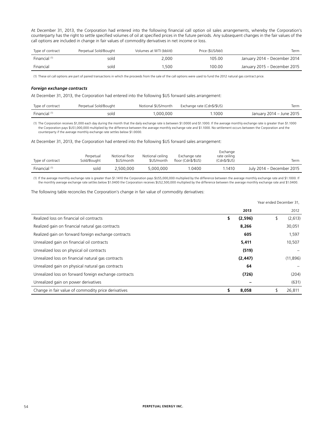At December 31, 2013, the Corporation had entered into the following financial call option oil sales arrangements, whereby the Corporation's counterparty has the right to settle specified volumes of oil at specified prices in the future periods. Any subsequent changes in the fair values of the call options are included in change in fair values of commodity derivatives in net income or loss.

| Type of contract         | Perpetual Sold/Bought | Volumes at WTI (bbl/d) | Price (\$US/bbl) | Term                         |
|--------------------------|-----------------------|------------------------|------------------|------------------------------|
| Financial <sup>(1)</sup> | sold                  | 2.000                  | 105.00           | January 2014 – December 2014 |
| Financial                | sold                  | .500                   | 100.00           | January 2015 - December 2015 |

(1) These oil call options are part of paired transactions in which the proceeds from the sale of the call options were used to fund the 2012 natural gas contract price.

### *Foreign exchange contracts*

At December 31, 2013, the Corporation had entered into the following \$US forward sales arrangement:

| Type of contract         | Sold/Bought<br>ernefual | Notional \$US/month | Exchange rate (Cdn\$/\$US) | Term                        |
|--------------------------|-------------------------|---------------------|----------------------------|-----------------------------|
| Financial <sup>(1)</sup> | sold<br>$  -$           | .000.000            | 1000                       | June 2015<br>January 2014 - |

(1) The Corporation receives \$1,000 each day during the month that the daily exchange rate is between \$1.0000 and \$1.1000. If the average monthly exchange rate is greater than \$1.1000 the Corporation pays \$US1,000,000 multiplied by the difference between the average monthly exchange rate and \$1.1000. No settlement occurs between the Corporation and the counterparty if the average monthly exchange rate settles below \$1.0000.

At December 31, 2013, the Corporation had entered into the following \$US forward sales arrangement:

|                          | Perpetual   | Notional floor | Notional ceiling | Exchange rate      | Exchange<br>rate ceiling |                           |
|--------------------------|-------------|----------------|------------------|--------------------|--------------------------|---------------------------|
| Type of contract         | Sold/Bought | \$US/month     | \$US/month       | floor (Cdn\$/\$US) | (Cdn\$/\$US)             | Term                      |
| Financial <sup>(1)</sup> | sold        | 2.500.000      | 5,000,000        | .0400              | .1410                    | July 2014 - December 2015 |

(1) If the average monthly exchange rate is greater than \$1.1410 the Corporation pays \$US5,000,000 multiplied by the difference between the average monthly exchange rate and \$1.1000. If the monthly average exchange rate settles below \$1.0400 the Corporation receives \$US2,500,000 multiplied by the difference between the average monthly exchange rate and \$1.0400.

The following table reconciles the Corporation's change in fair value of commodity derivatives:

|                                                       |               | Year ended December 31, |          |
|-------------------------------------------------------|---------------|-------------------------|----------|
|                                                       | 2013          |                         | 2012     |
| Realized loss on financial oil contracts              | \$<br>(2,596) | \$                      | (2,613)  |
| Realized gain on financial natural gas contracts      | 8,266         |                         | 30,051   |
| Realized gain on forward foreign exchange contracts   | 605           |                         | 1,597    |
| Unrealized gain on financial oil contracts            | 5,411         |                         | 10,507   |
| Unrealized loss on physical oil contracts             | (519)         |                         |          |
| Unrealized loss on financial natural gas contracts    | (2, 447)      |                         | (11,896) |
| Unrealized gain on physical natural gas contracts     | 64            |                         |          |
| Unrealized loss on forward foreign exchange contracts | (726)         |                         | (204)    |
| Unrealized gain on power derivatives                  |               |                         | (631)    |
| Change in fair value of commodity price derivatives   | \$<br>8,058   | S.                      | 26,811   |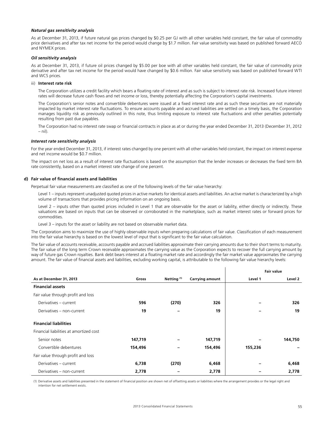### *Natural gas sensitivity analysis*

As at December 31, 2013, if future natural gas prices changed by \$0.25 per GJ with all other variables held constant, the fair value of commodity price derivatives and after tax net income for the period would change by \$1.7 million. Fair value sensitivity was based on published forward AECO and NYMEX prices.

### *Oil sensitivity analysis*

As at December 31, 2013, if future oil prices changed by \$5.00 per boe with all other variables held constant, the fair value of commodity price derivative and after tax net income for the period would have changed by \$0.6 million. Fair value sensitivity was based on published forward WTI and WCS prices.

### iii) **Interest rate risk**

The Corporation utilizes a credit facility which bears a floating rate of interest and as such is subject to interest rate risk. Increased future interest rates will decrease future cash flows and net income or loss, thereby potentially affecting the Corporation's capital investments.

The Corporation's senior notes and convertible debentures were issued at a fixed interest rate and as such these securities are not materially impacted by market interest rate fluctuations. To ensure accounts payable and accrued liabilities are settled on a timely basis, the Corporation manages liquidity risk as previously outlined in this note, thus limiting exposure to interest rate fluctuations and other penalties potentially resulting from past due payables.

The Corporation had no interest rate swap or financial contracts in place as at or during the year ended December 31, 2013 (December 31, 2012 – nil).

### *Interest rate sensitivity analysis*

For the year ended December 31, 2013, if interest rates changed by one percent with all other variables held constant, the impact on interest expense and net income would be \$0.7 million.

The impact on net loss as a result of interest rate fluctuations is based on the assumption that the lender increases or decreases the fixed term BA rate consistently, based on a market interest rate change of one percent.

### **d) Fair value of financial assets and liabilities**

Perpetual fair value measurements are classified as one of the following levels of the fair value hierarchy:

Level 1 – inputs represent unadjusted quoted prices in active markets for identical assets and liabilities. An active market is characterized by a high volume of transactions that provides pricing information on an ongoing basis.

Level 2 – inputs other than quoted prices included in Level 1 that are observable for the asset or liability, either directly or indirectly. These valuations are based on inputs that can be observed or corroborated in the marketplace, such as market interest rates or forward prices for commodities.

Level 3 – inputs for the asset or liability are not based on observable market data.

The Corporation aims to maximize the use of highly observable inputs when preparing calculations of fair value. Classification of each measurement into the fair value hierarchy is based on the lowest level of input that is significant to the fair value calculation.

The fair value of accounts receivable, accounts payable and accrued liabilities approximate their carrying amounts due to their short terms to maturity. The fair value of the long term Crown receivable approximates the carrying value as the Corporation expects to recover the full carrying amount by way of future gas Crown royalties. Bank debt bears interest at a floating market rate and accordingly the fair market value approximates the carrying amount. The fair value of financial assets and liabilities, excluding working capital, is attributable to the following fair value hierarchy levels:

|                                         |         |                        |                        |         | <b>Fair value</b> |
|-----------------------------------------|---------|------------------------|------------------------|---------|-------------------|
| As at December 31, 2013                 | Gross   | Netting <sup>(1)</sup> | <b>Carrying amount</b> | Level 1 | Level 2           |
| <b>Financial assets</b>                 |         |                        |                        |         |                   |
| Fair value through profit and loss      |         |                        |                        |         |                   |
| Derivatives - current                   | 596     | (270)                  | 326                    |         | 326               |
| Derivatives - non-current               | 19      | $\qquad \qquad$        | 19                     |         | 19                |
| <b>Financial liabilities</b>            |         |                        |                        |         |                   |
| Financial liabilities at amortized cost |         |                        |                        |         |                   |
| Senior notes                            | 147,719 |                        | 147,719                |         | 144,750           |
| Convertible debentures                  | 154,496 |                        | 154,496                | 155,236 |                   |
| Fair value through profit and loss      |         |                        |                        |         |                   |
| Derivatives - current                   | 6,738   | (270)                  | 6,468                  |         | 6,468             |
| Derivatives - non-current               | 2,778   |                        | 2,778                  |         | 2,778             |

(1) Derivative assets and liabilities presented in the statement of financial position are shown net of offsetting assets or liabilities where the arrangement provides or the legal right and intention for net settlement exists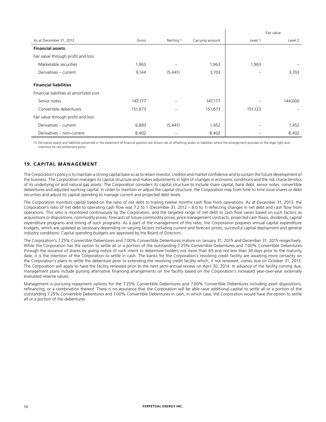|                                         |         |               |                 |         | Fair value |
|-----------------------------------------|---------|---------------|-----------------|---------|------------|
| As at December 31, 2012                 | Gross   | Netting $(1)$ | Carrying amount | Level 1 | Level 2    |
| <b>Financial assets</b>                 |         |               |                 |         |            |
| Fair value through profit and loss      |         |               |                 |         |            |
| Marketable securities                   | 1,963   |               | 1,963           | 1,963   |            |
| Derivatives - current                   | 9,144   | (5, 441)      | 3,703           |         | 3,703      |
| <b>Financial liabilities</b>            |         |               |                 |         |            |
| Financial liabilities at amortized cost |         |               |                 |         |            |
| Senior notes                            | 147,177 |               | 147,177         |         | 144,000    |
| Convertible debentures                  | 151,673 | -             | 151,673         | 151,123 |            |
| Fair value through profit and loss      |         |               |                 |         |            |
| Derivatives - current                   | 6,893   | (5, 441)      | 1,452           | -       | 1,452      |
| Derivatives - non-current               | 8,402   |               | 8,402           |         | 8,402      |

(1) Derivative assets and liabilities presented in the statement of financial position are shown net of offsetting assets or liabilities where the arrangement provides or the legal right and intention for net settlement exists.

# **19. CAPITAL MANAGEMENT**

The Corporation's policy is to maintain a strong capital base so as to retain investor, creditor and market confidence and to sustain the future development of the business. The Corporation manages its capital structure and makes adjustments in light of changes in economic conditions and the risk characteristics of its underlying oil and natural gas assets. The Corporation considers its capital structure to include share capital, bank debt, senior notes, convertible debentures and adjusted working capital. In order to maintain or adjust the capital structure, the Corporation may from time to time issue shares or debt securities and adjust its capital spending to manage current and projected debt levels.

The Corporation monitors capital based on the ratio of net debt to trailing twelve months cash flow from operations. As at December 31, 2013, the Corporation's ratio of net debt to operating cash flow was 7.2 to 1 (December 31, 2012 – 8.0 to 1) reflecting changes in net debt and cash flow from operations. This ratio is monitored continuously by the Corporation, and the targeted range of net debt to cash flow varies based on such factors as acquisitions or dispositions, commodity prices, forecasts of future commodity prices, price management contracts, projected cash flows, dividends, capital expenditure programs and timing of such programs. As a part of the management of this ratio, the Corporation prepares annual capital expenditure budgets, which are updated as necessary depending on varying factors including current and forecast prices, successful capital deployment and general industry conditions. Capital spending budgets are approved by the Board of Directors.

The Corporation's 7.25% Convertible Debentures and 7.00% Convertible Debentures mature on January 31, 2015 and December 31, 2015 respectively. While the Corporation has the option to settle all or a portion of the outstanding 7.25% Convertible Debentures and 7.00% Convertible Debentures through the issuance of shares by giving notice of such intent to debenture holders not more than 60 and not less than 30 days prior to the maturity date, it is the intention of the Corporation to settle in cash. The banks for the Corporation's revolving credit facility are awaiting more certainty on the Corporation's plans to settle the debenture prior to extending the revolving credit facility which, if not renewed, comes due on October 31, 2013. The Corporation will apply to have the facility renewed prior to the next semi-annual review on April 30, 2014. In advance of the facility coming due, management plans include pursing alternative financing arrangements on the facility based on the Corporation's increased year-over-year externally evaluated reserve values.

Management is pursuing repayment options for the 7.25% Convertible Debentures and 7.00% Convertible Debentures including asset dispositions, refinancing, or a combination thereof. There is no assurance that the Corporation will be able raise additional capital to settle all or a portion of the outstanding 7.25% Convertible Debentures and 7.00% Convertible Debentures in cash, in which case, the Corporation would have the option to settle all or a portion of the debentures.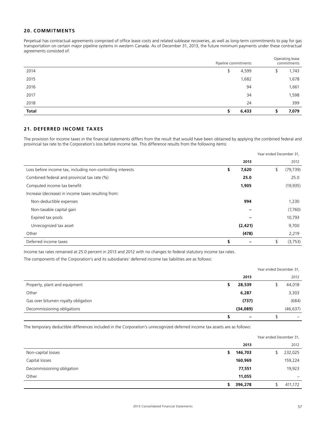# **20. COMMITMENTS**

Perpetual has contractual agreements comprised of office lease costs and related sublease recoveries, as well as long-term commitments to pay for gas transportation on certain major pipeline systems in western Canada. As of December 31, 2013, the future minimum payments under these contractual agreements consisted of:

|              | Pipeline commitments | Operating lease<br>commitments |
|--------------|----------------------|--------------------------------|
| 2014         | 4,599                | 1,743                          |
| 2015         | 1,682                | 1,678                          |
| 2016         | 94                   | 1,661                          |
| 2017         | 34                   | 1,598                          |
| 2018         | 24                   | 399                            |
| <b>Total</b> | 6,433                | 7,079                          |

# **21. DEFERRED INCOME TAXES**

The provision for income taxes in the financial statements differs from the result that would have been obtained by applying the combined federal and provincial tax rate to the Corporation's loss before income tax. This difference results from the following items:

|                                                             | Year ended December 31, |          |    |           |
|-------------------------------------------------------------|-------------------------|----------|----|-----------|
|                                                             |                         | 2013     |    | 2012      |
| Loss before income tax, including non-controlling interests | s                       | 7,620    | \$ | (79, 739) |
| Combined federal and provincial tax rate (%)                |                         | 25.0     |    | 25.0      |
| Computed income tax benefit                                 |                         | 1,905    |    | (19, 935) |
| Increase (decrease) in income taxes resulting from:         |                         |          |    |           |
| Non-deductible expenses                                     |                         | 994      |    | 1,230     |
| Non-taxable capital gain                                    |                         |          |    | (7,760)   |
| Expired tax pools                                           |                         |          |    | 10,793    |
| Unrecognized tax asset                                      |                         | (2, 421) |    | 9,700     |
| Other                                                       |                         | (478)    |    | 2,219     |
| Deferred income taxes                                       | S                       |          | \$ | (3,753)   |

Income tax rates remained at 25.0 percent in 2013 and 2012 with no changes to federal statutory income tax rates.

The components of the Corporation's and its subsidiaries' deferred income tax liabilities are as follows:

|                                     |          |       | Year ended December 31, |           |
|-------------------------------------|----------|-------|-------------------------|-----------|
|                                     |          | 2013  |                         | 2012      |
| Property, plant and equipment       | 28,539   |       |                         | 44,018    |
| Other                               | 6,287    |       |                         | 3,303     |
| Gas over bitumen royalty obligation |          | (737) |                         | (684)     |
| Decommissioning obligations         | (34,089) |       |                         | (46, 637) |
|                                     |          |       |                         |           |

The temporary deductible differences included in the Corporation's unrecognized deferred income tax assets are as follows:

|                            |   |         | Year ended December 31, |         |
|----------------------------|---|---------|-------------------------|---------|
|                            |   | 2013    |                         | 2012    |
| Non-capital losses         | s | 146,703 |                         | 232,025 |
| Capital losses             |   | 160,969 |                         | 159,224 |
| Decommissioning obligation |   | 77,551  |                         | 19,923  |
| Other                      |   | 11,055  |                         | –       |
|                            |   | 396,278 |                         | 411,172 |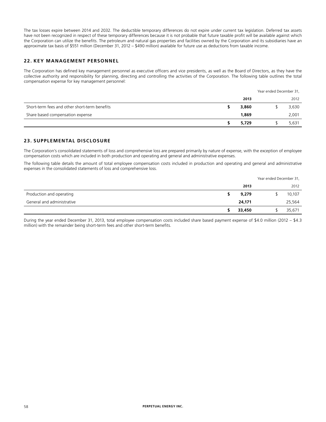The tax losses expire between 2014 and 2032. The deductible temporary differences do not expire under current tax legislation. Deferred tax assets have not been recognized in respect of these temporary differences because it is not probable that future taxable profit will be available against which the Corporation can utilize the benefits. The petroleum and natural gas properties and facilities owned by the Corporation and its subsidiaries have an approximate tax basis of \$551 million (December 31, 2012 – \$490 million) available for future use as deductions from taxable income.

# **22. KEY MANAGEMENT PERSONNEL**

The Corporation has defined key management personnel as executive officers and vice presidents, as well as the Board of Directors, as they have the collective authority and responsibility for planning, directing and controlling the activities of the Corporation. The following table outlines the total compensation expense for key management personnel:

|                                               | Year ended December 31, |  |       |
|-----------------------------------------------|-------------------------|--|-------|
|                                               | 2013                    |  | 2012  |
| Short-term fees and other short-term benefits | 3,860                   |  | 3,630 |
| Share based compensation expense              | 1.869                   |  | 2,001 |
|                                               | 5.729                   |  | 5,631 |

# **23. SUPPLEMENTAL DISCLOSURE**

The Corporation's consolidated statements of loss and comprehensive loss are prepared primarily by nature of expense, with the exception of employee compensation costs which are included in both production and operating and general and administrative expenses.

The following table details the amount of total employee compensation costs included in production and operating and general and administrative expenses in the consolidated statements of loss and comprehensive loss.

|                            | Year ended December 31, |  |        |
|----------------------------|-------------------------|--|--------|
|                            | 2013                    |  | 2012   |
| Production and operating   | 9.279                   |  | 10,107 |
| General and administrative | 24,171                  |  | 25,564 |
|                            | 33,450                  |  | 35,671 |

During the year ended December 31, 2013, total employee compensation costs included share based payment expense of \$4.0 million (2012 – \$4.3 million) with the remainder being short-term fees and other short-term benefits.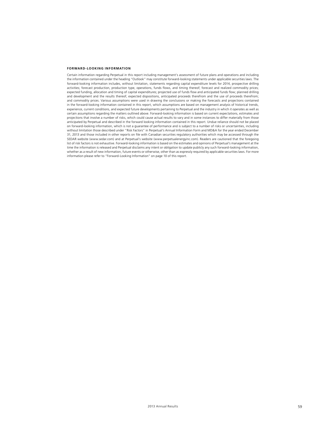#### **FORWARD-LOOKING INFORMATION**

Certain information regarding Perpetual in this report including management's assessment of future plans and operations and including the information contained under the heading "Outlook" may constitute forward-looking statements under applicable securities laws. The forward-looking information includes, without limitation, statements regarding capital expenditure levels for 2014, prospective drilling activities; forecast production, production type, operations, funds flows, and timing thereof; forecast and realized commodity prices; expected funding, allocation and timing of capital expenditures; projected use of funds flow and anticipated funds flow; planned drilling and development and the results thereof; expected dispositions, anticipated proceeds therefrom and the use of proceeds therefrom; and commodity prices. Various assumptions were used in drawing the conclusions or making the forecasts and projections contained in the forward-looking information contained in this report, which assumptions are based on management analysis of historical trends, experience, current conditions, and expected future developments pertaining to Perpetual and the industry in which it operates as well as certain assumptions regarding the matters outlined above. Forward-looking information is based on current expectations, estimates and projections that involve a number of risks, which could cause actual results to vary and in some instances to differ materially from those anticipated by Perpetual and described in the forward looking information contained in this report. Undue reliance should not be placed on forward-looking information, which is not a guarantee of performance and is subject to a number of risks or uncertainties, including without limitation those described under "Risk Factors" in Perpetual's Annual Information Form and MD&A for the year ended December 31, 2013 and those included in other reports on file with Canadian securities regulatory authorities which may be accessed through the SEDAR website (www.sedar.com) and at Perpetual's website (www.perpetualenergyinc.com). Readers are cautioned that the foregoing list of risk factors is not exhaustive. Forward-looking information is based on the estimates and opinions of Perpetual's management at the time the information is released and Perpetual disclaims any intent or obligation to update publicly any such forward-looking information, whether as a result of new information, future events or otherwise, other than as expressly required by applicable securities laws. For more information please refer to "Forward-Looking Information" on page 10 of this report.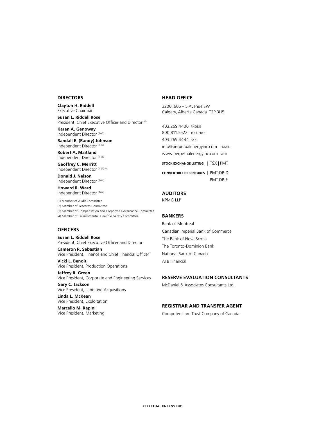## **DIRECTORS**

**Clayton H. Riddell** Executive Chairman

**Susan L. Riddell Rose** President, Chief Executive Officer and Director<sup>(4)</sup> **Karen A. Genoway**

Independent Director (2) (3)

**Randall E. (Randy) Johnson** Independent Director (1) (3)

**Robert A. Maitland** Independent Director (1) (3)

**Geoffrey C. Merritt** Independent Director (1) (2) (4)

**Donald J. Nelson** Independent Director (2) (4)

**Howard R. Ward** Independent Director (3) (4)

(1) Member of Audit Committee (2) Member of Reserves Committee (3) Member of Compensation and Corporate Governance Committee (4) Member of Environmental, Health & Safety Committee

# **OFFICERS**

**Susan L. Riddell Rose** President, Chief Executive Officer and Director **Cameron R. Sebastian** Vice President, Finance and Chief Financial Officer

**Vicki L. Benoit** Vice President, Production Operations

**Jeffrey R. Green** Vice President, Corporate and Engineering Services

**Gary C. Jackson** Vice President, Land and Acquisitions

**Linda L. McKean** Vice President, Exploitation

**Marcello M. Rapini** Vice President, Marketing

# **HEAD OFFICE**

3200, 605 – 5 Avenue SW Calgary, Alberta Canada T2P 3H5

403.269.4400 PHONE 800.811.5522 TOLL FREE 403.269.4444 FAX info@perpetualenergyinc.com EMAIL www.perpetualenergyinc.com WEB

**STOCK EXCHANGE LISTING |** TSX **|** PMT

**CONVERTIBLE DEBENTURES |** PMT.DB.D PMT.DB.E

# **AUDITORS**

KPMG LLP

## **BANKERS**

Bank of Montreal Canadian Imperial Bank of Commerce The Bank of Nova Scotia The Toronto-Dominion Bank National Bank of Canada ATB Financial

# **RESERVE EVALUATION CONSULTANTS**

McDaniel & Associates Consultants Ltd.

# **REGISTRAR AND TRANSFER AGENT**

Computershare Trust Company of Canada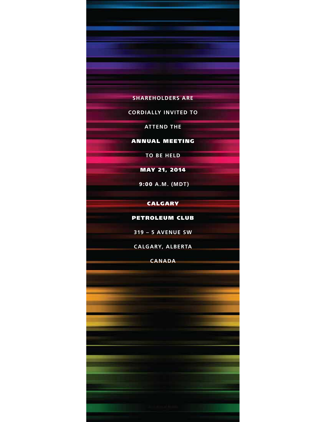# **SHAREHOLDERS ARE**

**CORDIALLY INVITED TO** 

**ATTEND THE** 

ANNUAL MEETING

**TO BE HELD** 

**MAY 21, 2014** 

9:00 **A.M. (MDT)**

CALGARY

PETROLEUM CLUB

**319 – 5 AVENUE SW**

**CALGARY, ALBERTA** 

**CANADA**